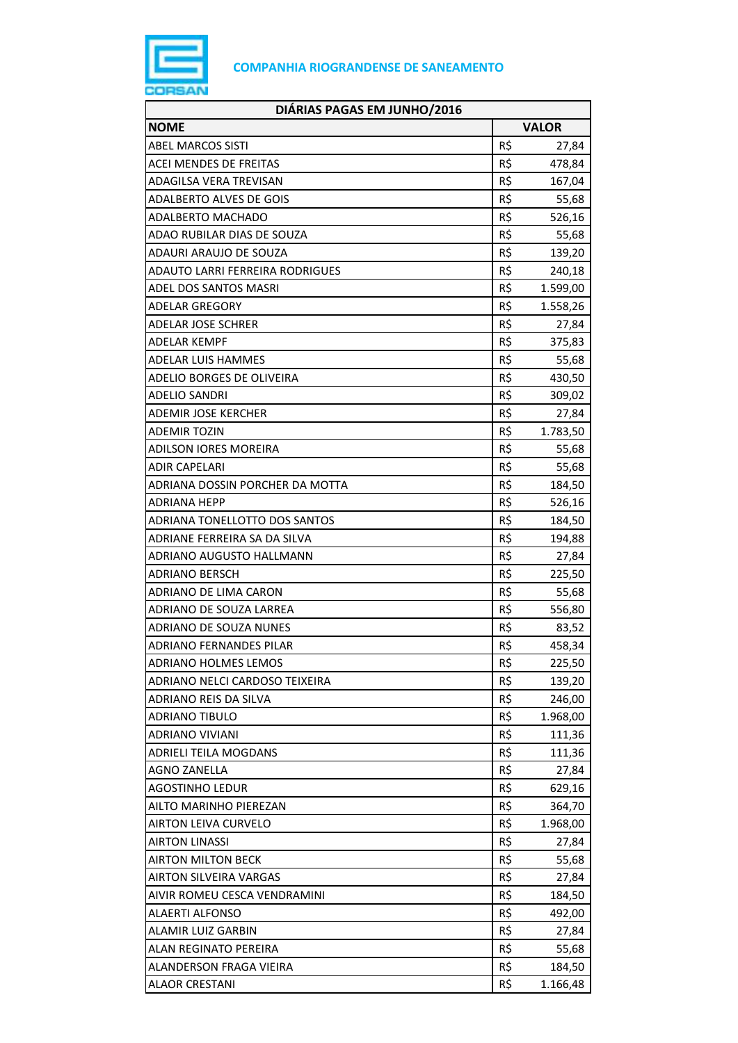

| DIÁRIAS PAGAS EM JUNHO/2016            |     |              |
|----------------------------------------|-----|--------------|
| <b>NOME</b>                            |     | <b>VALOR</b> |
| ABEL MARCOS SISTI                      | R\$ | 27,84        |
| <b>ACEI MENDES DE FREITAS</b>          | R\$ | 478,84       |
| <b>ADAGILSA VERA TREVISAN</b>          | R\$ | 167,04       |
| <b>ADALBERTO ALVES DE GOIS</b>         | R\$ | 55,68        |
| <b>ADALBERTO MACHADO</b>               | R\$ | 526,16       |
| ADAO RUBILAR DIAS DE SOUZA             | R\$ | 55,68        |
| ADAURI ARAUJO DE SOUZA                 | R\$ | 139,20       |
| <b>ADAUTO LARRI FERREIRA RODRIGUES</b> | R\$ | 240,18       |
| ADEL DOS SANTOS MASRI                  | R\$ | 1.599,00     |
| ADELAR GREGORY                         | R\$ | 1.558,26     |
| ADELAR JOSE SCHRER                     | R\$ | 27,84        |
| <b>ADELAR KEMPF</b>                    | R\$ | 375,83       |
| <b>ADELAR LUIS HAMMES</b>              | R\$ | 55,68        |
| ADELIO BORGES DE OLIVEIRA              | R\$ | 430,50       |
| ADELIO SANDRI                          | R\$ | 309,02       |
| ADEMIR JOSE KERCHER                    | R\$ | 27,84        |
| <b>ADEMIR TOZIN</b>                    | R\$ | 1.783,50     |
| <b>ADILSON IORES MOREIRA</b>           | R\$ | 55,68        |
| <b>ADIR CAPELARI</b>                   | R\$ | 55,68        |
| ADRIANA DOSSIN PORCHER DA MOTTA        | R\$ | 184,50       |
| ADRIANA HEPP                           | R\$ | 526,16       |
| ADRIANA TONELLOTTO DOS SANTOS          | R\$ | 184,50       |
| ADRIANE FERREIRA SA DA SILVA           | R\$ | 194,88       |
| ADRIANO AUGUSTO HALLMANN               | R\$ | 27,84        |
| ADRIANO BERSCH                         | R\$ | 225,50       |
| ADRIANO DE LIMA CARON                  | R\$ | 55,68        |
| ADRIANO DE SOUZA LARREA                | R\$ | 556,80       |
| ADRIANO DE SOUZA NUNES                 | R\$ | 83,52        |
| <b>ADRIANO FERNANDES PILAR</b>         | R\$ | 458,34       |
| <b>ADRIANO HOLMES LEMOS</b>            | R\$ | 225,50       |
| ADRIANO NELCI CARDOSO TEIXEIRA         | R\$ | 139,20       |
| ADRIANO REIS DA SILVA                  | R\$ | 246,00       |
| <b>ADRIANO TIBULO</b>                  | R\$ | 1.968,00     |
| <b>ADRIANO VIVIANI</b>                 | R\$ | 111,36       |
| <b>ADRIELI TEILA MOGDANS</b>           | R\$ | 111,36       |
| <b>AGNO ZANELLA</b>                    | R\$ | 27,84        |
| <b>AGOSTINHO LEDUR</b>                 | R\$ | 629,16       |
| AILTO MARINHO PIEREZAN                 | R\$ | 364,70       |
| <b>AIRTON LEIVA CURVELO</b>            | R\$ | 1.968,00     |
| <b>AIRTON LINASSI</b>                  | R\$ | 27,84        |
| <b>AIRTON MILTON BECK</b>              | R\$ | 55,68        |
| AIRTON SILVEIRA VARGAS                 | R\$ | 27,84        |
| AIVIR ROMEU CESCA VENDRAMINI           | R\$ | 184,50       |
| <b>ALAERTI ALFONSO</b>                 | R\$ | 492,00       |
| ALAMIR LUIZ GARBIN                     | R\$ | 27,84        |
| ALAN REGINATO PEREIRA                  | R\$ | 55,68        |
| ALANDERSON FRAGA VIEIRA                | R\$ | 184,50       |
| <b>ALAOR CRESTANI</b>                  | R\$ | 1.166,48     |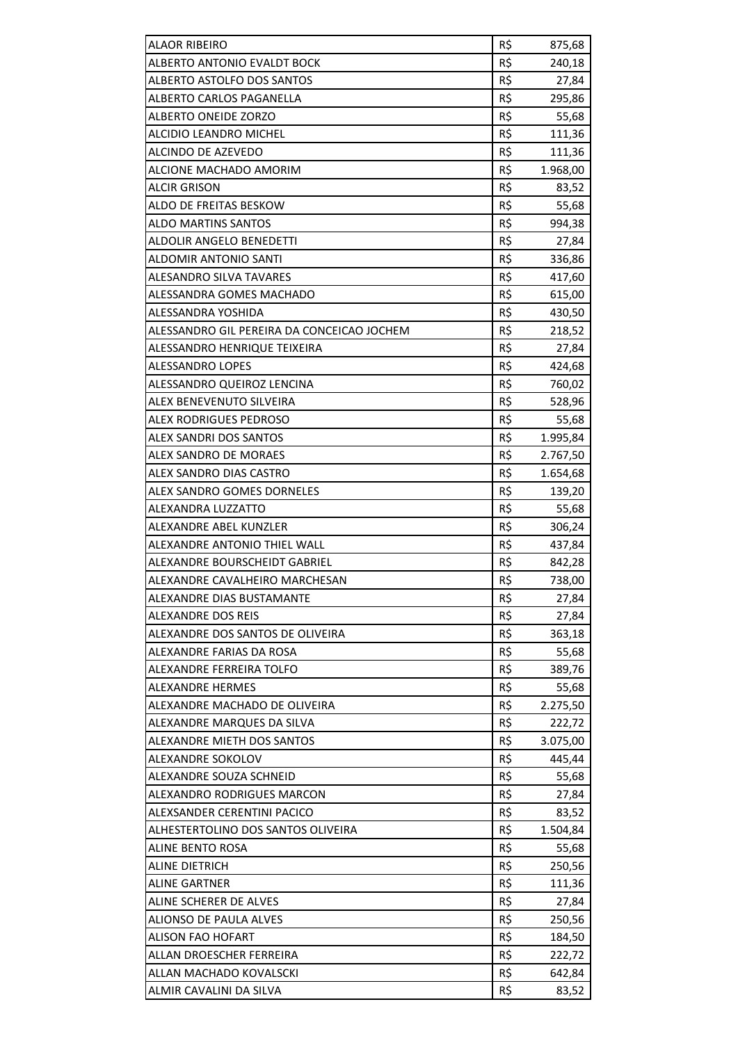| <b>ALAOR RIBEIRO</b>                       | R\$ | 875,68   |
|--------------------------------------------|-----|----------|
| ALBERTO ANTONIO EVALDT BOCK                | R\$ | 240,18   |
| ALBERTO ASTOLFO DOS SANTOS                 | R\$ | 27,84    |
| ALBERTO CARLOS PAGANELLA                   | R\$ | 295,86   |
| ALBERTO ONEIDE ZORZO                       | R\$ | 55,68    |
| ALCIDIO LEANDRO MICHEL                     | R\$ | 111,36   |
| ALCINDO DE AZEVEDO                         | R\$ | 111,36   |
| ALCIONE MACHADO AMORIM                     | R\$ | 1.968,00 |
| <b>ALCIR GRISON</b>                        | R\$ | 83,52    |
| ALDO DE FREITAS BESKOW                     | R\$ | 55,68    |
| <b>ALDO MARTINS SANTOS</b>                 | R\$ | 994,38   |
| ALDOLIR ANGELO BENEDETTI                   | R\$ | 27,84    |
| ALDOMIR ANTONIO SANTI                      | R\$ | 336,86   |
| ALESANDRO SILVA TAVARES                    | R\$ | 417,60   |
| ALESSANDRA GOMES MACHADO                   | R\$ | 615,00   |
| ALESSANDRA YOSHIDA                         | R\$ | 430,50   |
| ALESSANDRO GIL PEREIRA DA CONCEICAO JOCHEM | R\$ | 218,52   |
| ALESSANDRO HENRIQUE TEIXEIRA               | R\$ | 27,84    |
| <b>ALESSANDRO LOPES</b>                    | R\$ | 424,68   |
| ALESSANDRO QUEIROZ LENCINA                 | R\$ | 760,02   |
| ALEX BENEVENUTO SILVEIRA                   | R\$ | 528,96   |
| ALEX RODRIGUES PEDROSO                     | R\$ | 55,68    |
| ALEX SANDRI DOS SANTOS                     | R\$ | 1.995,84 |
| ALEX SANDRO DE MORAES                      | R\$ | 2.767,50 |
| ALEX SANDRO DIAS CASTRO                    | R\$ | 1.654,68 |
| ALEX SANDRO GOMES DORNELES                 | R\$ | 139,20   |
| ALEXANDRA LUZZATTO                         | R\$ | 55,68    |
| ALEXANDRE ABEL KUNZLER                     | R\$ | 306,24   |
| ALEXANDRE ANTONIO THIEL WALL               | R\$ | 437,84   |
| ALEXANDRE BOURSCHEIDT GABRIEL              | R\$ | 842,28   |
| ALEXANDRE CAVALHEIRO MARCHESAN             | R\$ | 738,00   |
| ALEXANDRE DIAS BUSTAMANTE                  | R\$ | 27,84    |
| ALEXANDRE DOS REIS                         | R\$ | 27,84    |
| ALEXANDRE DOS SANTOS DE OLIVEIRA           | R\$ | 363,18   |
| ALEXANDRE FARIAS DA ROSA                   | R\$ | 55,68    |
| ALEXANDRE FERREIRA TOLFO                   | R\$ | 389,76   |
| ALEXANDRE HERMES                           | R\$ | 55,68    |
| ALEXANDRE MACHADO DE OLIVEIRA              | R\$ | 2.275,50 |
| ALEXANDRE MARQUES DA SILVA                 | R\$ | 222,72   |
| ALEXANDRE MIETH DOS SANTOS                 | R\$ | 3.075,00 |
| ALEXANDRE SOKOLOV                          | R\$ | 445,44   |
| ALEXANDRE SOUZA SCHNEID                    | R\$ | 55,68    |
| ALEXANDRO RODRIGUES MARCON                 | R\$ | 27,84    |
| ALEXSANDER CERENTINI PACICO                | R\$ | 83,52    |
| ALHESTERTOLINO DOS SANTOS OLIVEIRA         | R\$ | 1.504,84 |
| <b>ALINE BENTO ROSA</b>                    | R\$ | 55,68    |
| ALINE DIETRICH                             | R\$ | 250,56   |
| <b>ALINE GARTNER</b>                       | R\$ | 111,36   |
| ALINE SCHERER DE ALVES                     | R\$ | 27,84    |
| ALIONSO DE PAULA ALVES                     | R\$ | 250,56   |
| ALISON FAO HOFART                          | R\$ | 184,50   |
| ALLAN DROESCHER FERREIRA                   | R\$ | 222,72   |
| ALLAN MACHADO KOVALSCKI                    | R\$ | 642,84   |
| ALMIR CAVALINI DA SILVA                    | R\$ | 83,52    |
|                                            |     |          |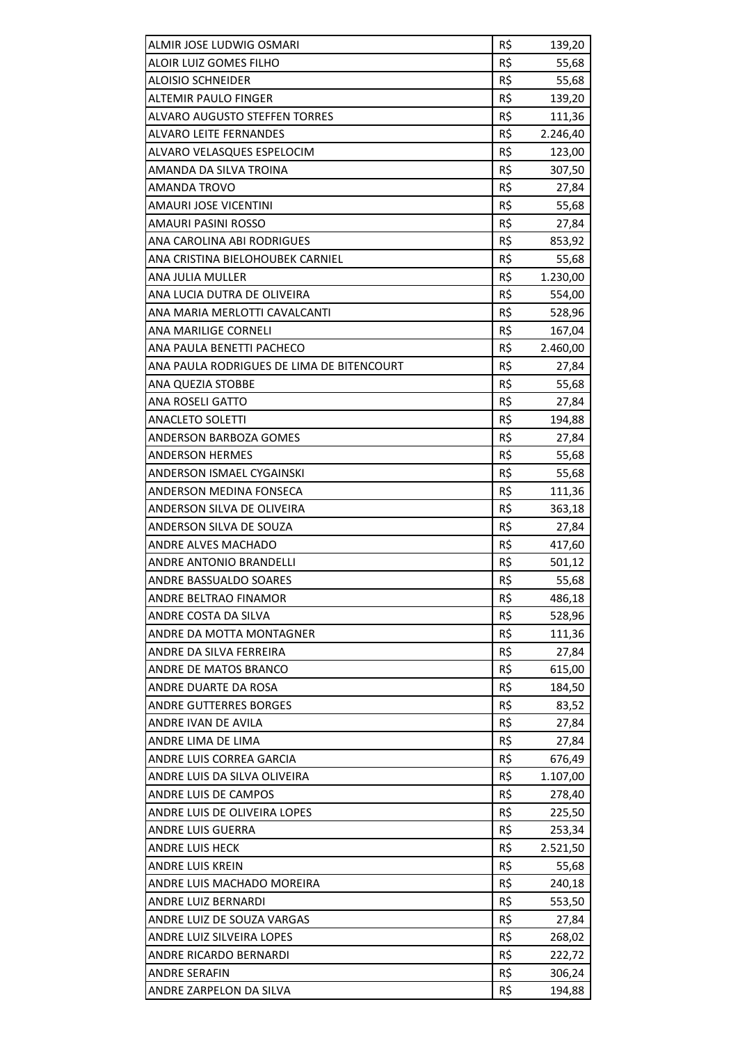| ALMIR JOSE LUDWIG OSMARI                  | R\$ | 139,20   |
|-------------------------------------------|-----|----------|
| ALOIR LUIZ GOMES FILHO                    | R\$ | 55,68    |
| <b>ALOISIO SCHNEIDER</b>                  | R\$ | 55,68    |
| <b>ALTEMIR PAULO FINGER</b>               | R\$ | 139,20   |
| ALVARO AUGUSTO STEFFEN TORRES             | R\$ | 111,36   |
| ALVARO LEITE FERNANDES                    | R\$ | 2.246,40 |
| ALVARO VELASQUES ESPELOCIM                | R\$ | 123,00   |
| AMANDA DA SILVA TROINA                    | R\$ | 307,50   |
| AMANDA TROVO                              | R\$ | 27,84    |
| AMAURI JOSE VICENTINI                     | R\$ | 55,68    |
| AMAURI PASINI ROSSO                       | R\$ | 27,84    |
| ANA CAROLINA ABI RODRIGUES                | R\$ | 853,92   |
|                                           |     |          |
| ANA CRISTINA BIELOHOUBEK CARNIEL          | R\$ | 55,68    |
| ANA JULIA MULLER                          | R\$ | 1.230,00 |
| ANA LUCIA DUTRA DE OLIVEIRA               | R\$ | 554,00   |
| ANA MARIA MERLOTTI CAVALCANTI             | R\$ | 528,96   |
| ANA MARILIGE CORNELI                      | R\$ | 167,04   |
| ANA PAULA BENETTI PACHECO                 | R\$ | 2.460,00 |
| ANA PAULA RODRIGUES DE LIMA DE BITENCOURT | R\$ | 27,84    |
| ANA QUEZIA STOBBE                         | R\$ | 55,68    |
| ANA ROSELI GATTO                          | R\$ | 27,84    |
| <b>ANACLETO SOLETTI</b>                   | R\$ | 194,88   |
| ANDERSON BARBOZA GOMES                    | R\$ | 27,84    |
| <b>ANDERSON HERMES</b>                    | R\$ | 55,68    |
| ANDERSON ISMAEL CYGAINSKI                 | R\$ | 55,68    |
| ANDERSON MEDINA FONSECA                   | R\$ | 111,36   |
| ANDERSON SILVA DE OLIVEIRA                | R\$ | 363,18   |
| ANDERSON SILVA DE SOUZA                   | R\$ | 27,84    |
| ANDRE ALVES MACHADO                       | R\$ | 417,60   |
| <b>ANDRE ANTONIO BRANDELLI</b>            | R\$ | 501,12   |
| <b>ANDRE BASSUALDO SOARES</b>             | R\$ | 55,68    |
| ANDRE BELTRAO FINAMOR                     | R\$ | 486,18   |
| ANDRE COSTA DA SILVA                      | R\$ | 528,96   |
| ANDRE DA MOTTA MONTAGNER                  | R\$ | 111,36   |
| ANDRE DA SILVA FERREIRA                   | R\$ | 27,84    |
| ANDRE DE MATOS BRANCO                     | R\$ | 615,00   |
| ANDRE DUARTE DA ROSA                      | R\$ | 184,50   |
| ANDRE GUTTERRES BORGES                    | R\$ | 83,52    |
| ANDRE IVAN DE AVILA                       | R\$ | 27,84    |
| ANDRE LIMA DE LIMA                        | R\$ | 27,84    |
| ANDRE LUIS CORREA GARCIA                  | R\$ | 676,49   |
| ANDRE LUIS DA SILVA OLIVEIRA              | R\$ | 1.107,00 |
| ANDRE LUIS DE CAMPOS                      | R\$ | 278,40   |
| ANDRE LUIS DE OLIVEIRA LOPES              | R\$ | 225,50   |
| ANDRE LUIS GUERRA                         | R\$ | 253,34   |
| <b>ANDRE LUIS HECK</b>                    | R\$ | 2.521,50 |
| ANDRE LUIS KREIN                          | R\$ |          |
|                                           |     | 55,68    |
| ANDRE LUIS MACHADO MOREIRA                | R\$ | 240,18   |
| ANDRE LUIZ BERNARDI                       | R\$ | 553,50   |
| ANDRE LUIZ DE SOUZA VARGAS                | R\$ | 27,84    |
| ANDRE LUIZ SILVEIRA LOPES                 | R\$ | 268,02   |
| ANDRE RICARDO BERNARDI                    | R\$ | 222,72   |
| ANDRE SERAFIN                             | R\$ | 306,24   |
| ANDRE ZARPELON DA SILVA                   | R\$ | 194,88   |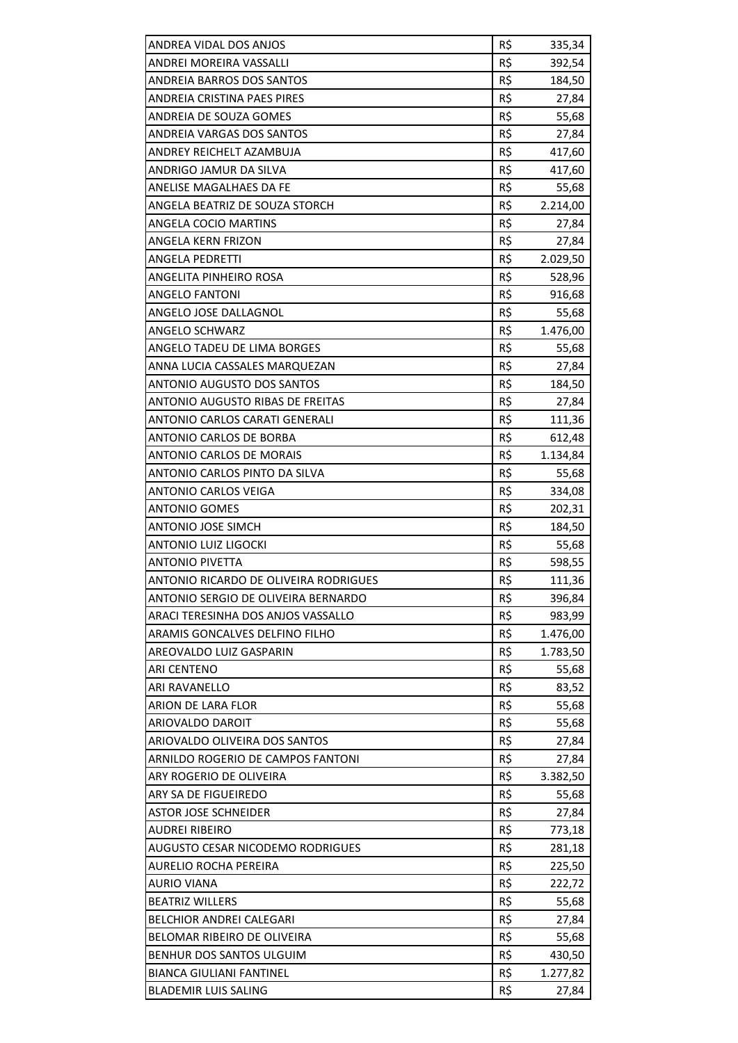|                                                   | R\$        |          |
|---------------------------------------------------|------------|----------|
| ANDREA VIDAL DOS ANJOS<br>ANDREI MOREIRA VASSALLI | R\$        | 335,34   |
|                                                   |            | 392,54   |
| ANDREIA BARROS DOS SANTOS                         | R\$<br>R\$ | 184,50   |
| ANDREIA CRISTINA PAES PIRES                       | R\$        | 27,84    |
| ANDREIA DE SOUZA GOMES                            |            | 55,68    |
| ANDREIA VARGAS DOS SANTOS                         | R\$        | 27,84    |
| ANDREY REICHELT AZAMBUJA                          | R\$        | 417,60   |
| ANDRIGO JAMUR DA SILVA                            | R\$        | 417,60   |
| ANELISE MAGALHAES DA FE                           | R\$        | 55,68    |
| ANGELA BEATRIZ DE SOUZA STORCH                    | R\$        | 2.214,00 |
| ANGELA COCIO MARTINS                              | R\$        | 27,84    |
| ANGELA KERN FRIZON                                | R\$        | 27,84    |
| <b>ANGELA PEDRETTI</b>                            | R\$        | 2.029,50 |
| ANGELITA PINHEIRO ROSA                            | R\$        | 528,96   |
| <b>ANGELO FANTONI</b>                             | R\$        | 916,68   |
| ANGELO JOSE DALLAGNOL                             | R\$        | 55,68    |
| <b>ANGELO SCHWARZ</b>                             | R\$        | 1.476,00 |
| ANGELO TADEU DE LIMA BORGES                       | R\$        | 55,68    |
| ANNA LUCIA CASSALES MARQUEZAN                     | R\$        | 27,84    |
| <b>ANTONIO AUGUSTO DOS SANTOS</b>                 | R\$        | 184,50   |
| ANTONIO AUGUSTO RIBAS DE FREITAS                  | R\$        | 27,84    |
| ANTONIO CARLOS CARATI GENERALI                    | R\$        | 111,36   |
| ANTONIO CARLOS DE BORBA                           | R\$        | 612,48   |
| ANTONIO CARLOS DE MORAIS                          | R\$        | 1.134,84 |
| ANTONIO CARLOS PINTO DA SILVA                     | R\$        | 55,68    |
| <b>ANTONIO CARLOS VEIGA</b>                       | R\$        | 334,08   |
| <b>ANTONIO GOMES</b>                              | R\$        | 202,31   |
| ANTONIO JOSE SIMCH                                | R\$        | 184,50   |
| ANTONIO LUIZ LIGOCKI                              | R\$        | 55,68    |
| <b>ANTONIO PIVETTA</b>                            | R\$        | 598,55   |
| ANTONIO RICARDO DE OLIVEIRA RODRIGUES             | R\$        | 111,36   |
| ANTONIO SERGIO DE OLIVEIRA BERNARDO               | R\$        | 396,84   |
| ARACI TERESINHA DOS ANJOS VASSALLO                | R\$        | 983,99   |
| ARAMIS GONCALVES DELFINO FILHO                    | R\$        | 1.476,00 |
| AREOVALDO LUIZ GASPARIN                           | R\$        | 1.783,50 |
| <b>ARI CENTENO</b>                                | R\$        | 55,68    |
| ARI RAVANELLO                                     | R\$        | 83,52    |
| ARION DE LARA FLOR                                | R\$        | 55,68    |
| ARIOVALDO DAROIT                                  | R\$        | 55,68    |
| ARIOVALDO OLIVEIRA DOS SANTOS                     | R\$        | 27,84    |
| ARNILDO ROGERIO DE CAMPOS FANTONI                 | R\$        | 27,84    |
| ARY ROGERIO DE OLIVEIRA                           | R\$        | 3.382,50 |
| ARY SA DE FIGUEIREDO                              | R\$        | 55,68    |
| ASTOR JOSE SCHNEIDER                              | R\$        | 27,84    |
| <b>AUDREI RIBEIRO</b>                             | R\$        | 773,18   |
| AUGUSTO CESAR NICODEMO RODRIGUES                  | R\$        | 281,18   |
| <b>AURELIO ROCHA PEREIRA</b>                      | R\$        | 225,50   |
| <b>AURIO VIANA</b>                                | R\$        | 222,72   |
| <b>BEATRIZ WILLERS</b>                            | R\$        | 55,68    |
| BELCHIOR ANDREI CALEGARI                          | R\$        | 27,84    |
| BELOMAR RIBEIRO DE OLIVEIRA                       | R\$        | 55,68    |
| BENHUR DOS SANTOS ULGUIM                          | R\$        | 430,50   |
| <b>BIANCA GIULIANI FANTINEL</b>                   | R\$        | 1.277,82 |
| <b>BLADEMIR LUIS SALING</b>                       | R\$        | 27,84    |
|                                                   |            |          |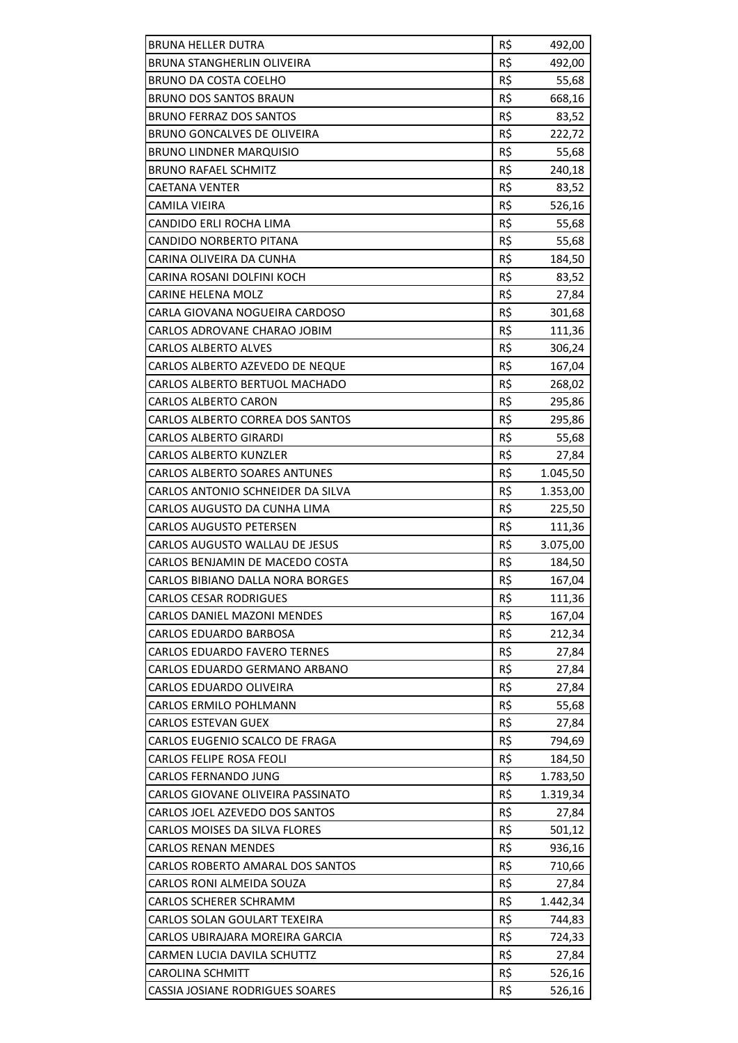| <b>BRUNA HELLER DUTRA</b>            | R\$ | 492,00   |
|--------------------------------------|-----|----------|
| <b>BRUNA STANGHERLIN OLIVEIRA</b>    | R\$ | 492,00   |
| <b>BRUNO DA COSTA COELHO</b>         | R\$ | 55,68    |
| <b>BRUNO DOS SANTOS BRAUN</b>        | R\$ | 668,16   |
| <b>BRUNO FERRAZ DOS SANTOS</b>       | R\$ | 83,52    |
| BRUNO GONCALVES DE OLIVEIRA          | R\$ | 222,72   |
| <b>BRUNO LINDNER MARQUISIO</b>       | R\$ | 55,68    |
| <b>BRUNO RAFAEL SCHMITZ</b>          | R\$ | 240,18   |
| CAETANA VENTER                       | R\$ | 83,52    |
| CAMILA VIEIRA                        | R\$ | 526,16   |
| CANDIDO ERLI ROCHA LIMA              | R\$ | 55,68    |
| CANDIDO NORBERTO PITANA              | R\$ | 55,68    |
| CARINA OLIVEIRA DA CUNHA             | R\$ | 184,50   |
| CARINA ROSANI DOLFINI KOCH           | R\$ | 83,52    |
| CARINE HELENA MOLZ                   | R\$ | 27,84    |
| CARLA GIOVANA NOGUEIRA CARDOSO       | R\$ | 301,68   |
| CARLOS ADROVANE CHARAO JOBIM         | R\$ | 111,36   |
| <b>CARLOS ALBERTO ALVES</b>          | R\$ | 306,24   |
| CARLOS ALBERTO AZEVEDO DE NEQUE      | R\$ | 167,04   |
| CARLOS ALBERTO BERTUOL MACHADO       | R\$ | 268,02   |
| <b>CARLOS ALBERTO CARON</b>          | R\$ | 295,86   |
| CARLOS ALBERTO CORREA DOS SANTOS     | R\$ | 295,86   |
| <b>CARLOS ALBERTO GIRARDI</b>        | R\$ | 55,68    |
| <b>CARLOS ALBERTO KUNZLER</b>        | R\$ | 27,84    |
| <b>CARLOS ALBERTO SOARES ANTUNES</b> | R\$ | 1.045,50 |
| CARLOS ANTONIO SCHNEIDER DA SILVA    | R\$ | 1.353,00 |
| CARLOS AUGUSTO DA CUNHA LIMA         | R\$ | 225,50   |
| <b>CARLOS AUGUSTO PETERSEN</b>       | R\$ | 111,36   |
| CARLOS AUGUSTO WALLAU DE JESUS       | R\$ | 3.075,00 |
| CARLOS BENJAMIN DE MACEDO COSTA      | R\$ | 184,50   |
| CARLOS BIBIANO DALLA NORA BORGES     | R\$ | 167,04   |
| <b>CARLOS CESAR RODRIGUES</b>        | R\$ | 111,36   |
| <b>CARLOS DANIEL MAZONI MENDES</b>   | R\$ | 167,04   |
| <b>CARLOS EDUARDO BARBOSA</b>        | R\$ | 212,34   |
| <b>CARLOS EDUARDO FAVERO TERNES</b>  | R\$ | 27,84    |
| CARLOS EDUARDO GERMANO ARBANO        | R\$ | 27,84    |
| CARLOS EDUARDO OLIVEIRA              | R\$ | 27,84    |
| <b>CARLOS ERMILO POHLMANN</b>        | R\$ | 55,68    |
| <b>CARLOS ESTEVAN GUEX</b>           | R\$ | 27,84    |
| CARLOS EUGENIO SCALCO DE FRAGA       | R\$ | 794,69   |
| <b>CARLOS FELIPE ROSA FEOLI</b>      | R\$ | 184,50   |
| CARLOS FERNANDO JUNG                 | R\$ | 1.783,50 |
| CARLOS GIOVANE OLIVEIRA PASSINATO    | R\$ | 1.319,34 |
| CARLOS JOEL AZEVEDO DOS SANTOS       | R\$ | 27,84    |
| CARLOS MOISES DA SILVA FLORES        | R\$ | 501,12   |
| <b>CARLOS RENAN MENDES</b>           | R\$ | 936,16   |
| CARLOS ROBERTO AMARAL DOS SANTOS     | R\$ | 710,66   |
| CARLOS RONI ALMEIDA SOUZA            | R\$ | 27,84    |
| CARLOS SCHERER SCHRAMM               | R\$ | 1.442,34 |
| CARLOS SOLAN GOULART TEXEIRA         | R\$ | 744,83   |
| CARLOS UBIRAJARA MOREIRA GARCIA      | R\$ | 724,33   |
| CARMEN LUCIA DAVILA SCHUTTZ          | R\$ | 27,84    |
| <b>CAROLINA SCHMITT</b>              | R\$ | 526,16   |
| CASSIA JOSIANE RODRIGUES SOARES      | R\$ | 526,16   |
|                                      |     |          |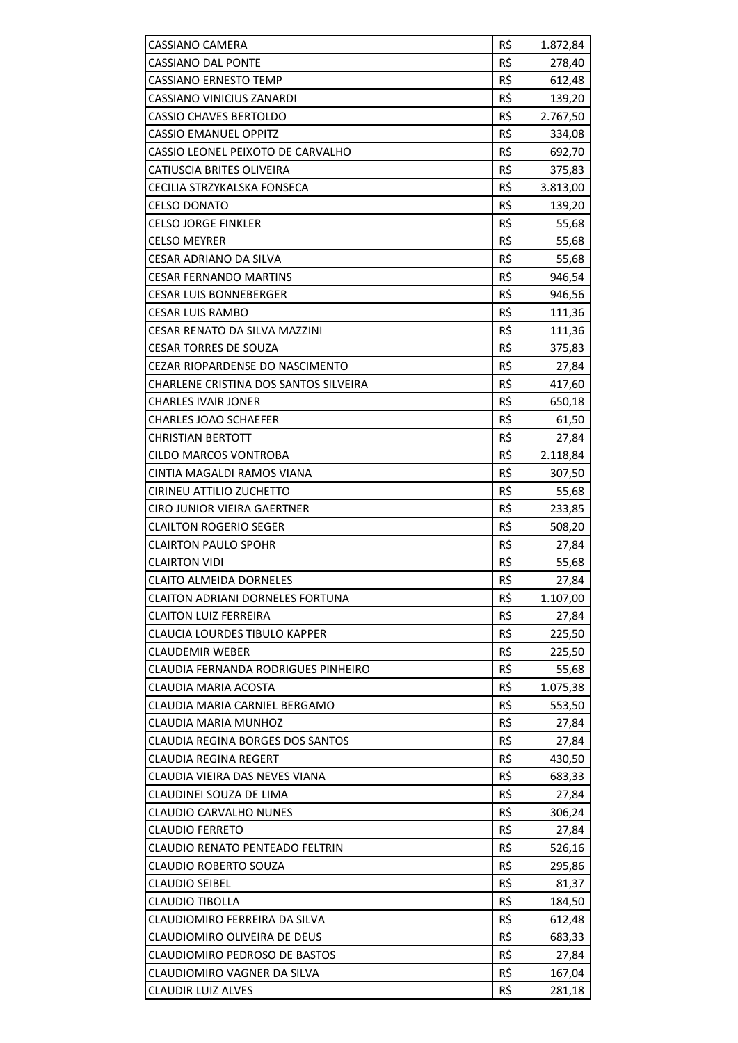| <b>CASSIANO CAMERA</b>                  | R\$ | 1.872,84 |
|-----------------------------------------|-----|----------|
| <b>CASSIANO DAL PONTE</b>               | R\$ | 278,40   |
| <b>CASSIANO ERNESTO TEMP</b>            | R\$ | 612,48   |
| CASSIANO VINICIUS ZANARDI               | R\$ | 139,20   |
| <b>CASSIO CHAVES BERTOLDO</b>           | R\$ | 2.767,50 |
| <b>CASSIO EMANUEL OPPITZ</b>            | R\$ | 334,08   |
| CASSIO LEONEL PEIXOTO DE CARVALHO       | R\$ | 692,70   |
| CATIUSCIA BRITES OLIVEIRA               | R\$ | 375,83   |
| CECILIA STRZYKALSKA FONSECA             | R\$ | 3.813,00 |
| <b>CELSO DONATO</b>                     | R\$ | 139,20   |
| <b>CELSO JORGE FINKLER</b>              | R\$ | 55,68    |
| <b>CELSO MEYRER</b>                     | R\$ | 55,68    |
| CESAR ADRIANO DA SILVA                  | R\$ | 55,68    |
| <b>CESAR FERNANDO MARTINS</b>           | R\$ | 946,54   |
| <b>CESAR LUIS BONNEBERGER</b>           | R\$ | 946,56   |
| <b>CESAR LUIS RAMBO</b>                 | R\$ | 111,36   |
| <b>CESAR RENATO DA SILVA MAZZINI</b>    | R\$ | 111,36   |
| <b>CESAR TORRES DE SOUZA</b>            | R\$ | 375,83   |
| CEZAR RIOPARDENSE DO NASCIMENTO         | R\$ | 27,84    |
| CHARLENE CRISTINA DOS SANTOS SILVEIRA   | R\$ | 417,60   |
| <b>CHARLES IVAIR JONER</b>              | R\$ | 650,18   |
| <b>CHARLES JOAO SCHAEFER</b>            | R\$ | 61,50    |
| <b>CHRISTIAN BERTOTT</b>                | R\$ | 27,84    |
| <b>CILDO MARCOS VONTROBA</b>            | R\$ | 2.118,84 |
| CINTIA MAGALDI RAMOS VIANA              | R\$ | 307,50   |
| CIRINEU ATTILIO ZUCHETTO                | R\$ | 55,68    |
| CIRO JUNIOR VIEIRA GAERTNER             | R\$ | 233,85   |
| <b>CLAILTON ROGERIO SEGER</b>           | R\$ | 508,20   |
| <b>CLAIRTON PAULO SPOHR</b>             | R\$ | 27,84    |
| <b>CLAIRTON VIDI</b>                    | R\$ | 55,68    |
| <b>CLAITO ALMEIDA DORNELES</b>          | R\$ | 27,84    |
| <b>CLAITON ADRIANI DORNELES FORTUNA</b> | R\$ | 1.107,00 |
| <b>CLAITON LUIZ FERREIRA</b>            | R\$ | 27,84    |
| <b>CLAUCIA LOURDES TIBULO KAPPER</b>    | R\$ | 225,50   |
| <b>CLAUDEMIR WEBER</b>                  | R\$ | 225,50   |
| CLAUDIA FERNANDA RODRIGUES PINHEIRO     | R\$ | 55,68    |
| CLAUDIA MARIA ACOSTA                    | R\$ | 1.075,38 |
| CLAUDIA MARIA CARNIEL BERGAMO           | R\$ | 553,50   |
| CLAUDIA MARIA MUNHOZ                    | R\$ | 27,84    |
| CLAUDIA REGINA BORGES DOS SANTOS        | R\$ | 27,84    |
| <b>CLAUDIA REGINA REGERT</b>            | R\$ | 430,50   |
| CLAUDIA VIEIRA DAS NEVES VIANA          | R\$ | 683,33   |
| CLAUDINEI SOUZA DE LIMA                 | R\$ | 27,84    |
| <b>CLAUDIO CARVALHO NUNES</b>           | R\$ | 306,24   |
| <b>CLAUDIO FERRETO</b>                  | R\$ | 27,84    |
| CLAUDIO RENATO PENTEADO FELTRIN         | R\$ | 526,16   |
| <b>CLAUDIO ROBERTO SOUZA</b>            | R\$ | 295,86   |
| <b>CLAUDIO SEIBEL</b>                   | R\$ | 81,37    |
| <b>CLAUDIO TIBOLLA</b>                  | R\$ | 184,50   |
| CLAUDIOMIRO FERREIRA DA SILVA           | R\$ | 612,48   |
| CLAUDIOMIRO OLIVEIRA DE DEUS            | R\$ | 683,33   |
| CLAUDIOMIRO PEDROSO DE BASTOS           | R\$ | 27,84    |
| CLAUDIOMIRO VAGNER DA SILVA             | R\$ | 167,04   |
| <b>CLAUDIR LUIZ ALVES</b>               | R\$ | 281,18   |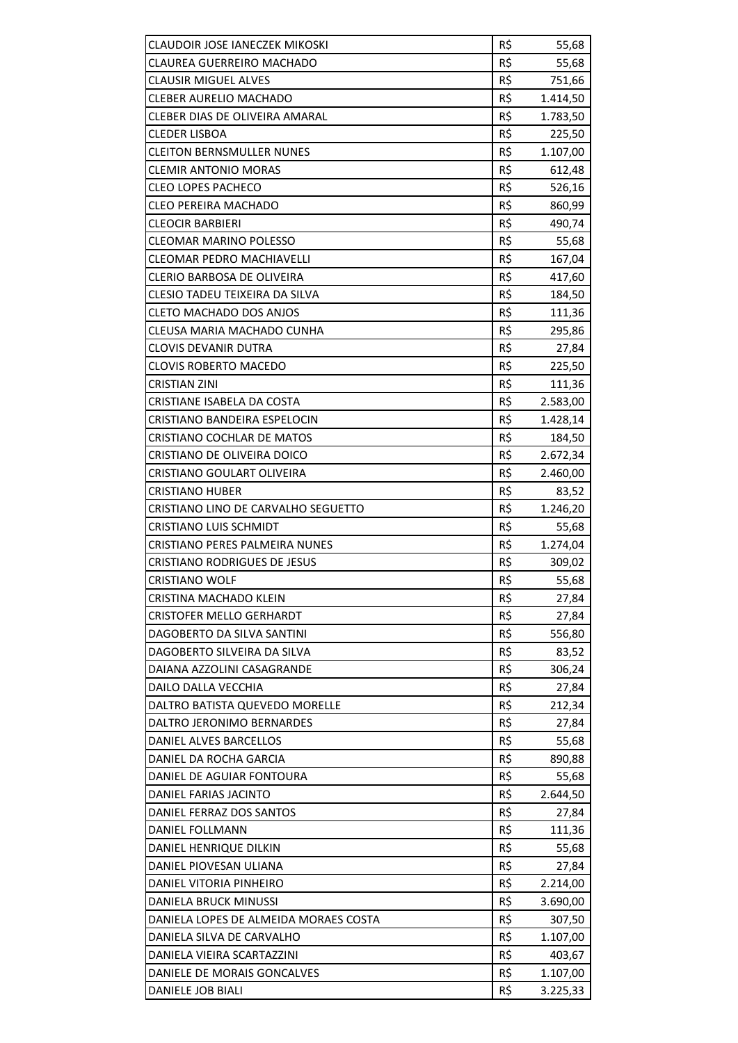| CLAUDOIR JOSE IANECZEK MIKOSKI                               | R\$        | 55,68           |
|--------------------------------------------------------------|------------|-----------------|
| <b>CLAUREA GUERREIRO MACHADO</b>                             | R\$        | 55,68           |
| <b>CLAUSIR MIGUEL ALVES</b>                                  | R\$        | 751,66          |
| <b>CLEBER AURELIO MACHADO</b>                                | R\$        | 1.414,50        |
| CLEBER DIAS DE OLIVEIRA AMARAL                               | R\$        | 1.783,50        |
| <b>CLEDER LISBOA</b>                                         | R\$        | 225,50          |
| <b>CLEITON BERNSMULLER NUNES</b>                             | R\$        | 1.107,00        |
| <b>CLEMIR ANTONIO MORAS</b>                                  | R\$        | 612,48          |
| <b>CLEO LOPES PACHECO</b>                                    | R\$        | 526,16          |
| <b>CLEO PEREIRA MACHADO</b>                                  | R\$        | 860,99          |
| <b>CLEOCIR BARBIERI</b>                                      | R\$        | 490,74          |
| <b>CLEOMAR MARINO POLESSO</b>                                | R\$        | 55,68           |
| CLEOMAR PEDRO MACHIAVELLI                                    | R\$        | 167,04          |
| <b>CLERIO BARBOSA DE OLIVEIRA</b>                            | R\$        | 417,60          |
| <b>CLESIO TADEU TEIXEIRA DA SILVA</b>                        | R\$        | 184,50          |
| <b>CLETO MACHADO DOS ANJOS</b>                               | R\$        | 111,36          |
| CLEUSA MARIA MACHADO CUNHA                                   | R\$        | 295,86          |
| <b>CLOVIS DEVANIR DUTRA</b>                                  | R\$        | 27,84           |
| <b>CLOVIS ROBERTO MACEDO</b>                                 | R\$        | 225,50          |
| <b>CRISTIAN ZINI</b>                                         | R\$        | 111,36          |
| CRISTIANE ISABELA DA COSTA                                   | R\$        | 2.583,00        |
| CRISTIANO BANDEIRA ESPELOCIN                                 | R\$        | 1.428,14        |
| CRISTIANO COCHLAR DE MATOS                                   | R\$        | 184,50          |
| CRISTIANO DE OLIVEIRA DOICO                                  | R\$        | 2.672,34        |
| CRISTIANO GOULART OLIVEIRA                                   | R\$        | 2.460,00        |
| <b>CRISTIANO HUBER</b>                                       | R\$        | 83,52           |
| CRISTIANO LINO DE CARVALHO SEGUETTO                          | R\$        | 1.246,20        |
| <b>CRISTIANO LUIS SCHMIDT</b>                                | R\$        |                 |
|                                                              |            | 55,68           |
| <b>CRISTIANO PERES PALMEIRA NUNES</b>                        | R\$        | 1.274,04        |
| <b>CRISTIANO RODRIGUES DE JESUS</b><br><b>CRISTIANO WOLF</b> | R\$<br>R\$ | 309,02<br>55,68 |
|                                                              |            |                 |
| CRISTINA MACHADO KLEIN<br><b>CRISTOFER MELLO GERHARDT</b>    | R\$<br>R\$ | 27,84           |
|                                                              |            | 27,84           |
| DAGOBERTO DA SILVA SANTINI<br>DAGOBERTO SILVEIRA DA SILVA    | R\$        | 556,80          |
|                                                              | R\$        | 83,52           |
| DAIANA AZZOLINI CASAGRANDE                                   | R\$        | 306,24          |
| DAILO DALLA VECCHIA                                          | R\$        | 27,84           |
| DALTRO BATISTA QUEVEDO MORELLE                               | R\$        | 212,34          |
| DALTRO JERONIMO BERNARDES                                    | R\$        | 27,84           |
| DANIEL ALVES BARCELLOS                                       | R\$        | 55,68           |
| DANIEL DA ROCHA GARCIA                                       | R\$        | 890,88          |
| DANIEL DE AGUIAR FONTOURA                                    | R\$        | 55,68           |
| DANIEL FARIAS JACINTO                                        | R\$        | 2.644,50        |
| DANIEL FERRAZ DOS SANTOS                                     | R\$        | 27,84           |
| DANIEL FOLLMANN                                              | R\$        | 111,36          |
| DANIEL HENRIQUE DILKIN                                       | R\$        | 55,68           |
| DANIEL PIOVESAN ULIANA                                       | R\$        | 27,84           |
| DANIEL VITORIA PINHEIRO                                      | R\$        | 2.214,00        |
| DANIELA BRUCK MINUSSI                                        | R\$        | 3.690,00        |
| DANIELA LOPES DE ALMEIDA MORAES COSTA                        | R\$        | 307,50          |
| DANIELA SILVA DE CARVALHO                                    | R\$        | 1.107,00        |
| DANIELA VIEIRA SCARTAZZINI                                   | R\$        | 403,67          |
| DANIELE DE MORAIS GONCALVES                                  | R\$        | 1.107,00        |
| DANIELE JOB BIALI                                            | R\$        | 3.225,33        |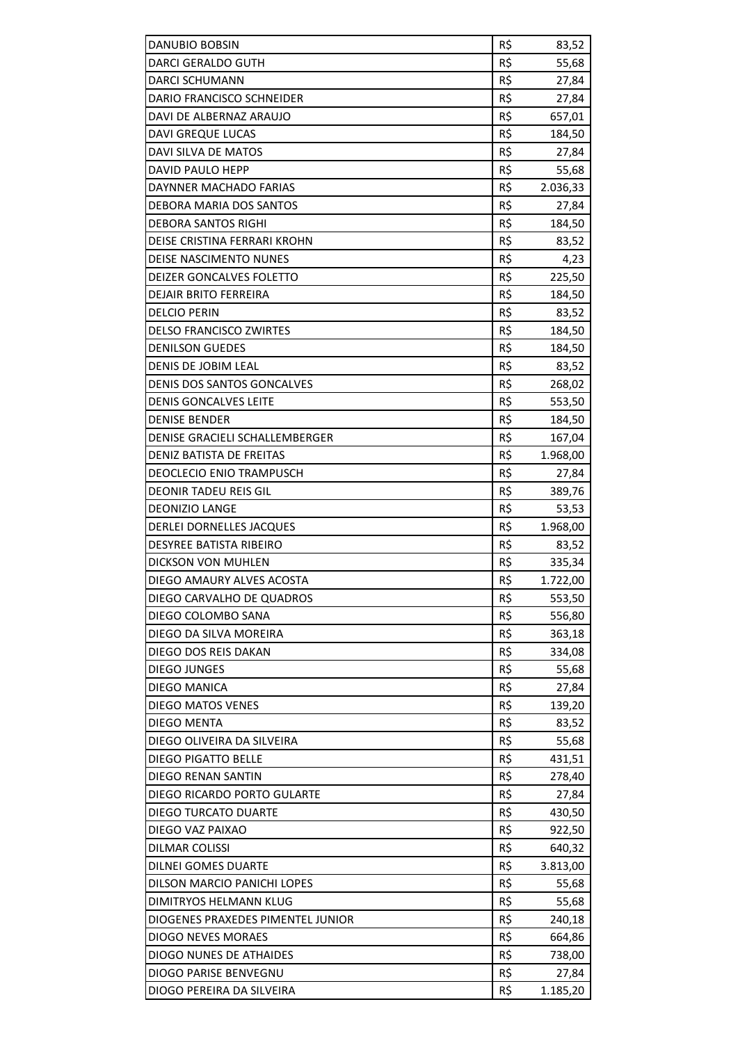| R\$<br>DARCI GERALDO GUTH<br>55,68<br><b>DARCI SCHUMANN</b><br>R\$<br>27,84<br>R\$<br>DARIO FRANCISCO SCHNEIDER<br>27,84<br>R\$<br>DAVI DE ALBERNAZ ARAUJO<br>657,01<br>R\$<br>DAVI GREQUE LUCAS<br>184,50<br>R\$<br>DAVI SILVA DE MATOS<br>27,84<br>R\$<br>DAVID PAULO HEPP<br>55,68<br>R\$<br>DAYNNER MACHADO FARIAS<br>2.036,33<br>R\$<br>DEBORA MARIA DOS SANTOS<br>27,84<br>R\$<br><b>DEBORA SANTOS RIGHI</b><br>184,50<br>R\$<br>DEISE CRISTINA FERRARI KROHN<br>83,52<br>R\$<br>DEISE NASCIMENTO NUNES<br>4,23<br>R\$<br>225,50<br>DEIZER GONCALVES FOLETTO<br>R\$<br><b>DEJAIR BRITO FERREIRA</b><br>184,50<br>R\$<br><b>DELCIO PERIN</b><br>83,52<br>R\$<br><b>DELSO FRANCISCO ZWIRTES</b><br>184,50<br><b>DENILSON GUEDES</b><br>R\$<br>184,50<br>R\$<br><b>DENIS DE JOBIM LEAL</b><br>83,52<br>R\$<br><b>DENIS DOS SANTOS GONCALVES</b><br>268,02<br>R\$<br><b>DENIS GONCALVES LEITE</b><br>553,50<br>R\$<br><b>DENISE BENDER</b><br>184,50<br>DENISE GRACIELI SCHALLEMBERGER<br>R\$<br>167,04<br>R\$<br>DENIZ BATISTA DE FREITAS<br>1.968,00<br>R\$<br>DEOCLECIO ENIO TRAMPUSCH<br>27,84<br>R\$<br><b>DEONIR TADEU REIS GIL</b><br>389,76<br><b>DEONIZIO LANGE</b><br>R\$<br>53,53<br>DERLEI DORNELLES JACQUES<br>R\$<br>1.968,00<br>R\$<br><b>DESYREE BATISTA RIBEIRO</b><br>83,52<br>R\$<br>DICKSON VON MUHLEN<br>335,34<br>R\$<br>DIEGO AMAURY ALVES ACOSTA<br>1.722,00<br>DIEGO CARVALHO DE QUADROS<br>R\$<br>553,50<br>DIEGO COLOMBO SANA<br>R\$<br>556,80<br>R\$<br>DIEGO DA SILVA MOREIRA<br>363,18<br>R\$<br>DIEGO DOS REIS DAKAN<br>334,08<br>R\$<br><b>DIEGO JUNGES</b><br>55,68<br>DIEGO MANICA<br>R\$<br>27,84<br><b>DIEGO MATOS VENES</b><br>R\$<br>139,20<br>R\$<br><b>DIEGO MENTA</b><br>83,52<br>R\$<br>DIEGO OLIVEIRA DA SILVEIRA<br>55,68<br>R\$<br><b>DIEGO PIGATTO BELLE</b><br>431,51<br>R\$<br>DIEGO RENAN SANTIN<br>278,40<br>DIEGO RICARDO PORTO GULARTE<br>R\$<br>27,84<br>R\$<br>DIEGO TURCATO DUARTE<br>430,50<br>R\$<br>DIEGO VAZ PAIXAO<br>922,50<br>R\$<br><b>DILMAR COLISSI</b><br>640,32<br>R\$<br><b>DILNEI GOMES DUARTE</b><br>3.813,00<br>DILSON MARCIO PANICHI LOPES<br>R\$<br>55,68<br>R\$<br>DIMITRYOS HELMANN KLUG<br>55,68<br>R\$<br>DIOGENES PRAXEDES PIMENTEL JUNIOR<br>240,18<br>R\$<br>DIOGO NEVES MORAES<br>664,86<br>R\$<br>DIOGO NUNES DE ATHAIDES<br>738,00 | DIOGO PARISE BENVEGNU<br>R\$<br>27,84 | DANUBIO BOBSIN            | R\$ | 83,52    |
|-------------------------------------------------------------------------------------------------------------------------------------------------------------------------------------------------------------------------------------------------------------------------------------------------------------------------------------------------------------------------------------------------------------------------------------------------------------------------------------------------------------------------------------------------------------------------------------------------------------------------------------------------------------------------------------------------------------------------------------------------------------------------------------------------------------------------------------------------------------------------------------------------------------------------------------------------------------------------------------------------------------------------------------------------------------------------------------------------------------------------------------------------------------------------------------------------------------------------------------------------------------------------------------------------------------------------------------------------------------------------------------------------------------------------------------------------------------------------------------------------------------------------------------------------------------------------------------------------------------------------------------------------------------------------------------------------------------------------------------------------------------------------------------------------------------------------------------------------------------------------------------------------------------------------------------------------------------------------------------------------------------------------------------------------------------------------------------------------------------------------------------------------------------------------------------------------------------------------------------------------------------------------------------------------------------------------|---------------------------------------|---------------------------|-----|----------|
|                                                                                                                                                                                                                                                                                                                                                                                                                                                                                                                                                                                                                                                                                                                                                                                                                                                                                                                                                                                                                                                                                                                                                                                                                                                                                                                                                                                                                                                                                                                                                                                                                                                                                                                                                                                                                                                                                                                                                                                                                                                                                                                                                                                                                                                                                                                         |                                       |                           |     |          |
|                                                                                                                                                                                                                                                                                                                                                                                                                                                                                                                                                                                                                                                                                                                                                                                                                                                                                                                                                                                                                                                                                                                                                                                                                                                                                                                                                                                                                                                                                                                                                                                                                                                                                                                                                                                                                                                                                                                                                                                                                                                                                                                                                                                                                                                                                                                         |                                       |                           |     |          |
|                                                                                                                                                                                                                                                                                                                                                                                                                                                                                                                                                                                                                                                                                                                                                                                                                                                                                                                                                                                                                                                                                                                                                                                                                                                                                                                                                                                                                                                                                                                                                                                                                                                                                                                                                                                                                                                                                                                                                                                                                                                                                                                                                                                                                                                                                                                         |                                       |                           |     |          |
|                                                                                                                                                                                                                                                                                                                                                                                                                                                                                                                                                                                                                                                                                                                                                                                                                                                                                                                                                                                                                                                                                                                                                                                                                                                                                                                                                                                                                                                                                                                                                                                                                                                                                                                                                                                                                                                                                                                                                                                                                                                                                                                                                                                                                                                                                                                         |                                       |                           |     |          |
|                                                                                                                                                                                                                                                                                                                                                                                                                                                                                                                                                                                                                                                                                                                                                                                                                                                                                                                                                                                                                                                                                                                                                                                                                                                                                                                                                                                                                                                                                                                                                                                                                                                                                                                                                                                                                                                                                                                                                                                                                                                                                                                                                                                                                                                                                                                         |                                       |                           |     |          |
|                                                                                                                                                                                                                                                                                                                                                                                                                                                                                                                                                                                                                                                                                                                                                                                                                                                                                                                                                                                                                                                                                                                                                                                                                                                                                                                                                                                                                                                                                                                                                                                                                                                                                                                                                                                                                                                                                                                                                                                                                                                                                                                                                                                                                                                                                                                         |                                       |                           |     |          |
|                                                                                                                                                                                                                                                                                                                                                                                                                                                                                                                                                                                                                                                                                                                                                                                                                                                                                                                                                                                                                                                                                                                                                                                                                                                                                                                                                                                                                                                                                                                                                                                                                                                                                                                                                                                                                                                                                                                                                                                                                                                                                                                                                                                                                                                                                                                         |                                       |                           |     |          |
|                                                                                                                                                                                                                                                                                                                                                                                                                                                                                                                                                                                                                                                                                                                                                                                                                                                                                                                                                                                                                                                                                                                                                                                                                                                                                                                                                                                                                                                                                                                                                                                                                                                                                                                                                                                                                                                                                                                                                                                                                                                                                                                                                                                                                                                                                                                         |                                       |                           |     |          |
|                                                                                                                                                                                                                                                                                                                                                                                                                                                                                                                                                                                                                                                                                                                                                                                                                                                                                                                                                                                                                                                                                                                                                                                                                                                                                                                                                                                                                                                                                                                                                                                                                                                                                                                                                                                                                                                                                                                                                                                                                                                                                                                                                                                                                                                                                                                         |                                       |                           |     |          |
|                                                                                                                                                                                                                                                                                                                                                                                                                                                                                                                                                                                                                                                                                                                                                                                                                                                                                                                                                                                                                                                                                                                                                                                                                                                                                                                                                                                                                                                                                                                                                                                                                                                                                                                                                                                                                                                                                                                                                                                                                                                                                                                                                                                                                                                                                                                         |                                       |                           |     |          |
|                                                                                                                                                                                                                                                                                                                                                                                                                                                                                                                                                                                                                                                                                                                                                                                                                                                                                                                                                                                                                                                                                                                                                                                                                                                                                                                                                                                                                                                                                                                                                                                                                                                                                                                                                                                                                                                                                                                                                                                                                                                                                                                                                                                                                                                                                                                         |                                       |                           |     |          |
|                                                                                                                                                                                                                                                                                                                                                                                                                                                                                                                                                                                                                                                                                                                                                                                                                                                                                                                                                                                                                                                                                                                                                                                                                                                                                                                                                                                                                                                                                                                                                                                                                                                                                                                                                                                                                                                                                                                                                                                                                                                                                                                                                                                                                                                                                                                         |                                       |                           |     |          |
|                                                                                                                                                                                                                                                                                                                                                                                                                                                                                                                                                                                                                                                                                                                                                                                                                                                                                                                                                                                                                                                                                                                                                                                                                                                                                                                                                                                                                                                                                                                                                                                                                                                                                                                                                                                                                                                                                                                                                                                                                                                                                                                                                                                                                                                                                                                         |                                       |                           |     |          |
|                                                                                                                                                                                                                                                                                                                                                                                                                                                                                                                                                                                                                                                                                                                                                                                                                                                                                                                                                                                                                                                                                                                                                                                                                                                                                                                                                                                                                                                                                                                                                                                                                                                                                                                                                                                                                                                                                                                                                                                                                                                                                                                                                                                                                                                                                                                         |                                       |                           |     |          |
|                                                                                                                                                                                                                                                                                                                                                                                                                                                                                                                                                                                                                                                                                                                                                                                                                                                                                                                                                                                                                                                                                                                                                                                                                                                                                                                                                                                                                                                                                                                                                                                                                                                                                                                                                                                                                                                                                                                                                                                                                                                                                                                                                                                                                                                                                                                         |                                       |                           |     |          |
|                                                                                                                                                                                                                                                                                                                                                                                                                                                                                                                                                                                                                                                                                                                                                                                                                                                                                                                                                                                                                                                                                                                                                                                                                                                                                                                                                                                                                                                                                                                                                                                                                                                                                                                                                                                                                                                                                                                                                                                                                                                                                                                                                                                                                                                                                                                         |                                       |                           |     |          |
|                                                                                                                                                                                                                                                                                                                                                                                                                                                                                                                                                                                                                                                                                                                                                                                                                                                                                                                                                                                                                                                                                                                                                                                                                                                                                                                                                                                                                                                                                                                                                                                                                                                                                                                                                                                                                                                                                                                                                                                                                                                                                                                                                                                                                                                                                                                         |                                       |                           |     |          |
|                                                                                                                                                                                                                                                                                                                                                                                                                                                                                                                                                                                                                                                                                                                                                                                                                                                                                                                                                                                                                                                                                                                                                                                                                                                                                                                                                                                                                                                                                                                                                                                                                                                                                                                                                                                                                                                                                                                                                                                                                                                                                                                                                                                                                                                                                                                         |                                       |                           |     |          |
|                                                                                                                                                                                                                                                                                                                                                                                                                                                                                                                                                                                                                                                                                                                                                                                                                                                                                                                                                                                                                                                                                                                                                                                                                                                                                                                                                                                                                                                                                                                                                                                                                                                                                                                                                                                                                                                                                                                                                                                                                                                                                                                                                                                                                                                                                                                         |                                       |                           |     |          |
|                                                                                                                                                                                                                                                                                                                                                                                                                                                                                                                                                                                                                                                                                                                                                                                                                                                                                                                                                                                                                                                                                                                                                                                                                                                                                                                                                                                                                                                                                                                                                                                                                                                                                                                                                                                                                                                                                                                                                                                                                                                                                                                                                                                                                                                                                                                         |                                       |                           |     |          |
|                                                                                                                                                                                                                                                                                                                                                                                                                                                                                                                                                                                                                                                                                                                                                                                                                                                                                                                                                                                                                                                                                                                                                                                                                                                                                                                                                                                                                                                                                                                                                                                                                                                                                                                                                                                                                                                                                                                                                                                                                                                                                                                                                                                                                                                                                                                         |                                       |                           |     |          |
|                                                                                                                                                                                                                                                                                                                                                                                                                                                                                                                                                                                                                                                                                                                                                                                                                                                                                                                                                                                                                                                                                                                                                                                                                                                                                                                                                                                                                                                                                                                                                                                                                                                                                                                                                                                                                                                                                                                                                                                                                                                                                                                                                                                                                                                                                                                         |                                       |                           |     |          |
|                                                                                                                                                                                                                                                                                                                                                                                                                                                                                                                                                                                                                                                                                                                                                                                                                                                                                                                                                                                                                                                                                                                                                                                                                                                                                                                                                                                                                                                                                                                                                                                                                                                                                                                                                                                                                                                                                                                                                                                                                                                                                                                                                                                                                                                                                                                         |                                       |                           |     |          |
|                                                                                                                                                                                                                                                                                                                                                                                                                                                                                                                                                                                                                                                                                                                                                                                                                                                                                                                                                                                                                                                                                                                                                                                                                                                                                                                                                                                                                                                                                                                                                                                                                                                                                                                                                                                                                                                                                                                                                                                                                                                                                                                                                                                                                                                                                                                         |                                       |                           |     |          |
|                                                                                                                                                                                                                                                                                                                                                                                                                                                                                                                                                                                                                                                                                                                                                                                                                                                                                                                                                                                                                                                                                                                                                                                                                                                                                                                                                                                                                                                                                                                                                                                                                                                                                                                                                                                                                                                                                                                                                                                                                                                                                                                                                                                                                                                                                                                         |                                       |                           |     |          |
|                                                                                                                                                                                                                                                                                                                                                                                                                                                                                                                                                                                                                                                                                                                                                                                                                                                                                                                                                                                                                                                                                                                                                                                                                                                                                                                                                                                                                                                                                                                                                                                                                                                                                                                                                                                                                                                                                                                                                                                                                                                                                                                                                                                                                                                                                                                         |                                       |                           |     |          |
|                                                                                                                                                                                                                                                                                                                                                                                                                                                                                                                                                                                                                                                                                                                                                                                                                                                                                                                                                                                                                                                                                                                                                                                                                                                                                                                                                                                                                                                                                                                                                                                                                                                                                                                                                                                                                                                                                                                                                                                                                                                                                                                                                                                                                                                                                                                         |                                       |                           |     |          |
|                                                                                                                                                                                                                                                                                                                                                                                                                                                                                                                                                                                                                                                                                                                                                                                                                                                                                                                                                                                                                                                                                                                                                                                                                                                                                                                                                                                                                                                                                                                                                                                                                                                                                                                                                                                                                                                                                                                                                                                                                                                                                                                                                                                                                                                                                                                         |                                       |                           |     |          |
|                                                                                                                                                                                                                                                                                                                                                                                                                                                                                                                                                                                                                                                                                                                                                                                                                                                                                                                                                                                                                                                                                                                                                                                                                                                                                                                                                                                                                                                                                                                                                                                                                                                                                                                                                                                                                                                                                                                                                                                                                                                                                                                                                                                                                                                                                                                         |                                       |                           |     |          |
|                                                                                                                                                                                                                                                                                                                                                                                                                                                                                                                                                                                                                                                                                                                                                                                                                                                                                                                                                                                                                                                                                                                                                                                                                                                                                                                                                                                                                                                                                                                                                                                                                                                                                                                                                                                                                                                                                                                                                                                                                                                                                                                                                                                                                                                                                                                         |                                       |                           |     |          |
|                                                                                                                                                                                                                                                                                                                                                                                                                                                                                                                                                                                                                                                                                                                                                                                                                                                                                                                                                                                                                                                                                                                                                                                                                                                                                                                                                                                                                                                                                                                                                                                                                                                                                                                                                                                                                                                                                                                                                                                                                                                                                                                                                                                                                                                                                                                         |                                       |                           |     |          |
|                                                                                                                                                                                                                                                                                                                                                                                                                                                                                                                                                                                                                                                                                                                                                                                                                                                                                                                                                                                                                                                                                                                                                                                                                                                                                                                                                                                                                                                                                                                                                                                                                                                                                                                                                                                                                                                                                                                                                                                                                                                                                                                                                                                                                                                                                                                         |                                       |                           |     |          |
|                                                                                                                                                                                                                                                                                                                                                                                                                                                                                                                                                                                                                                                                                                                                                                                                                                                                                                                                                                                                                                                                                                                                                                                                                                                                                                                                                                                                                                                                                                                                                                                                                                                                                                                                                                                                                                                                                                                                                                                                                                                                                                                                                                                                                                                                                                                         |                                       |                           |     |          |
|                                                                                                                                                                                                                                                                                                                                                                                                                                                                                                                                                                                                                                                                                                                                                                                                                                                                                                                                                                                                                                                                                                                                                                                                                                                                                                                                                                                                                                                                                                                                                                                                                                                                                                                                                                                                                                                                                                                                                                                                                                                                                                                                                                                                                                                                                                                         |                                       |                           |     |          |
|                                                                                                                                                                                                                                                                                                                                                                                                                                                                                                                                                                                                                                                                                                                                                                                                                                                                                                                                                                                                                                                                                                                                                                                                                                                                                                                                                                                                                                                                                                                                                                                                                                                                                                                                                                                                                                                                                                                                                                                                                                                                                                                                                                                                                                                                                                                         |                                       |                           |     |          |
|                                                                                                                                                                                                                                                                                                                                                                                                                                                                                                                                                                                                                                                                                                                                                                                                                                                                                                                                                                                                                                                                                                                                                                                                                                                                                                                                                                                                                                                                                                                                                                                                                                                                                                                                                                                                                                                                                                                                                                                                                                                                                                                                                                                                                                                                                                                         |                                       |                           |     |          |
|                                                                                                                                                                                                                                                                                                                                                                                                                                                                                                                                                                                                                                                                                                                                                                                                                                                                                                                                                                                                                                                                                                                                                                                                                                                                                                                                                                                                                                                                                                                                                                                                                                                                                                                                                                                                                                                                                                                                                                                                                                                                                                                                                                                                                                                                                                                         |                                       |                           |     |          |
|                                                                                                                                                                                                                                                                                                                                                                                                                                                                                                                                                                                                                                                                                                                                                                                                                                                                                                                                                                                                                                                                                                                                                                                                                                                                                                                                                                                                                                                                                                                                                                                                                                                                                                                                                                                                                                                                                                                                                                                                                                                                                                                                                                                                                                                                                                                         |                                       |                           |     |          |
|                                                                                                                                                                                                                                                                                                                                                                                                                                                                                                                                                                                                                                                                                                                                                                                                                                                                                                                                                                                                                                                                                                                                                                                                                                                                                                                                                                                                                                                                                                                                                                                                                                                                                                                                                                                                                                                                                                                                                                                                                                                                                                                                                                                                                                                                                                                         |                                       |                           |     |          |
|                                                                                                                                                                                                                                                                                                                                                                                                                                                                                                                                                                                                                                                                                                                                                                                                                                                                                                                                                                                                                                                                                                                                                                                                                                                                                                                                                                                                                                                                                                                                                                                                                                                                                                                                                                                                                                                                                                                                                                                                                                                                                                                                                                                                                                                                                                                         |                                       |                           |     |          |
|                                                                                                                                                                                                                                                                                                                                                                                                                                                                                                                                                                                                                                                                                                                                                                                                                                                                                                                                                                                                                                                                                                                                                                                                                                                                                                                                                                                                                                                                                                                                                                                                                                                                                                                                                                                                                                                                                                                                                                                                                                                                                                                                                                                                                                                                                                                         |                                       |                           |     |          |
|                                                                                                                                                                                                                                                                                                                                                                                                                                                                                                                                                                                                                                                                                                                                                                                                                                                                                                                                                                                                                                                                                                                                                                                                                                                                                                                                                                                                                                                                                                                                                                                                                                                                                                                                                                                                                                                                                                                                                                                                                                                                                                                                                                                                                                                                                                                         |                                       |                           |     |          |
|                                                                                                                                                                                                                                                                                                                                                                                                                                                                                                                                                                                                                                                                                                                                                                                                                                                                                                                                                                                                                                                                                                                                                                                                                                                                                                                                                                                                                                                                                                                                                                                                                                                                                                                                                                                                                                                                                                                                                                                                                                                                                                                                                                                                                                                                                                                         |                                       |                           |     |          |
|                                                                                                                                                                                                                                                                                                                                                                                                                                                                                                                                                                                                                                                                                                                                                                                                                                                                                                                                                                                                                                                                                                                                                                                                                                                                                                                                                                                                                                                                                                                                                                                                                                                                                                                                                                                                                                                                                                                                                                                                                                                                                                                                                                                                                                                                                                                         |                                       |                           |     |          |
|                                                                                                                                                                                                                                                                                                                                                                                                                                                                                                                                                                                                                                                                                                                                                                                                                                                                                                                                                                                                                                                                                                                                                                                                                                                                                                                                                                                                                                                                                                                                                                                                                                                                                                                                                                                                                                                                                                                                                                                                                                                                                                                                                                                                                                                                                                                         |                                       |                           |     |          |
|                                                                                                                                                                                                                                                                                                                                                                                                                                                                                                                                                                                                                                                                                                                                                                                                                                                                                                                                                                                                                                                                                                                                                                                                                                                                                                                                                                                                                                                                                                                                                                                                                                                                                                                                                                                                                                                                                                                                                                                                                                                                                                                                                                                                                                                                                                                         |                                       |                           |     |          |
|                                                                                                                                                                                                                                                                                                                                                                                                                                                                                                                                                                                                                                                                                                                                                                                                                                                                                                                                                                                                                                                                                                                                                                                                                                                                                                                                                                                                                                                                                                                                                                                                                                                                                                                                                                                                                                                                                                                                                                                                                                                                                                                                                                                                                                                                                                                         |                                       |                           |     |          |
|                                                                                                                                                                                                                                                                                                                                                                                                                                                                                                                                                                                                                                                                                                                                                                                                                                                                                                                                                                                                                                                                                                                                                                                                                                                                                                                                                                                                                                                                                                                                                                                                                                                                                                                                                                                                                                                                                                                                                                                                                                                                                                                                                                                                                                                                                                                         |                                       |                           |     |          |
|                                                                                                                                                                                                                                                                                                                                                                                                                                                                                                                                                                                                                                                                                                                                                                                                                                                                                                                                                                                                                                                                                                                                                                                                                                                                                                                                                                                                                                                                                                                                                                                                                                                                                                                                                                                                                                                                                                                                                                                                                                                                                                                                                                                                                                                                                                                         |                                       |                           |     |          |
|                                                                                                                                                                                                                                                                                                                                                                                                                                                                                                                                                                                                                                                                                                                                                                                                                                                                                                                                                                                                                                                                                                                                                                                                                                                                                                                                                                                                                                                                                                                                                                                                                                                                                                                                                                                                                                                                                                                                                                                                                                                                                                                                                                                                                                                                                                                         |                                       |                           |     |          |
|                                                                                                                                                                                                                                                                                                                                                                                                                                                                                                                                                                                                                                                                                                                                                                                                                                                                                                                                                                                                                                                                                                                                                                                                                                                                                                                                                                                                                                                                                                                                                                                                                                                                                                                                                                                                                                                                                                                                                                                                                                                                                                                                                                                                                                                                                                                         |                                       |                           |     |          |
|                                                                                                                                                                                                                                                                                                                                                                                                                                                                                                                                                                                                                                                                                                                                                                                                                                                                                                                                                                                                                                                                                                                                                                                                                                                                                                                                                                                                                                                                                                                                                                                                                                                                                                                                                                                                                                                                                                                                                                                                                                                                                                                                                                                                                                                                                                                         |                                       |                           |     |          |
|                                                                                                                                                                                                                                                                                                                                                                                                                                                                                                                                                                                                                                                                                                                                                                                                                                                                                                                                                                                                                                                                                                                                                                                                                                                                                                                                                                                                                                                                                                                                                                                                                                                                                                                                                                                                                                                                                                                                                                                                                                                                                                                                                                                                                                                                                                                         |                                       | DIOGO PEREIRA DA SILVEIRA | R\$ | 1.185,20 |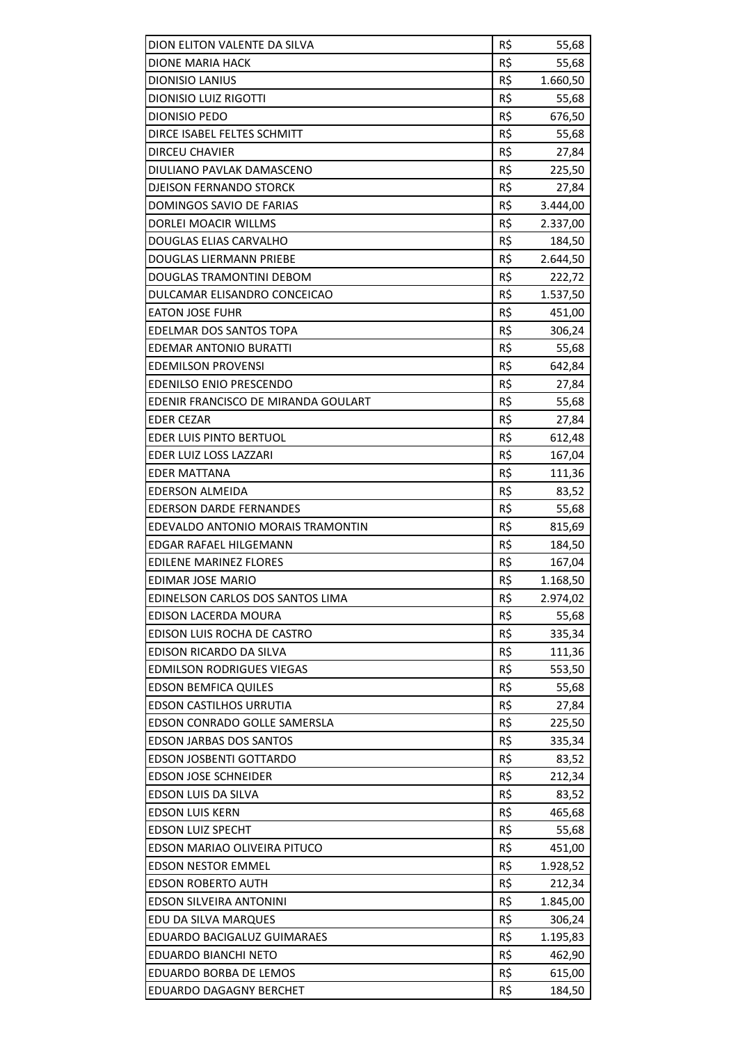| DION ELITON VALENTE DA SILVA        | R\$ | 55,68    |
|-------------------------------------|-----|----------|
| DIONE MARIA HACK                    | R\$ | 55,68    |
| <b>DIONISIO LANIUS</b>              | R\$ | 1.660,50 |
| <b>DIONISIO LUIZ RIGOTTI</b>        | R\$ | 55,68    |
| <b>DIONISIO PEDO</b>                | R\$ | 676,50   |
| DIRCE ISABEL FELTES SCHMITT         | R\$ | 55,68    |
| <b>DIRCEU CHAVIER</b>               | R\$ | 27,84    |
| DIULIANO PAVLAK DAMASCENO           | R\$ | 225,50   |
| <b>DJEISON FERNANDO STORCK</b>      | R\$ | 27,84    |
| DOMINGOS SAVIO DE FARIAS            | R\$ | 3.444,00 |
| DORLEI MOACIR WILLMS                | R\$ | 2.337,00 |
| DOUGLAS ELIAS CARVALHO              | R\$ | 184,50   |
| DOUGLAS LIERMANN PRIEBE             | R\$ | 2.644,50 |
| DOUGLAS TRAMONTINI DEBOM            | R\$ | 222,72   |
| DULCAMAR ELISANDRO CONCEICAO        | R\$ | 1.537,50 |
| <b>EATON JOSE FUHR</b>              | R\$ | 451,00   |
| EDELMAR DOS SANTOS TOPA             | R\$ | 306,24   |
| <b>EDEMAR ANTONIO BURATTI</b>       | R\$ | 55,68    |
| <b>EDEMILSON PROVENSI</b>           | R\$ |          |
|                                     |     | 642,84   |
| EDENILSO ENIO PRESCENDO             | R\$ | 27,84    |
| EDENIR FRANCISCO DE MIRANDA GOULART | R\$ | 55,68    |
| <b>EDER CEZAR</b>                   | R\$ | 27,84    |
| EDER LUIS PINTO BERTUOL             | R\$ | 612,48   |
| EDER LUIZ LOSS LAZZARI              | R\$ | 167,04   |
| EDER MATTANA                        | R\$ | 111,36   |
| <b>EDERSON ALMEIDA</b>              | R\$ | 83,52    |
| <b>EDERSON DARDE FERNANDES</b>      | R\$ | 55,68    |
| EDEVALDO ANTONIO MORAIS TRAMONTIN   | R\$ | 815,69   |
| <b>EDGAR RAFAEL HILGEMANN</b>       | R\$ | 184,50   |
| EDILENE MARINEZ FLORES              | R\$ | 167,04   |
| EDIMAR JOSE MARIO                   | R\$ | 1.168,50 |
| EDINELSON CARLOS DOS SANTOS LIMA    | R\$ | 2.974,02 |
| <b>EDISON LACERDA MOURA</b>         | R\$ | 55,68    |
| EDISON LUIS ROCHA DE CASTRO         | R\$ | 335,34   |
| EDISON RICARDO DA SILVA             | R\$ | 111,36   |
| <b>EDMILSON RODRIGUES VIEGAS</b>    | R\$ | 553,50   |
| <b>EDSON BEMFICA QUILES</b>         | R\$ | 55,68    |
| EDSON CASTILHOS URRUTIA             | R\$ | 27,84    |
| EDSON CONRADO GOLLE SAMERSLA        | R\$ | 225,50   |
| <b>EDSON JARBAS DOS SANTOS</b>      | R\$ | 335,34   |
| EDSON JOSBENTI GOTTARDO             | R\$ | 83,52    |
| <b>EDSON JOSE SCHNEIDER</b>         | R\$ | 212,34   |
| EDSON LUIS DA SILVA                 | R\$ | 83,52    |
| <b>EDSON LUIS KERN</b>              | R\$ | 465,68   |
| <b>EDSON LUIZ SPECHT</b>            | R\$ | 55,68    |
| EDSON MARIAO OLIVEIRA PITUCO        | R\$ | 451,00   |
| <b>EDSON NESTOR EMMEL</b>           | R\$ | 1.928,52 |
| <b>EDSON ROBERTO AUTH</b>           | R\$ | 212,34   |
| EDSON SILVEIRA ANTONINI             | R\$ | 1.845,00 |
| EDU DA SILVA MARQUES                | R\$ | 306,24   |
| EDUARDO BACIGALUZ GUIMARAES         | R\$ | 1.195,83 |
| EDUARDO BIANCHI NETO                | R\$ | 462,90   |
| EDUARDO BORBA DE LEMOS              | R\$ | 615,00   |
| <b>EDUARDO DAGAGNY BERCHET</b>      | R\$ | 184,50   |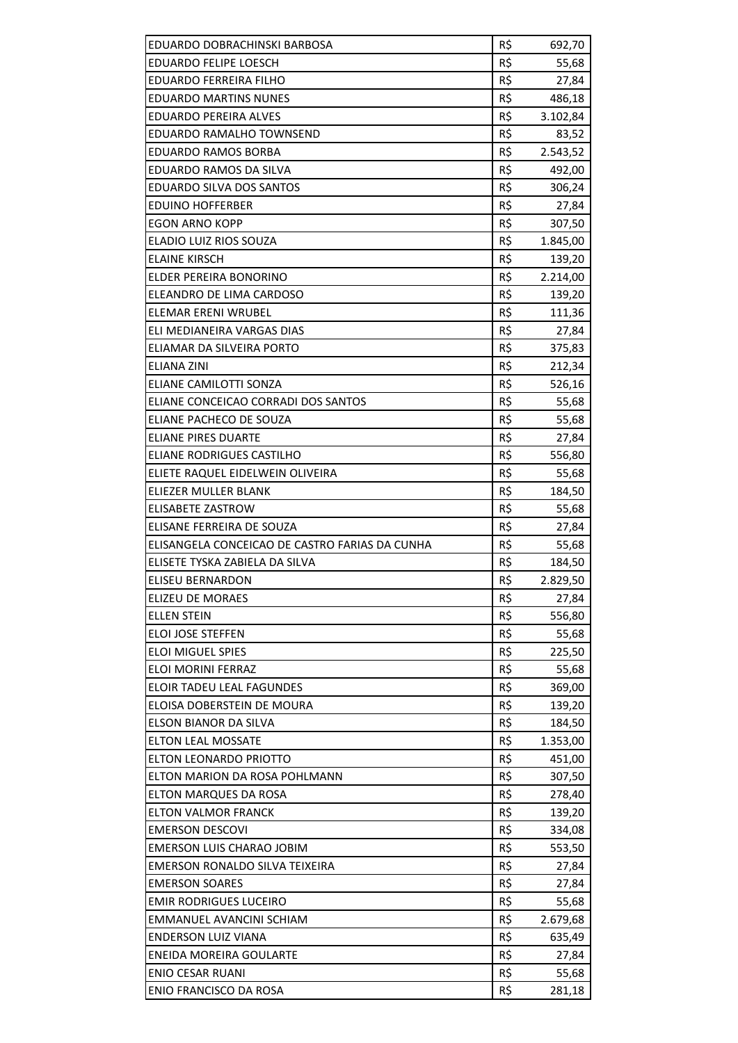| EDUARDO DOBRACHINSKI BARBOSA                    | R\$        | 692,70   |
|-------------------------------------------------|------------|----------|
| EDUARDO FELIPE LOESCH                           | R\$        | 55,68    |
| <b>EDUARDO FERREIRA FILHO</b>                   | R\$        | 27,84    |
| <b>EDUARDO MARTINS NUNES</b>                    | R\$        | 486,18   |
| EDUARDO PEREIRA ALVES                           | R\$        | 3.102,84 |
| EDUARDO RAMALHO TOWNSEND                        | R\$        | 83,52    |
| EDUARDO RAMOS BORBA                             | R\$        | 2.543,52 |
| EDUARDO RAMOS DA SILVA                          | R\$        | 492,00   |
| EDUARDO SILVA DOS SANTOS                        | R\$        | 306,24   |
| EDUINO HOFFERBER                                | R\$        | 27,84    |
| <b>EGON ARNO KOPP</b>                           | R\$        | 307,50   |
| ELADIO LUIZ RIOS SOUZA                          | R\$        | 1.845,00 |
| <b>ELAINE KIRSCH</b>                            | R\$        | 139,20   |
| ELDER PEREIRA BONORINO                          | R\$        | 2.214,00 |
| ELEANDRO DE LIMA CARDOSO                        | R\$        | 139,20   |
| ELEMAR ERENI WRUBEL                             | R\$        | 111,36   |
| ELI MEDIANEIRA VARGAS DIAS                      | R\$        | 27,84    |
|                                                 |            |          |
| ELIAMAR DA SILVEIRA PORTO<br><b>ELIANA ZINI</b> | R\$<br>R\$ | 375,83   |
|                                                 |            | 212,34   |
| ELIANE CAMILOTTI SONZA                          | R\$        | 526,16   |
| ELIANE CONCEICAO CORRADI DOS SANTOS             | R\$        | 55,68    |
| ELIANE PACHECO DE SOUZA                         | R\$        | 55,68    |
| ELIANE PIRES DUARTE                             | R\$        | 27,84    |
| ELIANE RODRIGUES CASTILHO                       | R\$        | 556,80   |
| ELIETE RAQUEL EIDELWEIN OLIVEIRA                | R\$        | 55,68    |
| ELIEZER MULLER BLANK                            | R\$        | 184,50   |
| <b>ELISABETE ZASTROW</b>                        | R\$        | 55,68    |
| ELISANE FERREIRA DE SOUZA                       | R\$        | 27,84    |
| ELISANGELA CONCEICAO DE CASTRO FARIAS DA CUNHA  | R\$        | 55,68    |
| ELISETE TYSKA ZABIELA DA SILVA                  | R\$        | 184,50   |
| ELISEU BERNARDON                                | R\$        | 2.829,50 |
| ELIZEU DE MORAES                                | R\$        | 27,84    |
| <b>ELLEN STEIN</b>                              | R\$        | 556,80   |
| ELOI JOSE STEFFEN                               | R\$        | 55,68    |
| <b>ELOI MIGUEL SPIES</b>                        | R\$        | 225,50   |
| ELOI MORINI FERRAZ                              | R\$        | 55,68    |
| ELOIR TADEU LEAL FAGUNDES                       | R\$        | 369,00   |
| ELOISA DOBERSTEIN DE MOURA                      | R\$        | 139,20   |
| ELSON BIANOR DA SILVA                           | R\$        | 184,50   |
| <b>ELTON LEAL MOSSATE</b>                       | R\$        | 1.353,00 |
| ELTON LEONARDO PRIOTTO                          | R\$        | 451,00   |
| ELTON MARION DA ROSA POHLMANN                   | R\$        | 307,50   |
| ELTON MARQUES DA ROSA                           | R\$        | 278,40   |
| <b>ELTON VALMOR FRANCK</b>                      | R\$        | 139,20   |
| <b>EMERSON DESCOVI</b>                          | R\$        | 334,08   |
| EMERSON LUIS CHARAO JOBIM                       | R\$        | 553,50   |
| EMERSON RONALDO SILVA TEIXEIRA                  | R\$        | 27,84    |
| <b>EMERSON SOARES</b>                           | R\$        | 27,84    |
| <b>EMIR RODRIGUES LUCEIRO</b>                   | R\$        | 55,68    |
| EMMANUEL AVANCINI SCHIAM                        | R\$        | 2.679,68 |
| <b>ENDERSON LUIZ VIANA</b>                      | R\$        | 635,49   |
| ENEIDA MOREIRA GOULARTE                         | R\$        | 27,84    |
| <b>ENIO CESAR RUANI</b>                         | R\$        | 55,68    |
| ENIO FRANCISCO DA ROSA                          | R\$        | 281,18   |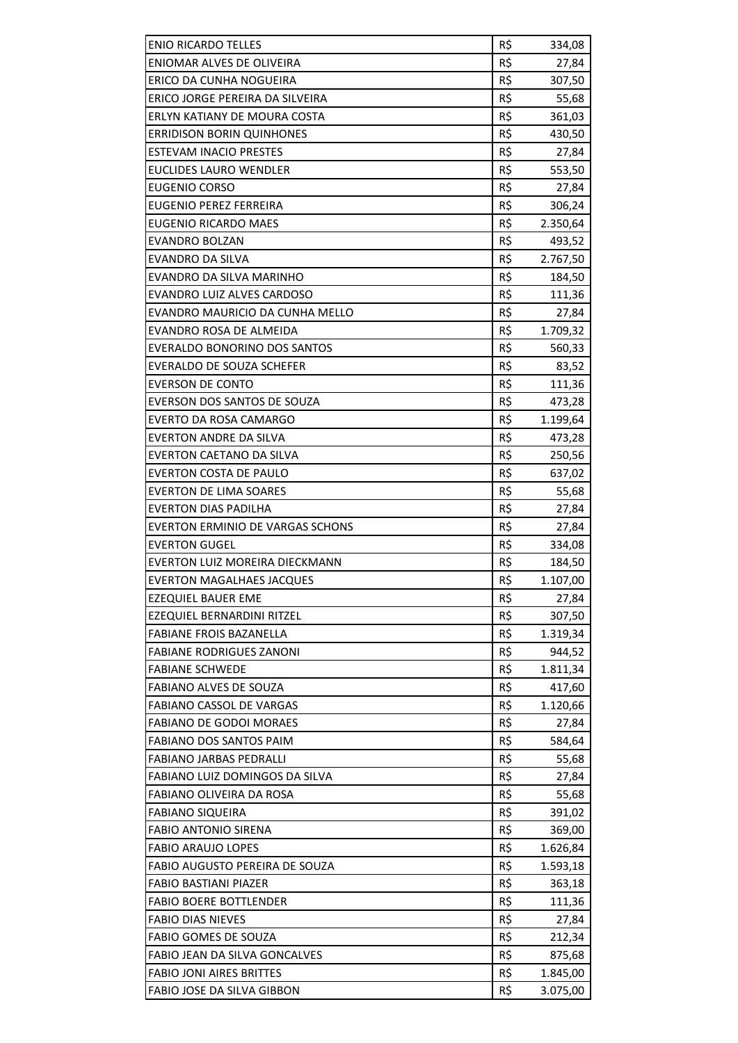| <b>ENIO RICARDO TELLES</b>       | R\$ | 334,08   |
|----------------------------------|-----|----------|
| ENIOMAR ALVES DE OLIVEIRA        | R\$ | 27,84    |
| ERICO DA CUNHA NOGUEIRA          | R\$ | 307,50   |
| ERICO JORGE PEREIRA DA SILVEIRA  | R\$ | 55,68    |
| ERLYN KATIANY DE MOURA COSTA     | R\$ | 361,03   |
| <b>ERRIDISON BORIN QUINHONES</b> | R\$ | 430,50   |
| ESTEVAM INACIO PRESTES           | R\$ | 27,84    |
| EUCLIDES LAURO WENDLER           | R\$ | 553,50   |
| <b>EUGENIO CORSO</b>             | R\$ | 27,84    |
| <b>EUGENIO PEREZ FERREIRA</b>    | R\$ | 306,24   |
| EUGENIO RICARDO MAES             | R\$ | 2.350,64 |
| <b>EVANDRO BOLZAN</b>            | R\$ | 493,52   |
| <b>EVANDRO DA SILVA</b>          | R\$ | 2.767,50 |
| EVANDRO DA SILVA MARINHO         | R\$ | 184,50   |
| EVANDRO LUIZ ALVES CARDOSO       | R\$ | 111,36   |
| EVANDRO MAURICIO DA CUNHA MELLO  | R\$ | 27,84    |
| EVANDRO ROSA DE ALMEIDA          | R\$ | 1.709,32 |
| EVERALDO BONORINO DOS SANTOS     | R\$ | 560,33   |
| <b>EVERALDO DE SOUZA SCHEFER</b> | R\$ | 83,52    |
| <b>EVERSON DE CONTO</b>          | R\$ | 111,36   |
| EVERSON DOS SANTOS DE SOUZA      | R\$ | 473,28   |
| <b>EVERTO DA ROSA CAMARGO</b>    | R\$ | 1.199,64 |
| EVERTON ANDRE DA SILVA           | R\$ | 473,28   |
| EVERTON CAETANO DA SILVA         | R\$ | 250,56   |
| EVERTON COSTA DE PAULO           | R\$ | 637,02   |
| <b>EVERTON DE LIMA SOARES</b>    | R\$ | 55,68    |
| EVERTON DIAS PADILHA             | R\$ | 27,84    |
| EVERTON ERMINIO DE VARGAS SCHONS | R\$ | 27,84    |
| <b>EVERTON GUGEL</b>             | R\$ | 334,08   |
| EVERTON LUIZ MOREIRA DIECKMANN   | R\$ | 184,50   |
| <b>EVERTON MAGALHAES JACQUES</b> | R\$ | 1.107,00 |
| <b>EZEQUIEL BAUER EME</b>        | R\$ | 27,84    |
| EZEQUIEL BERNARDINI RITZEL       | R\$ | 307,50   |
| <b>FABIANE FROIS BAZANELLA</b>   | R\$ | 1.319,34 |
| <b>FABIANE RODRIGUES ZANONI</b>  | R\$ | 944,52   |
| <b>FABIANE SCHWEDE</b>           | R\$ | 1.811,34 |
| <b>FABIANO ALVES DE SOUZA</b>    | R\$ | 417,60   |
| <b>FABIANO CASSOL DE VARGAS</b>  | R\$ | 1.120,66 |
| <b>FABIANO DE GODOI MORAES</b>   | R\$ | 27,84    |
| <b>FABIANO DOS SANTOS PAIM</b>   | R\$ | 584,64   |
| <b>FABIANO JARBAS PEDRALLI</b>   | R\$ | 55,68    |
| FABIANO LUIZ DOMINGOS DA SILVA   | R\$ | 27,84    |
| FABIANO OLIVEIRA DA ROSA         | R\$ | 55,68    |
| <b>FABIANO SIQUEIRA</b>          | R\$ | 391,02   |
| <b>FABIO ANTONIO SIRENA</b>      | R\$ | 369,00   |
| <b>FABIO ARAUJO LOPES</b>        | R\$ | 1.626,84 |
| FABIO AUGUSTO PEREIRA DE SOUZA   | R\$ | 1.593,18 |
| <b>FABIO BASTIANI PIAZER</b>     | R\$ | 363,18   |
| <b>FABIO BOERE BOTTLENDER</b>    | R\$ | 111,36   |
| <b>FABIO DIAS NIEVES</b>         | R\$ | 27,84    |
| <b>FABIO GOMES DE SOUZA</b>      | R\$ | 212,34   |
| FABIO JEAN DA SILVA GONCALVES    | R\$ | 875,68   |
| <b>FABIO JONI AIRES BRITTES</b>  | R\$ | 1.845,00 |
| FABIO JOSE DA SILVA GIBBON       | R\$ | 3.075,00 |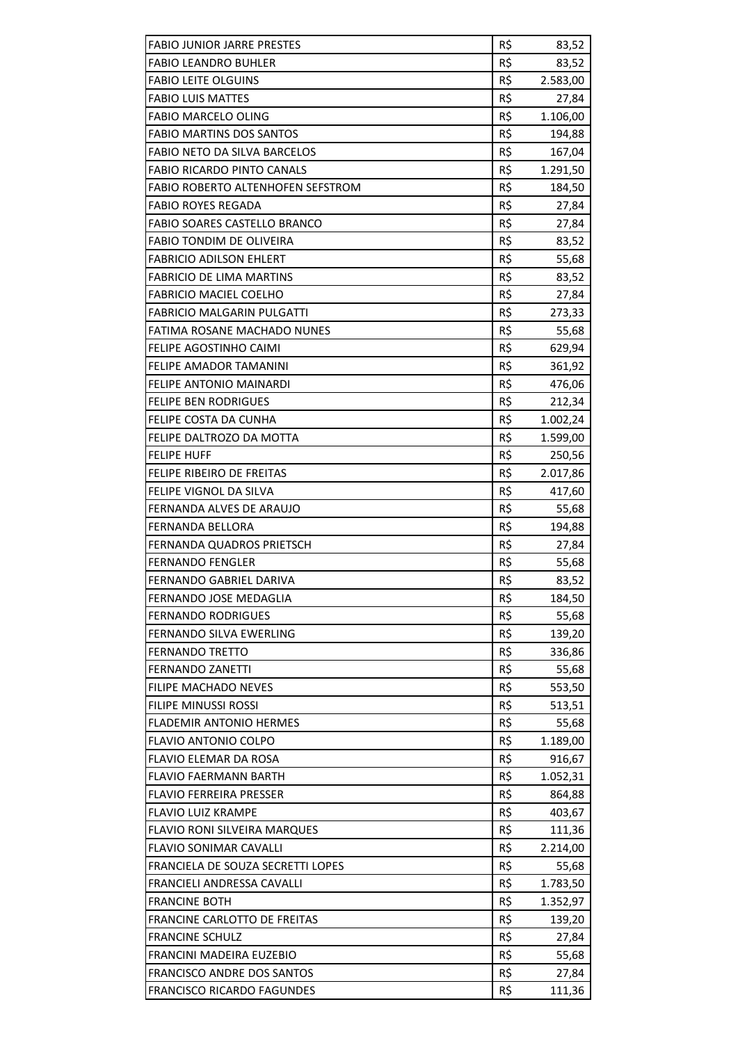| <b>FABIO JUNIOR JARRE PRESTES</b>  | R\$ | 83,52    |
|------------------------------------|-----|----------|
| <b>FABIO LEANDRO BUHLER</b>        | R\$ | 83,52    |
| <b>FABIO LEITE OLGUINS</b>         | R\$ | 2.583,00 |
| <b>FABIO LUIS MATTES</b>           | R\$ | 27,84    |
| <b>FABIO MARCELO OLING</b>         | R\$ | 1.106,00 |
| <b>FABIO MARTINS DOS SANTOS</b>    | R\$ | 194,88   |
| FABIO NETO DA SILVA BARCELOS       | R\$ | 167,04   |
| <b>FABIO RICARDO PINTO CANALS</b>  | R\$ | 1.291,50 |
| FABIO ROBERTO ALTENHOFEN SEFSTROM  | R\$ | 184,50   |
| <b>FABIO ROYES REGADA</b>          | R\$ | 27,84    |
| FABIO SOARES CASTELLO BRANCO       | R\$ | 27,84    |
| <b>FABIO TONDIM DE OLIVEIRA</b>    | R\$ | 83,52    |
| <b>FABRICIO ADILSON EHLERT</b>     | R\$ | 55,68    |
| <b>FABRICIO DE LIMA MARTINS</b>    | R\$ | 83,52    |
| <b>FABRICIO MACIEL COELHO</b>      | R\$ | 27,84    |
| <b>FABRICIO MALGARIN PULGATTI</b>  | R\$ | 273,33   |
| <b>FATIMA ROSANE MACHADO NUNES</b> | R\$ | 55,68    |
| FELIPE AGOSTINHO CAIMI             | R\$ | 629,94   |
| <b>FELIPE AMADOR TAMANINI</b>      | R\$ | 361,92   |
| FELIPE ANTONIO MAINARDI            | R\$ | 476,06   |
| <b>FELIPE BEN RODRIGUES</b>        | R\$ | 212,34   |
| FELIPE COSTA DA CUNHA              | R\$ | 1.002,24 |
| FELIPE DALTROZO DA MOTTA           | R\$ | 1.599,00 |
| <b>FELIPE HUFF</b>                 | R\$ | 250,56   |
| FELIPE RIBEIRO DE FREITAS          | R\$ | 2.017,86 |
| FELIPE VIGNOL DA SILVA             | R\$ | 417,60   |
| FERNANDA ALVES DE ARAUJO           | R\$ | 55,68    |
| FERNANDA BELLORA                   | R\$ | 194,88   |
| FERNANDA QUADROS PRIETSCH          | R\$ | 27,84    |
| <b>FERNANDO FENGLER</b>            | R\$ | 55,68    |
| FERNANDO GABRIEL DARIVA            | R\$ | 83,52    |
| FERNANDO JOSE MEDAGLIA             | R\$ | 184,50   |
| <b>FERNANDO RODRIGUES</b>          | R\$ | 55,68    |
| <b>FERNANDO SILVA EWERLING</b>     | R\$ | 139,20   |
| <b>FERNANDO TRETTO</b>             | R\$ | 336,86   |
| <b>FERNANDO ZANETTI</b>            | R\$ | 55,68    |
| <b>FILIPE MACHADO NEVES</b>        | R\$ | 553,50   |
| FILIPE MINUSSI ROSSI               | R\$ | 513,51   |
| <b>FLADEMIR ANTONIO HERMES</b>     | R\$ | 55,68    |
| <b>FLAVIO ANTONIO COLPO</b>        | R\$ | 1.189,00 |
| <b>FLAVIO ELEMAR DA ROSA</b>       | R\$ | 916,67   |
| <b>FLAVIO FAERMANN BARTH</b>       | R\$ | 1.052,31 |
| <b>FLAVIO FERREIRA PRESSER</b>     | R\$ | 864,88   |
| <b>FLAVIO LUIZ KRAMPE</b>          | R\$ | 403,67   |
| FLAVIO RONI SILVEIRA MARQUES       | R\$ | 111,36   |
| FLAVIO SONIMAR CAVALLI             | R\$ | 2.214,00 |
| FRANCIELA DE SOUZA SECRETTI LOPES  | R\$ | 55,68    |
| FRANCIELI ANDRESSA CAVALLI         | R\$ | 1.783,50 |
| <b>FRANCINE BOTH</b>               | R\$ | 1.352,97 |
| FRANCINE CARLOTTO DE FREITAS       | R\$ | 139,20   |
| <b>FRANCINE SCHULZ</b>             | R\$ | 27,84    |
| FRANCINI MADEIRA EUZEBIO           | R\$ | 55,68    |
| FRANCISCO ANDRE DOS SANTOS         | R\$ | 27,84    |
| <b>FRANCISCO RICARDO FAGUNDES</b>  | R\$ | 111,36   |
|                                    |     |          |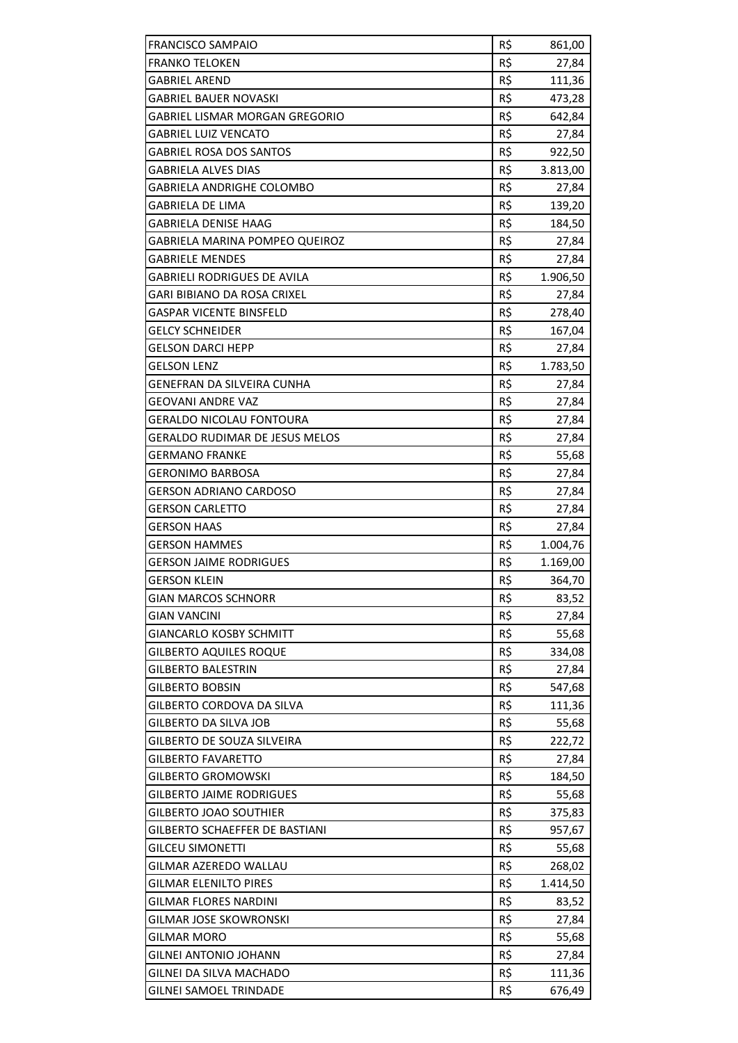| <b>FRANCISCO SAMPAIO</b>                                 | R\$        | 861,00           |
|----------------------------------------------------------|------------|------------------|
| <b>FRANKO TELOKEN</b>                                    | R\$        | 27,84            |
| GABRIEL AREND                                            | R\$        | 111,36           |
| GABRIEL BAUER NOVASKI                                    | R\$        | 473,28           |
| <b>GABRIEL LISMAR MORGAN GREGORIO</b>                    | R\$        | 642,84           |
| <b>GABRIEL LUIZ VENCATO</b>                              | R\$        | 27,84            |
| <b>GABRIEL ROSA DOS SANTOS</b>                           | R\$        | 922,50           |
| GABRIELA ALVES DIAS                                      | R\$        | 3.813,00         |
| GABRIELA ANDRIGHE COLOMBO                                | R\$        | 27,84            |
| <b>GABRIELA DE LIMA</b>                                  | R\$        | 139,20           |
| <b>GABRIELA DENISE HAAG</b>                              | R\$        | 184,50           |
| GABRIELA MARINA POMPEO QUEIROZ                           | R\$        | 27,84            |
| GABRIELE MENDES                                          | R\$        | 27,84            |
| GABRIELI RODRIGUES DE AVILA                              | R\$        | 1.906,50         |
| <b>GARI BIBIANO DA ROSA CRIXEL</b>                       | R\$        | 27,84            |
| <b>GASPAR VICENTE BINSFELD</b>                           | R\$        | 278,40           |
| <b>GELCY SCHNEIDER</b>                                   | R\$        | 167,04           |
| <b>GELSON DARCI HEPP</b>                                 | R\$        | 27,84            |
| GELSON LENZ                                              | R\$        | 1.783,50         |
| GENEFRAN DA SILVEIRA CUNHA                               | R\$        | 27,84            |
| <b>GEOVANI ANDRE VAZ</b>                                 | R\$        | 27,84            |
| <b>GERALDO NICOLAU FONTOURA</b>                          | R\$        | 27,84            |
| <b>GERALDO RUDIMAR DE JESUS MELOS</b>                    | R\$        | 27,84            |
| GERMANO FRANKE                                           | R\$        | 55,68            |
| <b>GERONIMO BARBOSA</b>                                  | R\$        | 27,84            |
| <b>GERSON ADRIANO CARDOSO</b>                            | R\$        | 27,84            |
|                                                          |            |                  |
| <b>GERSON CARLETTO</b>                                   | R\$        | 27,84            |
| <b>GERSON HAAS</b>                                       | R\$        | 27,84            |
| <b>GERSON HAMMES</b>                                     | R\$        | 1.004,76         |
| <b>GERSON JAIME RODRIGUES</b>                            | R\$        | 1.169,00         |
| <b>GERSON KLEIN</b>                                      | R\$        | 364,70           |
| <b>GIAN MARCOS SCHNORR</b>                               | R\$        | 83,52            |
| <b>GIAN VANCINI</b>                                      | R\$        | 27,84            |
| <b>GIANCARLO KOSBY SCHMITT</b>                           | R\$        | 55,68            |
| <b>GILBERTO AQUILES ROQUE</b>                            | R\$        | 334,08           |
| <b>GILBERTO BALESTRIN</b>                                | R\$        | 27,84            |
| <b>GILBERTO BOBSIN</b>                                   | R\$        | 547,68           |
| GILBERTO CORDOVA DA SILVA                                | R\$        | 111,36           |
| <b>GILBERTO DA SILVA JOB</b>                             | R\$        | 55,68            |
| <b>GILBERTO DE SOUZA SILVEIRA</b>                        | R\$        | 222,72           |
| <b>GILBERTO FAVARETTO</b>                                | R\$        | 27,84            |
| <b>GILBERTO GROMOWSKI</b>                                | R\$        | 184,50           |
| <b>GILBERTO JAIME RODRIGUES</b>                          | R\$        | 55,68            |
| <b>GILBERTO JOAO SOUTHIER</b>                            | R\$        | 375,83           |
| GILBERTO SCHAEFFER DE BASTIANI                           | R\$        | 957,67           |
| <b>GILCEU SIMONETTI</b>                                  | R\$        | 55,68            |
| GILMAR AZEREDO WALLAU                                    | R\$        | 268,02           |
| <b>GILMAR ELENILTO PIRES</b>                             | R\$        | 1.414,50         |
| <b>GILMAR FLORES NARDINI</b>                             | R\$        | 83,52            |
| <b>GILMAR JOSE SKOWRONSKI</b>                            | R\$        | 27,84            |
| <b>GILMAR MORO</b>                                       | R\$        | 55,68            |
| GILNEI ANTONIO JOHANN                                    | R\$        | 27,84            |
| GILNEI DA SILVA MACHADO<br><b>GILNEI SAMOEL TRINDADE</b> | R\$<br>R\$ | 111,36<br>676,49 |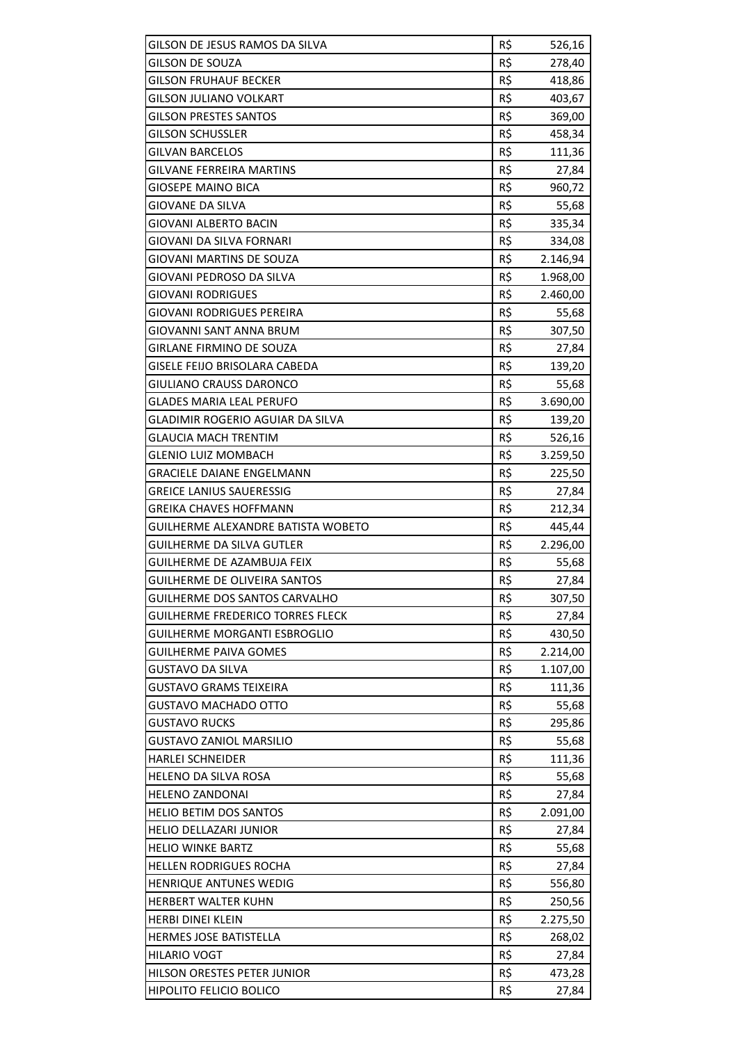| GILSON DE JESUS RAMOS DA SILVA                                | R\$        |                  |
|---------------------------------------------------------------|------------|------------------|
| <b>GILSON DE SOUZA</b>                                        | R\$        | 526,16<br>278,40 |
| GILSON FRUHAUF BECKER                                         | R\$        | 418,86           |
| <b>GILSON JULIANO VOLKART</b>                                 | R\$        | 403,67           |
| <b>GILSON PRESTES SANTOS</b>                                  | R\$        | 369,00           |
| <b>GILSON SCHUSSLER</b>                                       | R\$        | 458,34           |
| <b>GILVAN BARCELOS</b>                                        | R\$        | 111,36           |
| <b>GILVANE FERREIRA MARTINS</b>                               | R\$        | 27,84            |
| <b>GIOSEPE MAINO BICA</b>                                     | R\$        | 960,72           |
| <b>GIOVANE DA SILVA</b>                                       | R\$        | 55,68            |
| <b>GIOVANI ALBERTO BACIN</b>                                  | R\$        | 335,34           |
| GIOVANI DA SILVA FORNARI                                      | R\$        | 334,08           |
| GIOVANI MARTINS DE SOUZA                                      | R\$        | 2.146,94         |
| GIOVANI PEDROSO DA SILVA                                      | R\$        | 1.968,00         |
| GIOVANI RODRIGUES                                             | R\$        | 2.460,00         |
| <b>GIOVANI RODRIGUES PEREIRA</b>                              | R\$        | 55,68            |
| <b>GIOVANNI SANT ANNA BRUM</b>                                | R\$        | 307,50           |
| <b>GIRLANE FIRMINO DE SOUZA</b>                               | R\$        |                  |
| <b>GISELE FEIJO BRISOLARA CABEDA</b>                          | R\$        | 27,84<br>139,20  |
| GIULIANO CRAUSS DARONCO                                       |            |                  |
|                                                               | R\$<br>R\$ | 55,68            |
| <b>GLADES MARIA LEAL PERUFO</b>                               |            | 3.690,00         |
| GLADIMIR ROGERIO AGUIAR DA SILVA                              | R\$        | 139,20           |
| <b>GLAUCIA MACH TRENTIM</b>                                   | R\$        | 526,16           |
| <b>GLENIO LUIZ MOMBACH</b>                                    | R\$        | 3.259,50         |
| GRACIELE DAIANE ENGELMANN                                     | R\$        | 225,50           |
| <b>GREICE LANIUS SAUERESSIG</b>                               | R\$        | 27,84            |
|                                                               |            |                  |
| <b>GREIKA CHAVES HOFFMANN</b>                                 | R\$        | 212,34           |
| <b>GUILHERME ALEXANDRE BATISTA WOBETO</b>                     | R\$        | 445,44           |
| <b>GUILHERME DA SILVA GUTLER</b>                              | R\$        | 2.296,00         |
| <b>GUILHERME DE AZAMBUJA FEIX</b>                             | R\$        | 55,68            |
| <b>GUILHERME DE OLIVEIRA SANTOS</b>                           | R\$        | 27,84            |
| GUILHERME DOS SANTOS CARVALHO                                 | R\$        | 307,50           |
| <b>GUILHERME FREDERICO TORRES FLECK</b>                       | R\$        | 27,84            |
| <b>GUILHERME MORGANTI ESBROGLIO</b>                           | R\$        | 430,50           |
| <b>GUILHERME PAIVA GOMES</b>                                  | R\$        | 2.214,00         |
| <b>GUSTAVO DA SILVA</b>                                       | R\$        | 1.107,00         |
| <b>GUSTAVO GRAMS TEIXEIRA</b>                                 | R\$        | 111,36           |
| <b>GUSTAVO MACHADO OTTO</b>                                   | R\$        | 55,68            |
| <b>GUSTAVO RUCKS</b>                                          | R\$        | 295,86           |
| <b>GUSTAVO ZANIOL MARSILIO</b>                                | R\$        | 55,68            |
| <b>HARLEI SCHNEIDER</b>                                       | R\$        | 111,36           |
| <b>HELENO DA SILVA ROSA</b>                                   | R\$        | 55,68            |
| <b>HELENO ZANDONAI</b>                                        | R\$        | 27,84            |
| <b>HELIO BETIM DOS SANTOS</b>                                 | R\$        | 2.091,00         |
| <b>HELIO DELLAZARI JUNIOR</b>                                 | R\$        | 27,84            |
| <b>HELIO WINKE BARTZ</b>                                      | R\$        | 55,68            |
| <b>HELLEN RODRIGUES ROCHA</b>                                 | R\$        | 27,84            |
| HENRIQUE ANTUNES WEDIG                                        | R\$        | 556,80           |
| HERBERT WALTER KUHN                                           | R\$        | 250,56           |
| <b>HERBI DINEI KLEIN</b>                                      | R\$        | 2.275,50         |
| HERMES JOSE BATISTELLA                                        | R\$        | 268,02           |
| <b>HILARIO VOGT</b>                                           | R\$        | 27,84            |
| HILSON ORESTES PETER JUNIOR<br><b>HIPOLITO FELICIO BOLICO</b> | R\$<br>R\$ | 473,28<br>27,84  |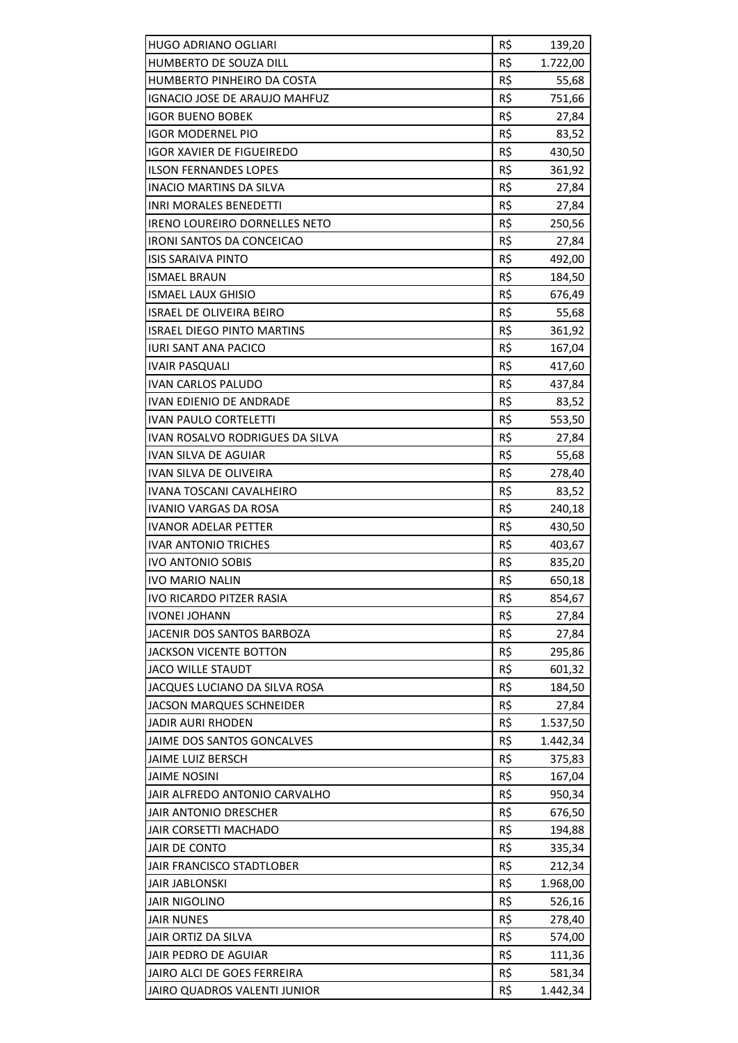| HUGO ADRIANO OGLIARI              | R\$ | 139,20   |
|-----------------------------------|-----|----------|
| HUMBERTO DE SOUZA DILL            | R\$ | 1.722,00 |
| HUMBERTO PINHEIRO DA COSTA        | R\$ | 55,68    |
| IGNACIO JOSE DE ARAUJO MAHFUZ     | R\$ | 751,66   |
| <b>IGOR BUENO BOBEK</b>           | R\$ | 27,84    |
| <b>IGOR MODERNEL PIO</b>          | R\$ | 83,52    |
| <b>IGOR XAVIER DE FIGUEIREDO</b>  | R\$ | 430,50   |
| <b>ILSON FERNANDES LOPES</b>      | R\$ | 361,92   |
| <b>INACIO MARTINS DA SILVA</b>    | R\$ | 27,84    |
| <b>INRI MORALES BENEDETTI</b>     | R\$ | 27,84    |
| IRENO LOUREIRO DORNELLES NETO     | R\$ | 250,56   |
| <b>IRONI SANTOS DA CONCEICAO</b>  | R\$ | 27,84    |
| ISIS SARAIVA PINTO                | R\$ | 492,00   |
| ISMAEL BRAUN                      | R\$ | 184,50   |
| <b>ISMAEL LAUX GHISIO</b>         | R\$ | 676,49   |
| <b>ISRAEL DE OLIVEIRA BEIRO</b>   | R\$ | 55,68    |
| <b>ISRAEL DIEGO PINTO MARTINS</b> | R\$ | 361,92   |
| <b>IURI SANT ANA PACICO</b>       | R\$ | 167,04   |
| <b>IVAIR PASQUALI</b>             | R\$ | 417,60   |
| IVAN CARLOS PALUDO                | R\$ | 437,84   |
| <b>IVAN EDIENIO DE ANDRADE</b>    | R\$ | 83,52    |
| <b>IVAN PAULO CORTELETTI</b>      | R\$ | 553,50   |
| IVAN ROSALVO RODRIGUES DA SILVA   | R\$ | 27,84    |
| IVAN SILVA DE AGUIAR              | R\$ | 55,68    |
| IVAN SILVA DE OLIVEIRA            | R\$ | 278,40   |
| IVANA TOSCANI CAVALHEIRO          | R\$ | 83,52    |
| IVANIO VARGAS DA ROSA             | R\$ | 240,18   |
| <b>IVANOR ADELAR PETTER</b>       | R\$ | 430,50   |
| <b>IVAR ANTONIO TRICHES</b>       | R\$ | 403,67   |
| <b>IVO ANTONIO SOBIS</b>          | R\$ | 835,20   |
| <b>IVO MARIO NALIN</b>            | R\$ | 650,18   |
| <b>IVO RICARDO PITZER RASIA</b>   | R\$ | 854,67   |
| <b>IVONEI JOHANN</b>              | R\$ | 27,84    |
| JACENIR DOS SANTOS BARBOZA        | R\$ | 27,84    |
| JACKSON VICENTE BOTTON            | R\$ | 295,86   |
| <b>JACO WILLE STAUDT</b>          | R\$ | 601,32   |
| JACQUES LUCIANO DA SILVA ROSA     | R\$ | 184,50   |
| <b>JACSON MARQUES SCHNEIDER</b>   | R\$ | 27,84    |
| JADIR AURI RHODEN                 | R\$ | 1.537,50 |
| JAIME DOS SANTOS GONCALVES        | R\$ | 1.442,34 |
| JAIME LUIZ BERSCH                 | R\$ | 375,83   |
| JAIME NOSINI                      | R\$ | 167,04   |
| JAIR ALFREDO ANTONIO CARVALHO     | R\$ | 950,34   |
| JAIR ANTONIO DRESCHER             | R\$ | 676,50   |
| JAIR CORSETTI MACHADO             | R\$ | 194,88   |
| JAIR DE CONTO                     | R\$ | 335,34   |
| JAIR FRANCISCO STADTLOBER         | R\$ | 212,34   |
| <b>JAIR JABLONSKI</b>             | R\$ | 1.968,00 |
| <b>JAIR NIGOLINO</b>              | R\$ | 526,16   |
| <b>JAIR NUNES</b>                 | R\$ | 278,40   |
| JAIR ORTIZ DA SILVA               | R\$ | 574,00   |
| JAIR PEDRO DE AGUIAR              | R\$ | 111,36   |
| JAIRO ALCI DE GOES FERREIRA       | R\$ | 581,34   |
| JAIRO QUADROS VALENTI JUNIOR      | R\$ | 1.442,34 |
|                                   |     |          |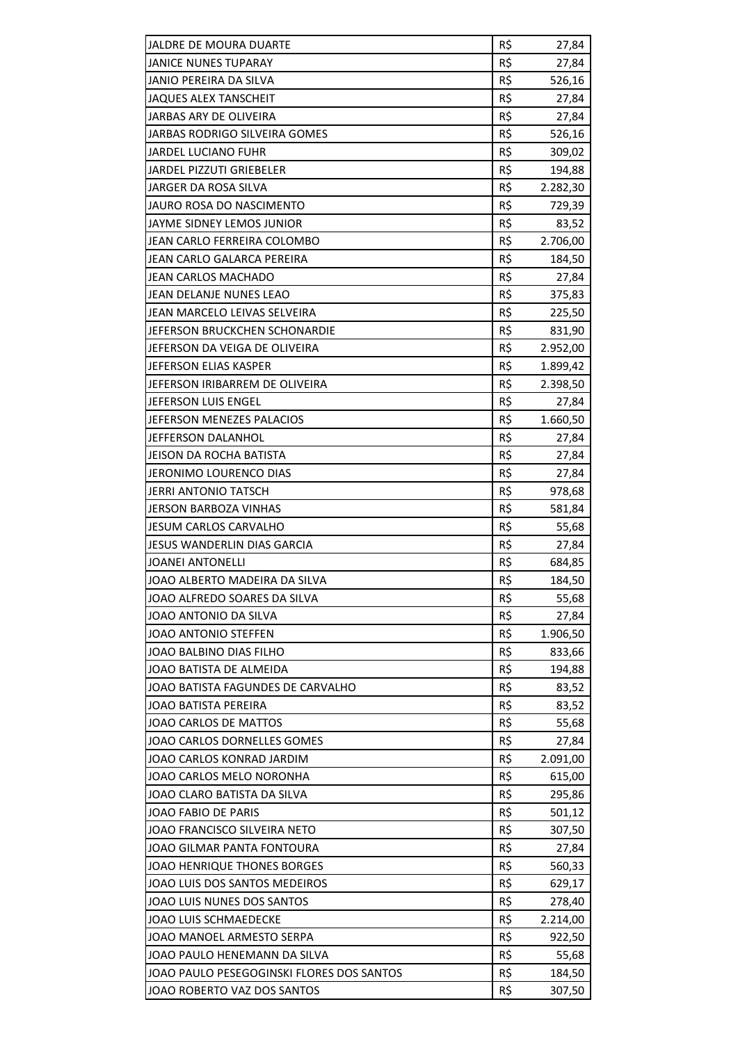| JALDRE DE MOURA DUARTE                    | R\$ | 27,84    |
|-------------------------------------------|-----|----------|
| <b>JANICE NUNES TUPARAY</b>               | R\$ | 27,84    |
| <b>JANIO PEREIRA DA SILVA</b>             | R\$ | 526,16   |
| <b>JAQUES ALEX TANSCHEIT</b>              | R\$ | 27,84    |
| JARBAS ARY DE OLIVEIRA                    | R\$ | 27,84    |
| JARBAS RODRIGO SILVEIRA GOMES             | R\$ | 526,16   |
| <b>JARDEL LUCIANO FUHR</b>                | R\$ | 309,02   |
| <b>JARDEL PIZZUTI GRIEBELER</b>           | R\$ | 194,88   |
| JARGER DA ROSA SILVA                      | R\$ | 2.282,30 |
| JAURO ROSA DO NASCIMENTO                  | R\$ | 729,39   |
| JAYME SIDNEY LEMOS JUNIOR                 | R\$ | 83,52    |
| JEAN CARLO FERREIRA COLOMBO               | R\$ | 2.706,00 |
| JEAN CARLO GALARCA PEREIRA                | R\$ | 184,50   |
| JEAN CARLOS MACHADO                       | R\$ | 27,84    |
| JEAN DELANJE NUNES LEAO                   | R\$ | 375,83   |
| JEAN MARCELO LEIVAS SELVEIRA              | R\$ | 225,50   |
| JEFERSON BRUCKCHEN SCHONARDIE             | R\$ | 831,90   |
| JEFERSON DA VEIGA DE OLIVEIRA             | R\$ | 2.952,00 |
| JEFERSON ELIAS KASPER                     | R\$ | 1.899,42 |
| JEFERSON IRIBARREM DE OLIVEIRA            | R\$ | 2.398,50 |
| JEFERSON LUIS ENGEL                       | R\$ | 27,84    |
| JEFERSON MENEZES PALACIOS                 | R\$ | 1.660,50 |
| JEFFERSON DALANHOL                        | R\$ | 27,84    |
| <b>JEISON DA ROCHA BATISTA</b>            | R\$ | 27,84    |
| JERONIMO LOURENCO DIAS                    | R\$ | 27,84    |
| <b>JERRI ANTONIO TATSCH</b>               | R\$ | 978,68   |
| <b>JERSON BARBOZA VINHAS</b>              | R\$ | 581,84   |
| <b>JESUM CARLOS CARVALHO</b>              | R\$ | 55,68    |
| JESUS WANDERLIN DIAS GARCIA               | R\$ | 27,84    |
| JOANEI ANTONELLI                          | R\$ | 684,85   |
| JOAO ALBERTO MADEIRA DA SILVA             | R\$ | 184,50   |
| JOAO ALFREDO SOARES DA SILVA              | R\$ | 55,68    |
| JOAO ANTONIO DA SILVA                     | R\$ | 27,84    |
| <b>JOAO ANTONIO STEFFEN</b>               | R\$ | 1.906,50 |
| JOAO BALBINO DIAS FILHO                   | R\$ | 833,66   |
| JOAO BATISTA DE ALMEIDA                   | R\$ | 194,88   |
| JOAO BATISTA FAGUNDES DE CARVALHO         | R\$ | 83,52    |
| JOAO BATISTA PEREIRA                      | R\$ | 83,52    |
| <b>JOAO CARLOS DE MATTOS</b>              | R\$ | 55,68    |
| JOAO CARLOS DORNELLES GOMES               | R\$ | 27,84    |
| JOAO CARLOS KONRAD JARDIM                 | R\$ | 2.091,00 |
| JOAO CARLOS MELO NORONHA                  | R\$ | 615,00   |
| JOAO CLARO BATISTA DA SILVA               | R\$ | 295,86   |
| JOAO FABIO DE PARIS                       | R\$ | 501,12   |
| JOAO FRANCISCO SILVEIRA NETO              | R\$ | 307,50   |
| JOAO GILMAR PANTA FONTOURA                | R\$ | 27,84    |
| JOAO HENRIQUE THONES BORGES               | R\$ | 560,33   |
| JOAO LUIS DOS SANTOS MEDEIROS             | R\$ | 629,17   |
| JOAO LUIS NUNES DOS SANTOS                | R\$ | 278,40   |
| JOAO LUIS SCHMAEDECKE                     | R\$ | 2.214,00 |
| JOAO MANOEL ARMESTO SERPA                 | R\$ | 922,50   |
| JOAO PAULO HENEMANN DA SILVA              | R\$ | 55,68    |
| JOAO PAULO PESEGOGINSKI FLORES DOS SANTOS | R\$ | 184,50   |
| JOAO ROBERTO VAZ DOS SANTOS               | R\$ | 307,50   |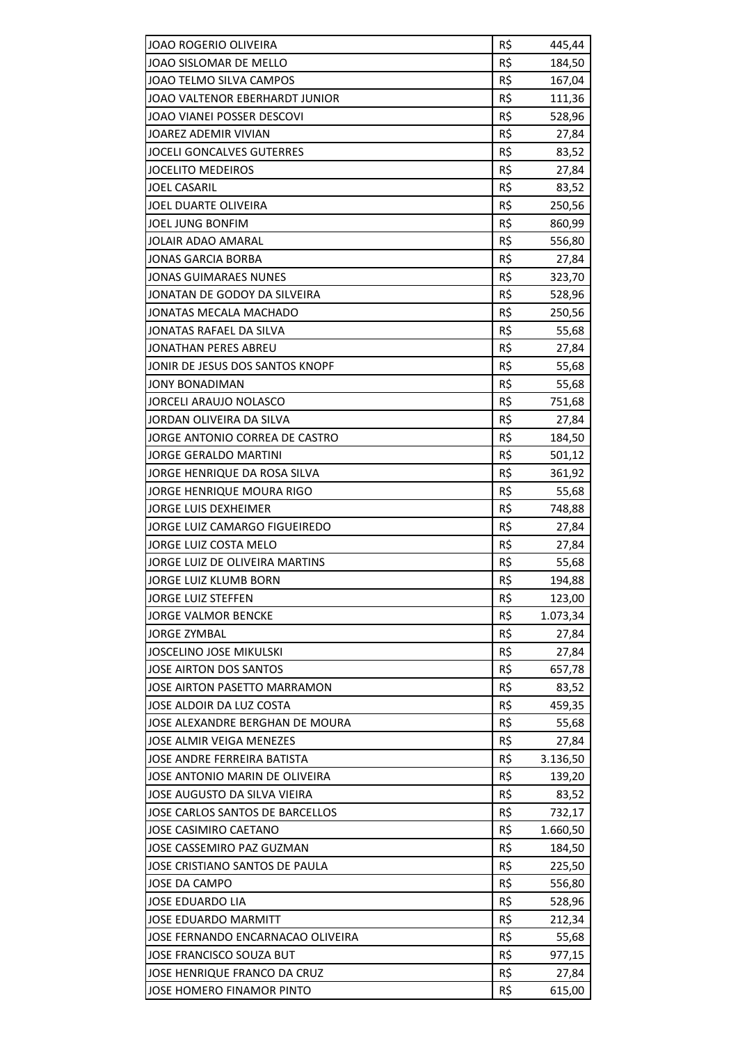| R\$<br>JOAO SISLOMAR DE MELLO<br>184,50<br>R\$<br>JOAO TELMO SILVA CAMPOS<br>167,04<br>R\$<br>JOAO VALTENOR EBERHARDT JUNIOR<br>111,36<br>R\$<br>JOAO VIANEI POSSER DESCOVI<br>528,96<br>R\$<br>JOAREZ ADEMIR VIVIAN<br>27,84<br>R\$<br><b>JOCELI GONCALVES GUTERRES</b><br>83,52<br>R\$<br><b>JOCELITO MEDEIROS</b><br>27,84<br>R\$<br><b>JOEL CASARIL</b><br>83,52<br>R\$<br>JOEL DUARTE OLIVEIRA<br>250,56<br>JOEL JUNG BONFIM<br>R\$<br>860,99<br>R\$<br><b>JOLAIR ADAO AMARAL</b><br>556,80<br>R\$<br><b>JONAS GARCIA BORBA</b><br>27,84<br>R\$<br><b>JONAS GUIMARAES NUNES</b><br>323,70<br>R\$<br>JONATAN DE GODOY DA SILVEIRA<br>528,96<br>R\$<br><b>JONATAS MECALA MACHADO</b><br>250,56<br>R\$<br>JONATAS RAFAEL DA SILVA<br>55,68<br>R\$<br>JONATHAN PERES ABREU<br>27,84<br>R\$<br>JONIR DE JESUS DOS SANTOS KNOPF<br>55,68<br>R\$<br><b>JONY BONADIMAN</b><br>55,68<br>R\$<br><b>JORCELI ARAUJO NOLASCO</b><br>751,68<br>R\$<br>JORDAN OLIVEIRA DA SILVA<br>27,84<br>R\$<br>JORGE ANTONIO CORREA DE CASTRO<br>184,50<br>R\$<br><b>JORGE GERALDO MARTINI</b><br>501,12<br>R\$<br>JORGE HENRIQUE DA ROSA SILVA<br>361,92<br>R\$<br>JORGE HENRIQUE MOURA RIGO<br>55,68<br><b>JORGE LUIS DEXHEIMER</b><br>R\$<br>748,88<br>R\$<br>JORGE LUIZ CAMARGO FIGUEIREDO<br>27,84<br>R\$<br>JORGE LUIZ COSTA MELO<br>27,84<br>R\$<br>JORGE LUIZ DE OLIVEIRA MARTINS<br>55,68<br>R\$<br><b>JORGE LUIZ KLUMB BORN</b><br>194,88<br>R\$<br>123,00<br><b>JORGE LUIZ STEFFEN</b><br>R\$<br><b>JORGE VALMOR BENCKE</b><br>1.073,34<br>R\$<br><b>JORGE ZYMBAL</b><br>27,84<br>R\$<br><b>JOSCELINO JOSE MIKULSKI</b><br>27,84<br>R\$<br><b>JOSE AIRTON DOS SANTOS</b><br>657,78<br>R\$<br>JOSE AIRTON PASETTO MARRAMON<br>83,52<br>R\$<br>JOSE ALDOIR DA LUZ COSTA<br>459,35<br>R\$<br>55,68<br>JOSE ALEXANDRE BERGHAN DE MOURA<br>R\$<br>JOSE ALMIR VEIGA MENEZES<br>27,84<br>R\$<br>JOSE ANDRE FERREIRA BATISTA<br>3.136,50<br>R\$<br>JOSE ANTONIO MARIN DE OLIVEIRA<br>139,20<br>JOSE AUGUSTO DA SILVA VIEIRA<br>R\$<br>83,52<br>R\$<br>JOSE CARLOS SANTOS DE BARCELLOS<br>732,17<br>R\$<br><b>JOSE CASIMIRO CAETANO</b><br>1.660,50<br>R\$<br>JOSE CASSEMIRO PAZ GUZMAN<br>184,50<br>R\$<br>JOSE CRISTIANO SANTOS DE PAULA<br>225,50<br>R\$<br><b>JOSE DA CAMPO</b><br>556,80<br>R\$<br>JOSE EDUARDO LIA<br>528,96<br>R\$<br><b>JOSE EDUARDO MARMITT</b><br>212,34<br>R\$<br>JOSE FERNANDO ENCARNACAO OLIVEIRA<br>55,68<br>R\$<br>JOSE FRANCISCO SOUZA BUT<br>977,15<br>R\$<br>JOSE HENRIQUE FRANCO DA CRUZ<br>27,84 | JOAO ROGERIO OLIVEIRA     | R\$ | 445,44 |
|------------------------------------------------------------------------------------------------------------------------------------------------------------------------------------------------------------------------------------------------------------------------------------------------------------------------------------------------------------------------------------------------------------------------------------------------------------------------------------------------------------------------------------------------------------------------------------------------------------------------------------------------------------------------------------------------------------------------------------------------------------------------------------------------------------------------------------------------------------------------------------------------------------------------------------------------------------------------------------------------------------------------------------------------------------------------------------------------------------------------------------------------------------------------------------------------------------------------------------------------------------------------------------------------------------------------------------------------------------------------------------------------------------------------------------------------------------------------------------------------------------------------------------------------------------------------------------------------------------------------------------------------------------------------------------------------------------------------------------------------------------------------------------------------------------------------------------------------------------------------------------------------------------------------------------------------------------------------------------------------------------------------------------------------------------------------------------------------------------------------------------------------------------------------------------------------------------------------------------------------------------------------------------------------------------------------------------------------------------------------------------------------------------------------------------------------------------------------------------------------------------------|---------------------------|-----|--------|
|                                                                                                                                                                                                                                                                                                                                                                                                                                                                                                                                                                                                                                                                                                                                                                                                                                                                                                                                                                                                                                                                                                                                                                                                                                                                                                                                                                                                                                                                                                                                                                                                                                                                                                                                                                                                                                                                                                                                                                                                                                                                                                                                                                                                                                                                                                                                                                                                                                                                                                                  |                           |     |        |
|                                                                                                                                                                                                                                                                                                                                                                                                                                                                                                                                                                                                                                                                                                                                                                                                                                                                                                                                                                                                                                                                                                                                                                                                                                                                                                                                                                                                                                                                                                                                                                                                                                                                                                                                                                                                                                                                                                                                                                                                                                                                                                                                                                                                                                                                                                                                                                                                                                                                                                                  |                           |     |        |
|                                                                                                                                                                                                                                                                                                                                                                                                                                                                                                                                                                                                                                                                                                                                                                                                                                                                                                                                                                                                                                                                                                                                                                                                                                                                                                                                                                                                                                                                                                                                                                                                                                                                                                                                                                                                                                                                                                                                                                                                                                                                                                                                                                                                                                                                                                                                                                                                                                                                                                                  |                           |     |        |
|                                                                                                                                                                                                                                                                                                                                                                                                                                                                                                                                                                                                                                                                                                                                                                                                                                                                                                                                                                                                                                                                                                                                                                                                                                                                                                                                                                                                                                                                                                                                                                                                                                                                                                                                                                                                                                                                                                                                                                                                                                                                                                                                                                                                                                                                                                                                                                                                                                                                                                                  |                           |     |        |
|                                                                                                                                                                                                                                                                                                                                                                                                                                                                                                                                                                                                                                                                                                                                                                                                                                                                                                                                                                                                                                                                                                                                                                                                                                                                                                                                                                                                                                                                                                                                                                                                                                                                                                                                                                                                                                                                                                                                                                                                                                                                                                                                                                                                                                                                                                                                                                                                                                                                                                                  |                           |     |        |
|                                                                                                                                                                                                                                                                                                                                                                                                                                                                                                                                                                                                                                                                                                                                                                                                                                                                                                                                                                                                                                                                                                                                                                                                                                                                                                                                                                                                                                                                                                                                                                                                                                                                                                                                                                                                                                                                                                                                                                                                                                                                                                                                                                                                                                                                                                                                                                                                                                                                                                                  |                           |     |        |
|                                                                                                                                                                                                                                                                                                                                                                                                                                                                                                                                                                                                                                                                                                                                                                                                                                                                                                                                                                                                                                                                                                                                                                                                                                                                                                                                                                                                                                                                                                                                                                                                                                                                                                                                                                                                                                                                                                                                                                                                                                                                                                                                                                                                                                                                                                                                                                                                                                                                                                                  |                           |     |        |
|                                                                                                                                                                                                                                                                                                                                                                                                                                                                                                                                                                                                                                                                                                                                                                                                                                                                                                                                                                                                                                                                                                                                                                                                                                                                                                                                                                                                                                                                                                                                                                                                                                                                                                                                                                                                                                                                                                                                                                                                                                                                                                                                                                                                                                                                                                                                                                                                                                                                                                                  |                           |     |        |
|                                                                                                                                                                                                                                                                                                                                                                                                                                                                                                                                                                                                                                                                                                                                                                                                                                                                                                                                                                                                                                                                                                                                                                                                                                                                                                                                                                                                                                                                                                                                                                                                                                                                                                                                                                                                                                                                                                                                                                                                                                                                                                                                                                                                                                                                                                                                                                                                                                                                                                                  |                           |     |        |
|                                                                                                                                                                                                                                                                                                                                                                                                                                                                                                                                                                                                                                                                                                                                                                                                                                                                                                                                                                                                                                                                                                                                                                                                                                                                                                                                                                                                                                                                                                                                                                                                                                                                                                                                                                                                                                                                                                                                                                                                                                                                                                                                                                                                                                                                                                                                                                                                                                                                                                                  |                           |     |        |
|                                                                                                                                                                                                                                                                                                                                                                                                                                                                                                                                                                                                                                                                                                                                                                                                                                                                                                                                                                                                                                                                                                                                                                                                                                                                                                                                                                                                                                                                                                                                                                                                                                                                                                                                                                                                                                                                                                                                                                                                                                                                                                                                                                                                                                                                                                                                                                                                                                                                                                                  |                           |     |        |
|                                                                                                                                                                                                                                                                                                                                                                                                                                                                                                                                                                                                                                                                                                                                                                                                                                                                                                                                                                                                                                                                                                                                                                                                                                                                                                                                                                                                                                                                                                                                                                                                                                                                                                                                                                                                                                                                                                                                                                                                                                                                                                                                                                                                                                                                                                                                                                                                                                                                                                                  |                           |     |        |
|                                                                                                                                                                                                                                                                                                                                                                                                                                                                                                                                                                                                                                                                                                                                                                                                                                                                                                                                                                                                                                                                                                                                                                                                                                                                                                                                                                                                                                                                                                                                                                                                                                                                                                                                                                                                                                                                                                                                                                                                                                                                                                                                                                                                                                                                                                                                                                                                                                                                                                                  |                           |     |        |
|                                                                                                                                                                                                                                                                                                                                                                                                                                                                                                                                                                                                                                                                                                                                                                                                                                                                                                                                                                                                                                                                                                                                                                                                                                                                                                                                                                                                                                                                                                                                                                                                                                                                                                                                                                                                                                                                                                                                                                                                                                                                                                                                                                                                                                                                                                                                                                                                                                                                                                                  |                           |     |        |
|                                                                                                                                                                                                                                                                                                                                                                                                                                                                                                                                                                                                                                                                                                                                                                                                                                                                                                                                                                                                                                                                                                                                                                                                                                                                                                                                                                                                                                                                                                                                                                                                                                                                                                                                                                                                                                                                                                                                                                                                                                                                                                                                                                                                                                                                                                                                                                                                                                                                                                                  |                           |     |        |
|                                                                                                                                                                                                                                                                                                                                                                                                                                                                                                                                                                                                                                                                                                                                                                                                                                                                                                                                                                                                                                                                                                                                                                                                                                                                                                                                                                                                                                                                                                                                                                                                                                                                                                                                                                                                                                                                                                                                                                                                                                                                                                                                                                                                                                                                                                                                                                                                                                                                                                                  |                           |     |        |
|                                                                                                                                                                                                                                                                                                                                                                                                                                                                                                                                                                                                                                                                                                                                                                                                                                                                                                                                                                                                                                                                                                                                                                                                                                                                                                                                                                                                                                                                                                                                                                                                                                                                                                                                                                                                                                                                                                                                                                                                                                                                                                                                                                                                                                                                                                                                                                                                                                                                                                                  |                           |     |        |
|                                                                                                                                                                                                                                                                                                                                                                                                                                                                                                                                                                                                                                                                                                                                                                                                                                                                                                                                                                                                                                                                                                                                                                                                                                                                                                                                                                                                                                                                                                                                                                                                                                                                                                                                                                                                                                                                                                                                                                                                                                                                                                                                                                                                                                                                                                                                                                                                                                                                                                                  |                           |     |        |
|                                                                                                                                                                                                                                                                                                                                                                                                                                                                                                                                                                                                                                                                                                                                                                                                                                                                                                                                                                                                                                                                                                                                                                                                                                                                                                                                                                                                                                                                                                                                                                                                                                                                                                                                                                                                                                                                                                                                                                                                                                                                                                                                                                                                                                                                                                                                                                                                                                                                                                                  |                           |     |        |
|                                                                                                                                                                                                                                                                                                                                                                                                                                                                                                                                                                                                                                                                                                                                                                                                                                                                                                                                                                                                                                                                                                                                                                                                                                                                                                                                                                                                                                                                                                                                                                                                                                                                                                                                                                                                                                                                                                                                                                                                                                                                                                                                                                                                                                                                                                                                                                                                                                                                                                                  |                           |     |        |
|                                                                                                                                                                                                                                                                                                                                                                                                                                                                                                                                                                                                                                                                                                                                                                                                                                                                                                                                                                                                                                                                                                                                                                                                                                                                                                                                                                                                                                                                                                                                                                                                                                                                                                                                                                                                                                                                                                                                                                                                                                                                                                                                                                                                                                                                                                                                                                                                                                                                                                                  |                           |     |        |
|                                                                                                                                                                                                                                                                                                                                                                                                                                                                                                                                                                                                                                                                                                                                                                                                                                                                                                                                                                                                                                                                                                                                                                                                                                                                                                                                                                                                                                                                                                                                                                                                                                                                                                                                                                                                                                                                                                                                                                                                                                                                                                                                                                                                                                                                                                                                                                                                                                                                                                                  |                           |     |        |
|                                                                                                                                                                                                                                                                                                                                                                                                                                                                                                                                                                                                                                                                                                                                                                                                                                                                                                                                                                                                                                                                                                                                                                                                                                                                                                                                                                                                                                                                                                                                                                                                                                                                                                                                                                                                                                                                                                                                                                                                                                                                                                                                                                                                                                                                                                                                                                                                                                                                                                                  |                           |     |        |
|                                                                                                                                                                                                                                                                                                                                                                                                                                                                                                                                                                                                                                                                                                                                                                                                                                                                                                                                                                                                                                                                                                                                                                                                                                                                                                                                                                                                                                                                                                                                                                                                                                                                                                                                                                                                                                                                                                                                                                                                                                                                                                                                                                                                                                                                                                                                                                                                                                                                                                                  |                           |     |        |
|                                                                                                                                                                                                                                                                                                                                                                                                                                                                                                                                                                                                                                                                                                                                                                                                                                                                                                                                                                                                                                                                                                                                                                                                                                                                                                                                                                                                                                                                                                                                                                                                                                                                                                                                                                                                                                                                                                                                                                                                                                                                                                                                                                                                                                                                                                                                                                                                                                                                                                                  |                           |     |        |
|                                                                                                                                                                                                                                                                                                                                                                                                                                                                                                                                                                                                                                                                                                                                                                                                                                                                                                                                                                                                                                                                                                                                                                                                                                                                                                                                                                                                                                                                                                                                                                                                                                                                                                                                                                                                                                                                                                                                                                                                                                                                                                                                                                                                                                                                                                                                                                                                                                                                                                                  |                           |     |        |
|                                                                                                                                                                                                                                                                                                                                                                                                                                                                                                                                                                                                                                                                                                                                                                                                                                                                                                                                                                                                                                                                                                                                                                                                                                                                                                                                                                                                                                                                                                                                                                                                                                                                                                                                                                                                                                                                                                                                                                                                                                                                                                                                                                                                                                                                                                                                                                                                                                                                                                                  |                           |     |        |
|                                                                                                                                                                                                                                                                                                                                                                                                                                                                                                                                                                                                                                                                                                                                                                                                                                                                                                                                                                                                                                                                                                                                                                                                                                                                                                                                                                                                                                                                                                                                                                                                                                                                                                                                                                                                                                                                                                                                                                                                                                                                                                                                                                                                                                                                                                                                                                                                                                                                                                                  |                           |     |        |
|                                                                                                                                                                                                                                                                                                                                                                                                                                                                                                                                                                                                                                                                                                                                                                                                                                                                                                                                                                                                                                                                                                                                                                                                                                                                                                                                                                                                                                                                                                                                                                                                                                                                                                                                                                                                                                                                                                                                                                                                                                                                                                                                                                                                                                                                                                                                                                                                                                                                                                                  |                           |     |        |
|                                                                                                                                                                                                                                                                                                                                                                                                                                                                                                                                                                                                                                                                                                                                                                                                                                                                                                                                                                                                                                                                                                                                                                                                                                                                                                                                                                                                                                                                                                                                                                                                                                                                                                                                                                                                                                                                                                                                                                                                                                                                                                                                                                                                                                                                                                                                                                                                                                                                                                                  |                           |     |        |
|                                                                                                                                                                                                                                                                                                                                                                                                                                                                                                                                                                                                                                                                                                                                                                                                                                                                                                                                                                                                                                                                                                                                                                                                                                                                                                                                                                                                                                                                                                                                                                                                                                                                                                                                                                                                                                                                                                                                                                                                                                                                                                                                                                                                                                                                                                                                                                                                                                                                                                                  |                           |     |        |
|                                                                                                                                                                                                                                                                                                                                                                                                                                                                                                                                                                                                                                                                                                                                                                                                                                                                                                                                                                                                                                                                                                                                                                                                                                                                                                                                                                                                                                                                                                                                                                                                                                                                                                                                                                                                                                                                                                                                                                                                                                                                                                                                                                                                                                                                                                                                                                                                                                                                                                                  |                           |     |        |
|                                                                                                                                                                                                                                                                                                                                                                                                                                                                                                                                                                                                                                                                                                                                                                                                                                                                                                                                                                                                                                                                                                                                                                                                                                                                                                                                                                                                                                                                                                                                                                                                                                                                                                                                                                                                                                                                                                                                                                                                                                                                                                                                                                                                                                                                                                                                                                                                                                                                                                                  |                           |     |        |
|                                                                                                                                                                                                                                                                                                                                                                                                                                                                                                                                                                                                                                                                                                                                                                                                                                                                                                                                                                                                                                                                                                                                                                                                                                                                                                                                                                                                                                                                                                                                                                                                                                                                                                                                                                                                                                                                                                                                                                                                                                                                                                                                                                                                                                                                                                                                                                                                                                                                                                                  |                           |     |        |
|                                                                                                                                                                                                                                                                                                                                                                                                                                                                                                                                                                                                                                                                                                                                                                                                                                                                                                                                                                                                                                                                                                                                                                                                                                                                                                                                                                                                                                                                                                                                                                                                                                                                                                                                                                                                                                                                                                                                                                                                                                                                                                                                                                                                                                                                                                                                                                                                                                                                                                                  |                           |     |        |
|                                                                                                                                                                                                                                                                                                                                                                                                                                                                                                                                                                                                                                                                                                                                                                                                                                                                                                                                                                                                                                                                                                                                                                                                                                                                                                                                                                                                                                                                                                                                                                                                                                                                                                                                                                                                                                                                                                                                                                                                                                                                                                                                                                                                                                                                                                                                                                                                                                                                                                                  |                           |     |        |
|                                                                                                                                                                                                                                                                                                                                                                                                                                                                                                                                                                                                                                                                                                                                                                                                                                                                                                                                                                                                                                                                                                                                                                                                                                                                                                                                                                                                                                                                                                                                                                                                                                                                                                                                                                                                                                                                                                                                                                                                                                                                                                                                                                                                                                                                                                                                                                                                                                                                                                                  |                           |     |        |
|                                                                                                                                                                                                                                                                                                                                                                                                                                                                                                                                                                                                                                                                                                                                                                                                                                                                                                                                                                                                                                                                                                                                                                                                                                                                                                                                                                                                                                                                                                                                                                                                                                                                                                                                                                                                                                                                                                                                                                                                                                                                                                                                                                                                                                                                                                                                                                                                                                                                                                                  |                           |     |        |
|                                                                                                                                                                                                                                                                                                                                                                                                                                                                                                                                                                                                                                                                                                                                                                                                                                                                                                                                                                                                                                                                                                                                                                                                                                                                                                                                                                                                                                                                                                                                                                                                                                                                                                                                                                                                                                                                                                                                                                                                                                                                                                                                                                                                                                                                                                                                                                                                                                                                                                                  |                           |     |        |
|                                                                                                                                                                                                                                                                                                                                                                                                                                                                                                                                                                                                                                                                                                                                                                                                                                                                                                                                                                                                                                                                                                                                                                                                                                                                                                                                                                                                                                                                                                                                                                                                                                                                                                                                                                                                                                                                                                                                                                                                                                                                                                                                                                                                                                                                                                                                                                                                                                                                                                                  |                           |     |        |
|                                                                                                                                                                                                                                                                                                                                                                                                                                                                                                                                                                                                                                                                                                                                                                                                                                                                                                                                                                                                                                                                                                                                                                                                                                                                                                                                                                                                                                                                                                                                                                                                                                                                                                                                                                                                                                                                                                                                                                                                                                                                                                                                                                                                                                                                                                                                                                                                                                                                                                                  |                           |     |        |
|                                                                                                                                                                                                                                                                                                                                                                                                                                                                                                                                                                                                                                                                                                                                                                                                                                                                                                                                                                                                                                                                                                                                                                                                                                                                                                                                                                                                                                                                                                                                                                                                                                                                                                                                                                                                                                                                                                                                                                                                                                                                                                                                                                                                                                                                                                                                                                                                                                                                                                                  |                           |     |        |
|                                                                                                                                                                                                                                                                                                                                                                                                                                                                                                                                                                                                                                                                                                                                                                                                                                                                                                                                                                                                                                                                                                                                                                                                                                                                                                                                                                                                                                                                                                                                                                                                                                                                                                                                                                                                                                                                                                                                                                                                                                                                                                                                                                                                                                                                                                                                                                                                                                                                                                                  |                           |     |        |
|                                                                                                                                                                                                                                                                                                                                                                                                                                                                                                                                                                                                                                                                                                                                                                                                                                                                                                                                                                                                                                                                                                                                                                                                                                                                                                                                                                                                                                                                                                                                                                                                                                                                                                                                                                                                                                                                                                                                                                                                                                                                                                                                                                                                                                                                                                                                                                                                                                                                                                                  |                           |     |        |
|                                                                                                                                                                                                                                                                                                                                                                                                                                                                                                                                                                                                                                                                                                                                                                                                                                                                                                                                                                                                                                                                                                                                                                                                                                                                                                                                                                                                                                                                                                                                                                                                                                                                                                                                                                                                                                                                                                                                                                                                                                                                                                                                                                                                                                                                                                                                                                                                                                                                                                                  |                           |     |        |
|                                                                                                                                                                                                                                                                                                                                                                                                                                                                                                                                                                                                                                                                                                                                                                                                                                                                                                                                                                                                                                                                                                                                                                                                                                                                                                                                                                                                                                                                                                                                                                                                                                                                                                                                                                                                                                                                                                                                                                                                                                                                                                                                                                                                                                                                                                                                                                                                                                                                                                                  |                           |     |        |
|                                                                                                                                                                                                                                                                                                                                                                                                                                                                                                                                                                                                                                                                                                                                                                                                                                                                                                                                                                                                                                                                                                                                                                                                                                                                                                                                                                                                                                                                                                                                                                                                                                                                                                                                                                                                                                                                                                                                                                                                                                                                                                                                                                                                                                                                                                                                                                                                                                                                                                                  |                           |     |        |
|                                                                                                                                                                                                                                                                                                                                                                                                                                                                                                                                                                                                                                                                                                                                                                                                                                                                                                                                                                                                                                                                                                                                                                                                                                                                                                                                                                                                                                                                                                                                                                                                                                                                                                                                                                                                                                                                                                                                                                                                                                                                                                                                                                                                                                                                                                                                                                                                                                                                                                                  |                           |     |        |
|                                                                                                                                                                                                                                                                                                                                                                                                                                                                                                                                                                                                                                                                                                                                                                                                                                                                                                                                                                                                                                                                                                                                                                                                                                                                                                                                                                                                                                                                                                                                                                                                                                                                                                                                                                                                                                                                                                                                                                                                                                                                                                                                                                                                                                                                                                                                                                                                                                                                                                                  |                           |     |        |
|                                                                                                                                                                                                                                                                                                                                                                                                                                                                                                                                                                                                                                                                                                                                                                                                                                                                                                                                                                                                                                                                                                                                                                                                                                                                                                                                                                                                                                                                                                                                                                                                                                                                                                                                                                                                                                                                                                                                                                                                                                                                                                                                                                                                                                                                                                                                                                                                                                                                                                                  |                           |     |        |
|                                                                                                                                                                                                                                                                                                                                                                                                                                                                                                                                                                                                                                                                                                                                                                                                                                                                                                                                                                                                                                                                                                                                                                                                                                                                                                                                                                                                                                                                                                                                                                                                                                                                                                                                                                                                                                                                                                                                                                                                                                                                                                                                                                                                                                                                                                                                                                                                                                                                                                                  |                           |     |        |
|                                                                                                                                                                                                                                                                                                                                                                                                                                                                                                                                                                                                                                                                                                                                                                                                                                                                                                                                                                                                                                                                                                                                                                                                                                                                                                                                                                                                                                                                                                                                                                                                                                                                                                                                                                                                                                                                                                                                                                                                                                                                                                                                                                                                                                                                                                                                                                                                                                                                                                                  |                           |     |        |
|                                                                                                                                                                                                                                                                                                                                                                                                                                                                                                                                                                                                                                                                                                                                                                                                                                                                                                                                                                                                                                                                                                                                                                                                                                                                                                                                                                                                                                                                                                                                                                                                                                                                                                                                                                                                                                                                                                                                                                                                                                                                                                                                                                                                                                                                                                                                                                                                                                                                                                                  | JOSE HOMERO FINAMOR PINTO | R\$ | 615,00 |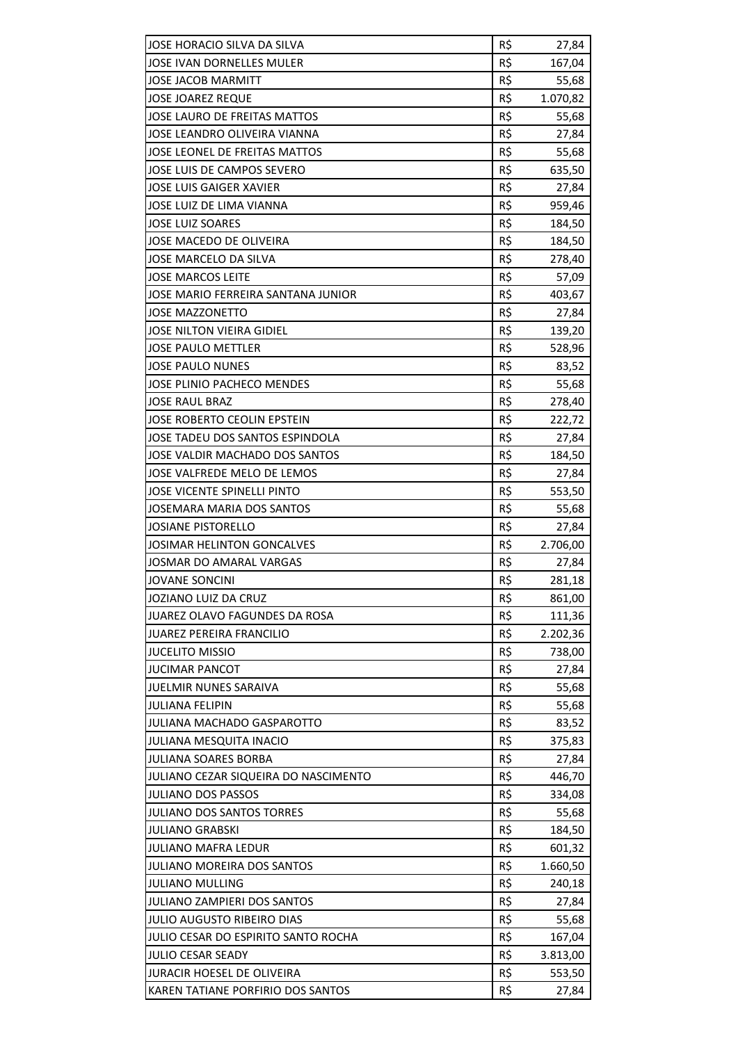| JOSE HORACIO SILVA DA SILVA               | R\$        | 27,84           |
|-------------------------------------------|------------|-----------------|
| JOSE IVAN DORNELLES MULER                 | R\$        | 167,04          |
| <b>JOSE JACOB MARMITT</b>                 | R\$        | 55,68           |
| <b>JOSE JOAREZ REQUE</b>                  | R\$        | 1.070,82        |
| <b>JOSE LAURO DE FREITAS MATTOS</b>       | R\$        | 55,68           |
| JOSE LEANDRO OLIVEIRA VIANNA              | R\$        | 27,84           |
| JOSE LEONEL DE FREITAS MATTOS             | R\$        | 55,68           |
| JOSE LUIS DE CAMPOS SEVERO                | R\$        | 635,50          |
| <b>JOSE LUIS GAIGER XAVIER</b>            | R\$        | 27,84           |
| JOSE LUIZ DE LIMA VIANNA                  | R\$        | 959,46          |
| <b>JOSE LUIZ SOARES</b>                   | R\$        | 184,50          |
| JOSE MACEDO DE OLIVEIRA                   | R\$        | 184,50          |
| JOSE MARCELO DA SILVA                     | R\$        | 278,40          |
| <b>JOSE MARCOS LEITE</b>                  | R\$        | 57,09           |
| <b>JOSE MARIO FERREIRA SANTANA JUNIOR</b> | R\$        | 403,67          |
| <b>JOSE MAZZONETTO</b>                    | R\$        | 27,84           |
| <b>JOSE NILTON VIEIRA GIDIEL</b>          | R\$        | 139,20          |
| <b>JOSE PAULO METTLER</b>                 | R\$        | 528,96          |
| <b>JOSE PAULO NUNES</b>                   | R\$        | 83,52           |
| <b>JOSE PLINIO PACHECO MENDES</b>         | R\$        | 55,68           |
| <b>JOSE RAUL BRAZ</b>                     | R\$        | 278,40          |
| JOSE ROBERTO CEOLIN EPSTEIN               | R\$        | 222,72          |
| JOSE TADEU DOS SANTOS ESPINDOLA           | R\$        | 27,84           |
| JOSE VALDIR MACHADO DOS SANTOS            | R\$        | 184,50          |
| JOSE VALFREDE MELO DE LEMOS               | R\$        | 27,84           |
| <b>JOSE VICENTE SPINELLI PINTO</b>        | R\$        | 553,50          |
| <b>JOSEMARA MARIA DOS SANTOS</b>          | R\$        | 55,68           |
| <b>JOSIANE PISTORELLO</b>                 | R\$        | 27,84           |
| <b>JOSIMAR HELINTON GONCALVES</b>         | R\$        | 2.706,00        |
| <b>JOSMAR DO AMARAL VARGAS</b>            |            |                 |
| <b>JOVANE SONCINI</b>                     | R\$<br>R\$ | 27,84<br>281,18 |
| JOZIANO LUIZ DA CRUZ                      | R\$        |                 |
| JUAREZ OLAVO FAGUNDES DA ROSA             | R\$        | 861,00          |
|                                           |            | 111,36          |
| <b>JUAREZ PEREIRA FRANCILIO</b>           | R\$        | 2.202,36        |
| <b>JUCELITO MISSIO</b>                    | R\$        | 738,00          |
| <b>JUCIMAR PANCOT</b>                     | R\$        | 27,84           |
| <b>JUELMIR NUNES SARAIVA</b>              | R\$        | 55,68           |
| <b>JULIANA FELIPIN</b>                    | R\$        | 55,68           |
| <b>JULIANA MACHADO GASPAROTTO</b>         | R\$        | 83,52           |
| <b>JULIANA MESQUITA INACIO</b>            | R\$        | 375,83          |
| <b>JULIANA SOARES BORBA</b>               | R\$        | 27,84           |
| JULIANO CEZAR SIQUEIRA DO NASCIMENTO      | R\$        | 446,70          |
| <b>JULIANO DOS PASSOS</b>                 | R\$        | 334,08          |
| <b>JULIANO DOS SANTOS TORRES</b>          | R\$        | 55,68           |
| <b>JULIANO GRABSKI</b>                    | R\$        | 184,50          |
| <b>JULIANO MAFRA LEDUR</b>                | R\$        | 601,32          |
| <b>JULIANO MOREIRA DOS SANTOS</b>         | R\$        | 1.660,50        |
| <b>JULIANO MULLING</b>                    | R\$        | 240,18          |
| <b>JULIANO ZAMPIERI DOS SANTOS</b>        | R\$        | 27,84           |
| <b>JULIO AUGUSTO RIBEIRO DIAS</b>         | R\$        | 55,68           |
| JULIO CESAR DO ESPIRITO SANTO ROCHA       | R\$        | 167,04          |
| <b>JULIO CESAR SEADY</b>                  | R\$        | 3.813,00        |
| <b>JURACIR HOESEL DE OLIVEIRA</b>         | R\$        | 553,50          |
| KAREN TATIANE PORFIRIO DOS SANTOS         | R\$        | 27,84           |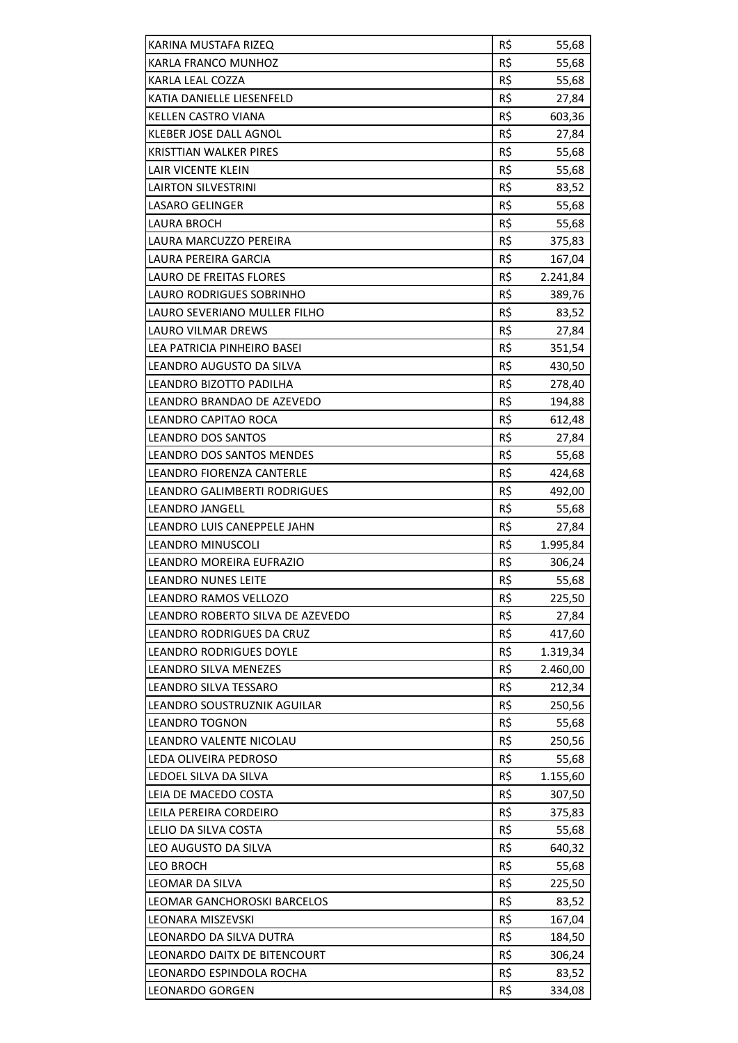| KARINA MUSTAFA RIZEQ             | R\$        | 55,68    |
|----------------------------------|------------|----------|
| KARLA FRANCO MUNHOZ              | R\$        | 55,68    |
| KARLA LEAL COZZA                 | R\$        | 55,68    |
| KATIA DANIELLE LIESENFELD        | R\$        | 27,84    |
| <b>KELLEN CASTRO VIANA</b>       | R\$        | 603,36   |
| KLEBER JOSE DALL AGNOL           | R\$        | 27,84    |
| KRISTTIAN WALKER PIRES           | R\$        | 55,68    |
| <b>LAIR VICENTE KLEIN</b>        | R\$        | 55,68    |
| <b>LAIRTON SILVESTRINI</b>       | R\$        | 83,52    |
| <b>LASARO GELINGER</b>           | R\$        | 55,68    |
| <b>LAURA BROCH</b>               | R\$        | 55,68    |
| LAURA MARCUZZO PEREIRA           | R\$        | 375,83   |
| LAURA PEREIRA GARCIA             | R\$        | 167,04   |
| LAURO DE FREITAS FLORES          | R\$        | 2.241,84 |
| <b>LAURO RODRIGUES SOBRINHO</b>  | R\$        | 389,76   |
| LAURO SEVERIANO MULLER FILHO     | R\$        | 83,52    |
| LAURO VILMAR DREWS               | R\$        | 27,84    |
| LEA PATRICIA PINHEIRO BASEI      | R\$        | 351,54   |
| LEANDRO AUGUSTO DA SILVA         | R\$        | 430,50   |
| LEANDRO BIZOTTO PADILHA          |            |          |
|                                  | R\$<br>R\$ | 278,40   |
| LEANDRO BRANDAO DE AZEVEDO       |            | 194,88   |
| LEANDRO CAPITAO ROCA             | R\$        | 612,48   |
| <b>LEANDRO DOS SANTOS</b>        | R\$        | 27,84    |
| <b>LEANDRO DOS SANTOS MENDES</b> | R\$        | 55,68    |
| LEANDRO FIORENZA CANTERLE        | R\$        | 424,68   |
| LEANDRO GALIMBERTI RODRIGUES     | R\$        | 492,00   |
| <b>LEANDRO JANGELL</b>           | R\$        | 55,68    |
| LEANDRO LUIS CANEPPELE JAHN      | R\$        | 27,84    |
| <b>LEANDRO MINUSCOLI</b>         | R\$        | 1.995,84 |
| LEANDRO MOREIRA EUFRAZIO         | R\$        | 306,24   |
| <b>LEANDRO NUNES LEITE</b>       | R\$        | 55,68    |
| <b>LEANDRO RAMOS VELLOZO</b>     | R\$        | 225,50   |
| LEANDRO ROBERTO SILVA DE AZEVEDO | R\$        | 27,84    |
| LEANDRO RODRIGUES DA CRUZ        | R\$        | 417,60   |
| <b>LEANDRO RODRIGUES DOYLE</b>   | R\$        | 1.319,34 |
| LEANDRO SILVA MENEZES            | R\$        | 2.460,00 |
| LEANDRO SILVA TESSARO            | R\$        | 212,34   |
| LEANDRO SOUSTRUZNIK AGUILAR      | R\$        | 250,56   |
| <b>LEANDRO TOGNON</b>            | R\$        | 55,68    |
| LEANDRO VALENTE NICOLAU          | R\$        | 250,56   |
| LEDA OLIVEIRA PEDROSO            | R\$        | 55,68    |
| LEDOEL SILVA DA SILVA            | R\$        | 1.155,60 |
| LEIA DE MACEDO COSTA             | R\$        | 307,50   |
| LEILA PEREIRA CORDEIRO           | R\$        | 375,83   |
| LELIO DA SILVA COSTA             | R\$        | 55,68    |
| LEO AUGUSTO DA SILVA             | R\$        | 640,32   |
| <b>LEO BROCH</b>                 | R\$        | 55,68    |
| LEOMAR DA SILVA                  | R\$        | 225,50   |
| LEOMAR GANCHOROSKI BARCELOS      | R\$        | 83,52    |
| LEONARA MISZEVSKI                | R\$        | 167,04   |
| LEONARDO DA SILVA DUTRA          | R\$        | 184,50   |
| LEONARDO DAITX DE BITENCOURT     | R\$        | 306,24   |
| LEONARDO ESPINDOLA ROCHA         | R\$        | 83,52    |
| <b>LEONARDO GORGEN</b>           | R\$        | 334,08   |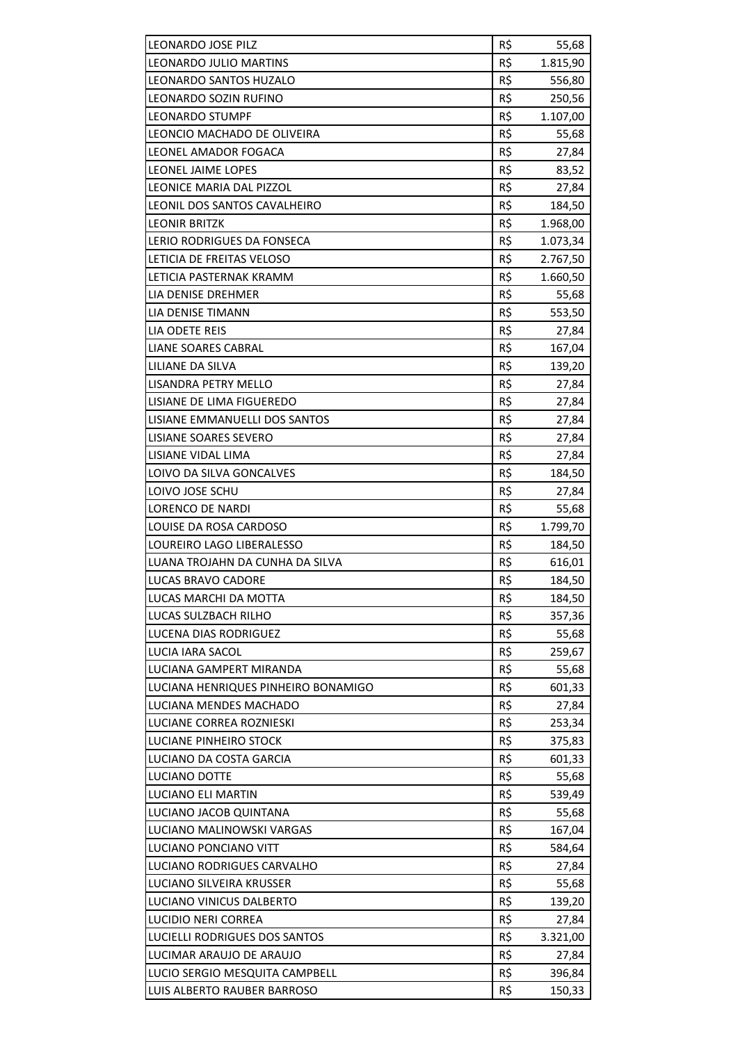| LEONARDO JOSE PILZ                                            | R\$        | 55,68            |
|---------------------------------------------------------------|------------|------------------|
| LEONARDO JULIO MARTINS                                        | R\$        | 1.815,90         |
| LEONARDO SANTOS HUZALO                                        | R\$        | 556,80           |
| LEONARDO SOZIN RUFINO                                         | R\$        | 250,56           |
| <b>LEONARDO STUMPF</b>                                        | R\$        | 1.107,00         |
| LEONCIO MACHADO DE OLIVEIRA                                   | R\$        | 55,68            |
| LEONEL AMADOR FOGACA                                          | R\$        | 27,84            |
| LEONEL JAIME LOPES                                            | R\$        | 83,52            |
| LEONICE MARIA DAL PIZZOL                                      | R\$        | 27,84            |
| LEONIL DOS SANTOS CAVALHEIRO                                  | R\$        | 184,50           |
| <b>LEONIR BRITZK</b>                                          | R\$        | 1.968,00         |
| LERIO RODRIGUES DA FONSECA                                    | R\$        | 1.073,34         |
| LETICIA DE FREITAS VELOSO                                     | R\$        | 2.767,50         |
| LETICIA PASTERNAK KRAMM                                       | R\$        | 1.660,50         |
| LIA DENISE DREHMER                                            | R\$        | 55,68            |
| LIA DENISE TIMANN                                             | R\$        | 553,50           |
| LIA ODETE REIS                                                | R\$        | 27,84            |
| <b>LIANE SOARES CABRAL</b>                                    | R\$        | 167,04           |
| LILIANE DA SILVA                                              | R\$        | 139,20           |
| LISANDRA PETRY MELLO                                          | R\$        | 27,84            |
| LISIANE DE LIMA FIGUEREDO                                     | R\$        | 27,84            |
| LISIANE EMMANUELLI DOS SANTOS                                 | R\$        | 27,84            |
| LISIANE SOARES SEVERO                                         | R\$        | 27,84            |
| LISIANE VIDAL LIMA                                            | R\$        | 27,84            |
| LOIVO DA SILVA GONCALVES                                      | R\$        | 184,50           |
| LOIVO JOSE SCHU                                               | R\$        | 27,84            |
| <b>LORENCO DE NARDI</b>                                       | R\$        | 55,68            |
| LOUISE DA ROSA CARDOSO                                        | R\$        | 1.799,70         |
| LOUREIRO LAGO LIBERALESSO                                     | R\$        | 184,50           |
| LUANA TROJAHN DA CUNHA DA SILVA                               | R\$        | 616,01           |
| <b>LUCAS BRAVO CADORE</b>                                     | R\$        | 184,50           |
| LUCAS MARCHI DA MOTTA                                         | R\$        | 184,50           |
| LUCAS SULZBACH RILHO                                          | R\$        | 357,36           |
| LUCENA DIAS RODRIGUEZ                                         | R\$        | 55,68            |
| LUCIA IARA SACOL                                              | R\$        | 259,67           |
| <b>LUCIANA GAMPERT MIRANDA</b>                                | R\$        | 55,68            |
| LUCIANA HENRIQUES PINHEIRO BONAMIGO                           | R\$        | 601,33           |
| LUCIANA MENDES MACHADO                                        | R\$        | 27,84            |
| LUCIANE CORREA ROZNIESKI                                      |            | 253,34           |
| LUCIANE PINHEIRO STOCK                                        |            |                  |
|                                                               | R\$        |                  |
|                                                               | R\$        | 375,83           |
| LUCIANO DA COSTA GARCIA                                       | R\$        | 601,33           |
| LUCIANO DOTTE                                                 | R\$        | 55,68            |
| LUCIANO ELI MARTIN                                            | R\$        | 539,49           |
| LUCIANO JACOB QUINTANA                                        | R\$        | 55,68            |
| LUCIANO MALINOWSKI VARGAS                                     | R\$        | 167,04           |
| LUCIANO PONCIANO VITT                                         | R\$        | 584,64           |
| LUCIANO RODRIGUES CARVALHO                                    | R\$        | 27,84            |
| LUCIANO SILVEIRA KRUSSER                                      | R\$        | 55,68            |
| LUCIANO VINICUS DALBERTO                                      | R\$        | 139,20           |
| LUCIDIO NERI CORREA                                           | R\$        | 27,84            |
| LUCIELLI RODRIGUES DOS SANTOS                                 | R\$        | 3.321,00         |
| LUCIMAR ARAUJO DE ARAUJO                                      | R\$        | 27,84            |
| LUCIO SERGIO MESQUITA CAMPBELL<br>LUIS ALBERTO RAUBER BARROSO | R\$<br>R\$ | 396,84<br>150,33 |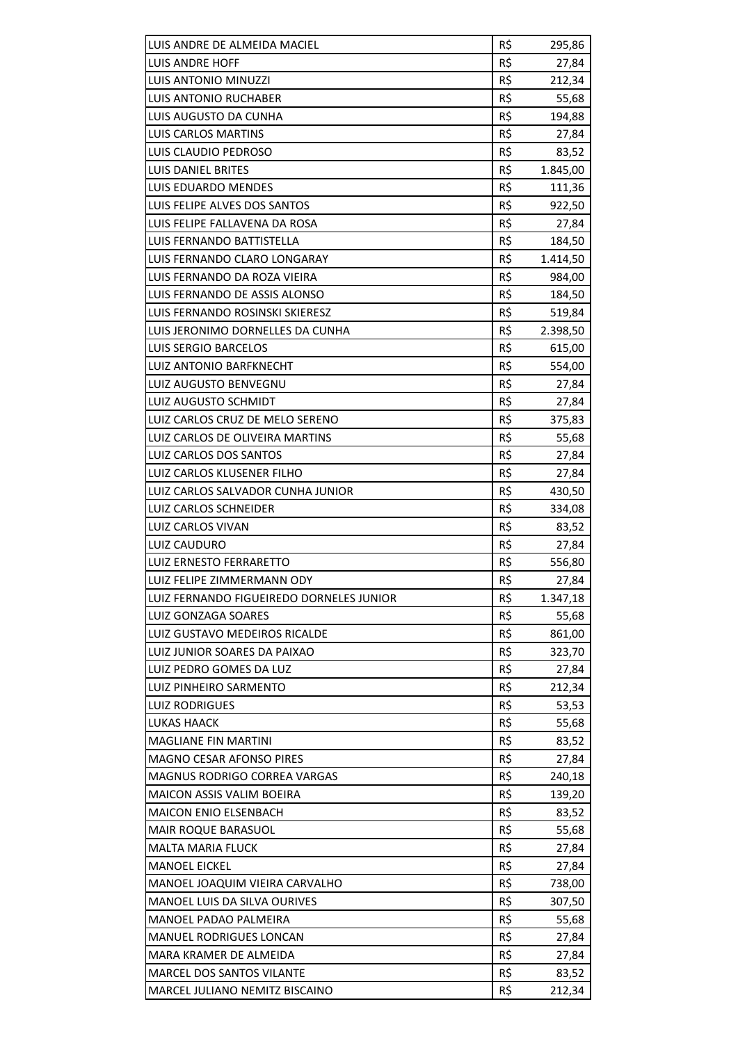| LUIS ANDRE DE ALMEIDA MACIEL             | R\$ | 295,86   |
|------------------------------------------|-----|----------|
| LUIS ANDRE HOFF                          | R\$ | 27,84    |
| LUIS ANTONIO MINUZZI                     | R\$ | 212,34   |
| LUIS ANTONIO RUCHABER                    | R\$ | 55,68    |
| LUIS AUGUSTO DA CUNHA                    | R\$ | 194,88   |
| LUIS CARLOS MARTINS                      | R\$ | 27,84    |
| LUIS CLAUDIO PEDROSO                     | R\$ | 83,52    |
| <b>LUIS DANIEL BRITES</b>                | R\$ | 1.845,00 |
| LUIS EDUARDO MENDES                      | R\$ | 111,36   |
| LUIS FELIPE ALVES DOS SANTOS             | R\$ | 922,50   |
| LUIS FELIPE FALLAVENA DA ROSA            | R\$ | 27,84    |
| LUIS FERNANDO BATTISTELLA                | R\$ | 184,50   |
| LUIS FERNANDO CLARO LONGARAY             | R\$ | 1.414,50 |
| LUIS FERNANDO DA ROZA VIEIRA             | R\$ | 984,00   |
| LUIS FERNANDO DE ASSIS ALONSO            | R\$ | 184,50   |
| LUIS FERNANDO ROSINSKI SKIERESZ          | R\$ | 519,84   |
| LUIS JERONIMO DORNELLES DA CUNHA         | R\$ | 2.398,50 |
| LUIS SERGIO BARCELOS                     | R\$ | 615,00   |
| LUIZ ANTONIO BARFKNECHT                  | R\$ | 554,00   |
| LUIZ AUGUSTO BENVEGNU                    | R\$ | 27,84    |
| LUIZ AUGUSTO SCHMIDT                     | R\$ | 27,84    |
| LUIZ CARLOS CRUZ DE MELO SERENO          | R\$ | 375,83   |
| LUIZ CARLOS DE OLIVEIRA MARTINS          | R\$ | 55,68    |
| LUIZ CARLOS DOS SANTOS                   | R\$ | 27,84    |
| LUIZ CARLOS KLUSENER FILHO               | R\$ | 27,84    |
| LUIZ CARLOS SALVADOR CUNHA JUNIOR        | R\$ | 430,50   |
| LUIZ CARLOS SCHNEIDER                    | R\$ | 334,08   |
| LUIZ CARLOS VIVAN                        | R\$ | 83,52    |
| LUIZ CAUDURO                             | R\$ | 27,84    |
| LUIZ ERNESTO FERRARETTO                  | R\$ | 556,80   |
| LUIZ FELIPE ZIMMERMANN ODY               | R\$ | 27,84    |
| LUIZ FERNANDO FIGUEIREDO DORNELES JUNIOR | R\$ | 1.347,18 |
| <b>LUIZ GONZAGA SOARES</b>               | R\$ | 55,68    |
| LUIZ GUSTAVO MEDEIROS RICALDE            | R\$ | 861,00   |
| LUIZ JUNIOR SOARES DA PAIXAO             | R\$ | 323,70   |
| LUIZ PEDRO GOMES DA LUZ                  | R\$ | 27,84    |
| LUIZ PINHEIRO SARMENTO                   | R\$ | 212,34   |
| <b>LUIZ RODRIGUES</b>                    | R\$ | 53,53    |
| <b>LUKAS HAACK</b>                       | R\$ | 55,68    |
| <b>MAGLIANE FIN MARTINI</b>              | R\$ | 83,52    |
| MAGNO CESAR AFONSO PIRES                 | R\$ | 27,84    |
| <b>MAGNUS RODRIGO CORREA VARGAS</b>      | R\$ | 240,18   |
| MAICON ASSIS VALIM BOEIRA                | R\$ | 139,20   |
| <b>MAICON ENIO ELSENBACH</b>             | R\$ | 83,52    |
| MAIR ROQUE BARASUOL                      | R\$ | 55,68    |
| <b>MALTA MARIA FLUCK</b>                 | R\$ | 27,84    |
| <b>MANOEL EICKEL</b>                     | R\$ | 27,84    |
| MANOEL JOAQUIM VIEIRA CARVALHO           | R\$ | 738,00   |
| <b>MANOEL LUIS DA SILVA OURIVES</b>      | R\$ |          |
| MANOEL PADAO PALMEIRA                    | R\$ | 307,50   |
|                                          | R\$ | 55,68    |
| <b>MANUEL RODRIGUES LONCAN</b>           | R\$ | 27,84    |
| MARA KRAMER DE ALMEIDA                   |     | 27,84    |
| MARCEL DOS SANTOS VILANTE                | R\$ | 83,52    |
| MARCEL JULIANO NEMITZ BISCAINO           | R\$ | 212,34   |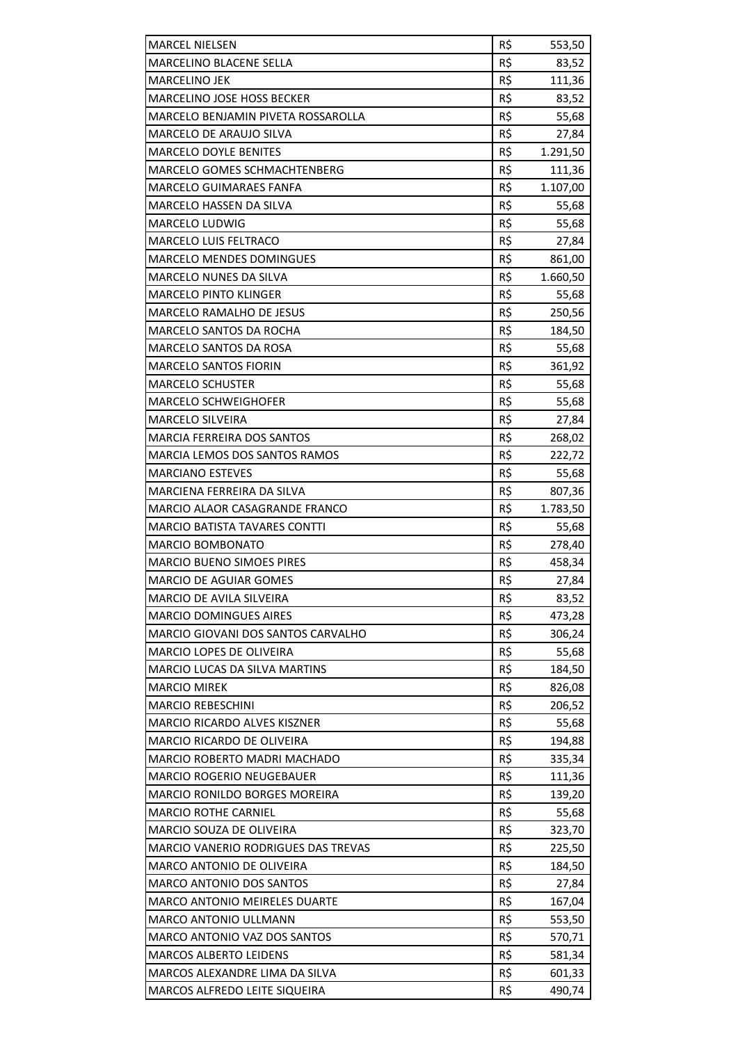| <b>MARCEL NIELSEN</b>                     | R\$ | 553,50   |
|-------------------------------------------|-----|----------|
| MARCELINO BLACENE SELLA                   | R\$ | 83,52    |
| <b>MARCELINO JEK</b>                      | R\$ | 111,36   |
| <b>MARCELINO JOSE HOSS BECKER</b>         | R\$ | 83,52    |
| MARCELO BENJAMIN PIVETA ROSSAROLLA        | R\$ | 55,68    |
| MARCELO DE ARAUJO SILVA                   | R\$ | 27,84    |
| <b>MARCELO DOYLE BENITES</b>              | R\$ | 1.291,50 |
| MARCELO GOMES SCHMACHTENBERG              | R\$ | 111,36   |
| <b>MARCELO GUIMARAES FANFA</b>            | R\$ | 1.107,00 |
| MARCELO HASSEN DA SILVA                   | R\$ |          |
|                                           | R\$ | 55,68    |
| <b>MARCELO LUDWIG</b>                     |     | 55,68    |
| <b>MARCELO LUIS FELTRACO</b>              | R\$ | 27,84    |
| <b>MARCELO MENDES DOMINGUES</b>           | R\$ | 861,00   |
| <b>MARCELO NUNES DA SILVA</b>             | R\$ | 1.660,50 |
| <b>MARCELO PINTO KLINGER</b>              | R\$ | 55,68    |
| <b>MARCELO RAMALHO DE JESUS</b>           | R\$ | 250,56   |
| <b>MARCELO SANTOS DA ROCHA</b>            | R\$ | 184,50   |
| <b>MARCELO SANTOS DA ROSA</b>             | R\$ | 55,68    |
| <b>MARCELO SANTOS FIORIN</b>              | R\$ | 361,92   |
| <b>MARCELO SCHUSTER</b>                   | R\$ | 55,68    |
| <b>MARCELO SCHWEIGHOFER</b>               | R\$ | 55,68    |
| <b>MARCELO SILVEIRA</b>                   | R\$ | 27,84    |
| <b>MARCIA FERREIRA DOS SANTOS</b>         | R\$ | 268,02   |
| <b>MARCIA LEMOS DOS SANTOS RAMOS</b>      | R\$ | 222,72   |
| <b>MARCIANO ESTEVES</b>                   | R\$ | 55,68    |
| MARCIENA FERREIRA DA SILVA                | R\$ | 807,36   |
| MARCIO ALAOR CASAGRANDE FRANCO            | R\$ | 1.783,50 |
| <b>MARCIO BATISTA TAVARES CONTTI</b>      | R\$ | 55,68    |
| <b>MARCIO BOMBONATO</b>                   | R\$ | 278,40   |
| <b>MARCIO BUENO SIMOES PIRES</b>          | R\$ | 458,34   |
| <b>MARCIO DE AGUIAR GOMES</b>             | R\$ | 27,84    |
| <b>MARCIO DE AVILA SILVEIRA</b>           | R\$ | 83,52    |
| <b>MARCIO DOMINGUES AIRES</b>             | R\$ | 473,28   |
| <b>MARCIO GIOVANI DOS SANTOS CARVALHO</b> | R\$ | 306,24   |
| <b>MARCIO LOPES DE OLIVEIRA</b>           | R\$ | 55,68    |
| <b>MARCIO LUCAS DA SILVA MARTINS</b>      | R\$ | 184,50   |
| <b>MARCIO MIREK</b>                       | R\$ | 826,08   |
| <b>MARCIO REBESCHINI</b>                  | R\$ | 206,52   |
| <b>MARCIO RICARDO ALVES KISZNER</b>       | R\$ | 55,68    |
| <b>MARCIO RICARDO DE OLIVEIRA</b>         | R\$ | 194,88   |
| MARCIO ROBERTO MADRI MACHADO              | R\$ | 335,34   |
| <b>MARCIO ROGERIO NEUGEBAUER</b>          | R\$ | 111,36   |
| MARCIO RONILDO BORGES MOREIRA             | R\$ | 139,20   |
| <b>MARCIO ROTHE CARNIEL</b>               | R\$ | 55,68    |
| MARCIO SOUZA DE OLIVEIRA                  | R\$ | 323,70   |
| MARCIO VANERIO RODRIGUES DAS TREVAS       | R\$ | 225,50   |
| <b>MARCO ANTONIO DE OLIVEIRA</b>          | R\$ | 184,50   |
| MARCO ANTONIO DOS SANTOS                  | R\$ | 27,84    |
| <b>MARCO ANTONIO MEIRELES DUARTE</b>      | R\$ | 167,04   |
| <b>MARCO ANTONIO ULLMANN</b>              | R\$ | 553,50   |
| MARCO ANTONIO VAZ DOS SANTOS              | R\$ | 570,71   |
| <b>MARCOS ALBERTO LEIDENS</b>             | R\$ | 581,34   |
| MARCOS ALEXANDRE LIMA DA SILVA            | R\$ | 601,33   |
| MARCOS ALFREDO LEITE SIQUEIRA             | R\$ | 490,74   |
|                                           |     |          |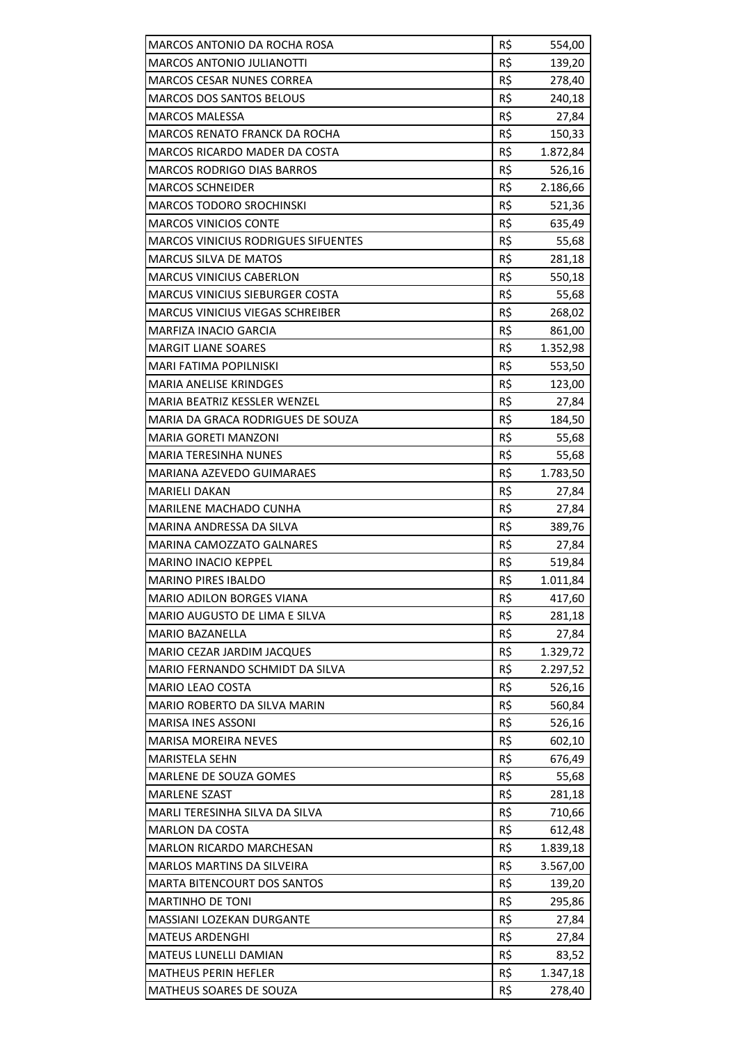| MARCOS ANTONIO DA ROCHA ROSA               | R\$ | 554,00   |
|--------------------------------------------|-----|----------|
| <b>MARCOS ANTONIO JULIANOTTI</b>           | R\$ | 139,20   |
| <b>MARCOS CESAR NUNES CORREA</b>           | R\$ | 278,40   |
| <b>MARCOS DOS SANTOS BELOUS</b>            | R\$ | 240,18   |
| <b>MARCOS MALESSA</b>                      | R\$ | 27,84    |
| <b>MARCOS RENATO FRANCK DA ROCHA</b>       | R\$ | 150,33   |
| <b>MARCOS RICARDO MADER DA COSTA</b>       | R\$ | 1.872,84 |
| <b>MARCOS RODRIGO DIAS BARROS</b>          | R\$ | 526,16   |
| <b>MARCOS SCHNEIDER</b>                    | R\$ | 2.186,66 |
| <b>MARCOS TODORO SROCHINSKI</b>            | R\$ | 521,36   |
| <b>MARCOS VINICIOS CONTE</b>               | R\$ | 635,49   |
| <b>MARCOS VINICIUS RODRIGUES SIFUENTES</b> | R\$ | 55,68    |
| <b>MARCUS SILVA DE MATOS</b>               | R\$ | 281,18   |
| <b>MARCUS VINICIUS CABERLON</b>            | R\$ | 550,18   |
| <b>MARCUS VINICIUS SIEBURGER COSTA</b>     | R\$ | 55,68    |
| MARCUS VINICIUS VIEGAS SCHREIBER           | R\$ | 268,02   |
| <b>MARFIZA INACIO GARCIA</b>               | R\$ | 861,00   |
| <b>MARGIT LIANE SOARES</b>                 | R\$ | 1.352,98 |
| MARI FATIMA POPILNISKI                     | R\$ | 553,50   |
| <b>MARIA ANELISE KRINDGES</b>              | R\$ | 123,00   |
| MARIA BEATRIZ KESSLER WENZEL               | R\$ | 27,84    |
| MARIA DA GRACA RODRIGUES DE SOUZA          | R\$ | 184,50   |
| <b>MARIA GORETI MANZONI</b>                | R\$ | 55,68    |
| MARIA TERESINHA NUNES                      | R\$ | 55,68    |
| MARIANA AZEVEDO GUIMARAES                  | R\$ | 1.783,50 |
| <b>MARIELI DAKAN</b>                       | R\$ | 27,84    |
| MARILENE MACHADO CUNHA                     | R\$ | 27,84    |
| MARINA ANDRESSA DA SILVA                   | R\$ | 389,76   |
| <b>MARINA CAMOZZATO GALNARES</b>           | R\$ | 27,84    |
| <b>MARINO INACIO KEPPEL</b>                | R\$ | 519,84   |
| <b>MARINO PIRES IBALDO</b>                 | R\$ | 1.011,84 |
| MARIO ADILON BORGES VIANA                  | R\$ | 417,60   |
| MARIO AUGUSTO DE LIMA E SILVA              | R\$ | 281,18   |
| <b>MARIO BAZANELLA</b>                     | R\$ | 27,84    |
| <b>MARIO CEZAR JARDIM JACQUES</b>          | R\$ | 1.329,72 |
| MARIO FERNANDO SCHMIDT DA SILVA            | R\$ | 2.297,52 |
| <b>MARIO LEAO COSTA</b>                    | R\$ | 526,16   |
| MARIO ROBERTO DA SILVA MARIN               | R\$ | 560,84   |
| <b>MARISA INES ASSONI</b>                  | R\$ | 526,16   |
| <b>MARISA MOREIRA NEVES</b>                | R\$ | 602,10   |
| <b>MARISTELA SEHN</b>                      | R\$ | 676,49   |
| MARLENE DE SOUZA GOMES                     | R\$ | 55,68    |
| <b>MARLENE SZAST</b>                       | R\$ | 281,18   |
| MARLI TERESINHA SILVA DA SILVA             | R\$ | 710,66   |
| <b>MARLON DA COSTA</b>                     | R\$ | 612,48   |
| <b>MARLON RICARDO MARCHESAN</b>            | R\$ | 1.839,18 |
| <b>MARLOS MARTINS DA SILVEIRA</b>          | R\$ | 3.567,00 |
| <b>MARTA BITENCOURT DOS SANTOS</b>         | R\$ | 139,20   |
| <b>MARTINHO DE TONI</b>                    | R\$ | 295,86   |
| MASSIANI LOZEKAN DURGANTE                  | R\$ | 27,84    |
| <b>MATEUS ARDENGHI</b>                     | R\$ | 27,84    |
| <b>MATEUS LUNELLI DAMIAN</b>               | R\$ | 83,52    |
| <b>MATHEUS PERIN HEFLER</b>                | R\$ | 1.347,18 |
| MATHEUS SOARES DE SOUZA                    | R\$ | 278,40   |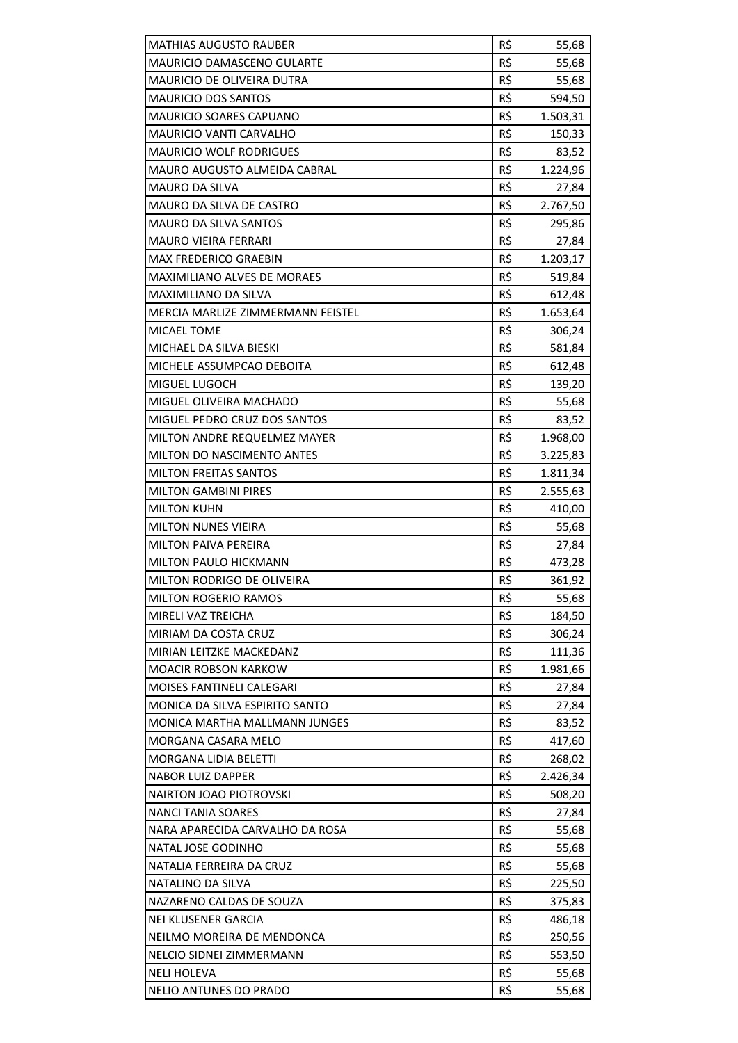| <b>MATHIAS AUGUSTO RAUBER</b>                | R\$        | 55,68          |
|----------------------------------------------|------------|----------------|
| <b>MAURICIO DAMASCENO GULARTE</b>            | R\$        | 55,68          |
| MAURICIO DE OLIVEIRA DUTRA                   | R\$        | 55,68          |
| <b>MAURICIO DOS SANTOS</b>                   | R\$        | 594,50         |
| <b>MAURICIO SOARES CAPUANO</b>               | R\$        | 1.503,31       |
| <b>MAURICIO VANTI CARVALHO</b>               | R\$        | 150,33         |
| <b>MAURICIO WOLF RODRIGUES</b>               | R\$        | 83,52          |
| <b>MAURO AUGUSTO ALMEIDA CABRAL</b>          | R\$        | 1.224,96       |
| <b>MAURO DA SILVA</b>                        | R\$        | 27,84          |
| MAURO DA SILVA DE CASTRO                     | R\$        | 2.767,50       |
| MAURO DA SILVA SANTOS                        | R\$        | 295,86         |
| <b>MAURO VIEIRA FERRARI</b>                  | R\$        | 27,84          |
| MAX FREDERICO GRAEBIN                        | R\$        | 1.203,17       |
| <b>MAXIMILIANO ALVES DE MORAES</b>           | R\$        | 519,84         |
| MAXIMILIANO DA SILVA                         | R\$        | 612,48         |
| MERCIA MARLIZE ZIMMERMANN FEISTEL            | R\$        | 1.653,64       |
| <b>MICAEL TOME</b>                           | R\$        | 306,24         |
| MICHAEL DA SILVA BIESKI                      | R\$        | 581,84         |
| MICHELE ASSUMPCAO DEBOITA                    | R\$        | 612,48         |
| MIGUEL LUGOCH                                | R\$        | 139,20         |
| MIGUEL OLIVEIRA MACHADO                      | R\$        | 55,68          |
| MIGUEL PEDRO CRUZ DOS SANTOS                 | R\$        | 83,52          |
| MILTON ANDRE REQUELMEZ MAYER                 | R\$        | 1.968,00       |
| MILTON DO NASCIMENTO ANTES                   | R\$        | 3.225,83       |
| <b>MILTON FREITAS SANTOS</b>                 | R\$        | 1.811,34       |
| <b>MILTON GAMBINI PIRES</b>                  | R\$        | 2.555,63       |
| <b>MILTON KUHN</b>                           | R\$        | 410,00         |
| <b>MILTON NUNES VIEIRA</b>                   | R\$        | 55,68          |
| <b>MILTON PAIVA PEREIRA</b>                  | R\$        | 27,84          |
| <b>MILTON PAULO HICKMANN</b>                 | R\$        | 473,28         |
| MILTON RODRIGO DE OLIVEIRA                   | R\$        | 361,92         |
| <b>MILTON ROGERIO RAMOS</b>                  | R\$        | 55,68          |
| MIRELI VAZ TREICHA                           | R\$        | 184,50         |
| MIRIAM DA COSTA CRUZ                         | R\$        | 306,24         |
| MIRIAN LEITZKE MACKEDANZ                     | R\$        | 111,36         |
| <b>MOACIR ROBSON KARKOW</b>                  | R\$        | 1.981,66       |
| <b>MOISES FANTINELI CALEGARI</b>             | R\$        | 27,84          |
| MONICA DA SILVA ESPIRITO SANTO               | R\$        | 27,84          |
| <b>MONICA MARTHA MALLMANN JUNGES</b>         | R\$        | 83,52          |
| <b>MORGANA CASARA MELO</b>                   | R\$        | 417,60         |
| <b>MORGANA LIDIA BELETTI</b>                 | R\$        | 268,02         |
| <b>NABOR LUIZ DAPPER</b>                     | R\$        | 2.426,34       |
| <b>NAIRTON JOAO PIOTROVSKI</b>               | R\$        | 508,20         |
| <b>NANCI TANIA SOARES</b>                    | R\$        | 27,84          |
| NARA APARECIDA CARVALHO DA ROSA              | R\$        | 55,68          |
| NATAL JOSE GODINHO                           | R\$        | 55,68          |
| NATALIA FERREIRA DA CRUZ                     | R\$        | 55,68          |
| NATALINO DA SILVA                            | R\$        | 225,50         |
| NAZARENO CALDAS DE SOUZA                     | R\$        | 375,83         |
| <b>NEI KLUSENER GARCIA</b>                   |            | 486,18         |
|                                              |            |                |
|                                              | R\$        |                |
| NEILMO MOREIRA DE MENDONCA                   | R\$        | 250,56         |
| NELCIO SIDNEI ZIMMERMANN                     | R\$        | 553,50         |
| <b>NELI HOLEVA</b><br>NELIO ANTUNES DO PRADO | R\$<br>R\$ | 55,68<br>55,68 |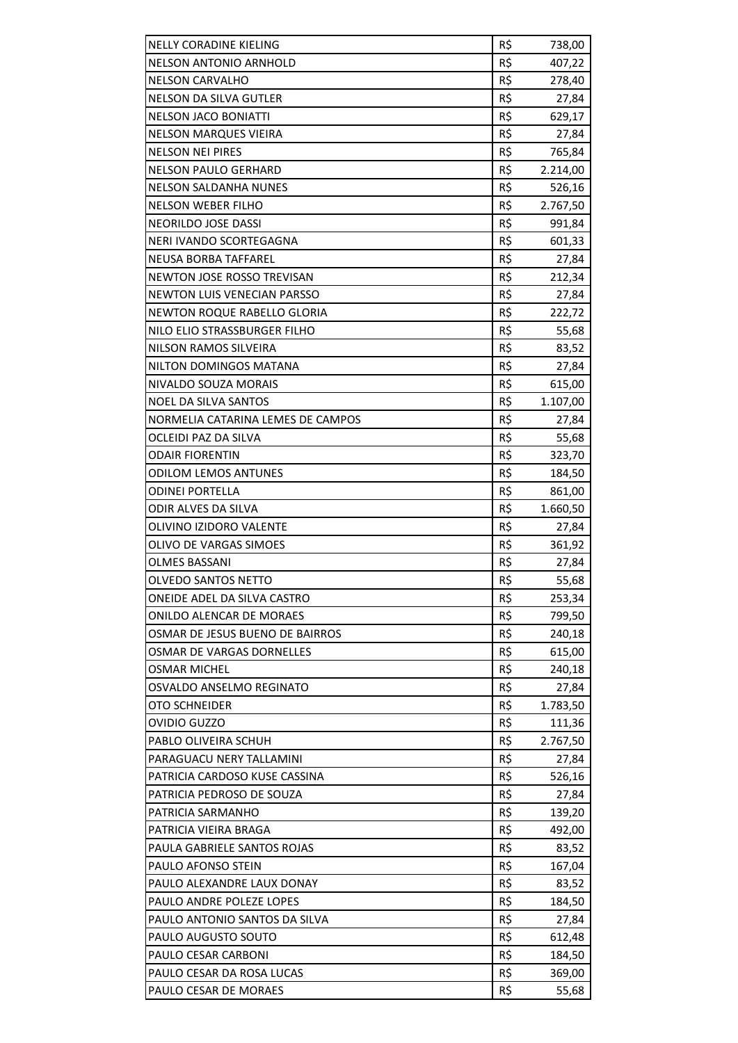| <b>NELLY CORADINE KIELING</b>      | R\$ | 738,00          |
|------------------------------------|-----|-----------------|
| <b>NELSON ANTONIO ARNHOLD</b>      | R\$ | 407,22          |
| <b>NELSON CARVALHO</b>             | R\$ | 278,40          |
| <b>NELSON DA SILVA GUTLER</b>      | R\$ | 27,84           |
| <b>NELSON JACO BONIATTI</b>        | R\$ | 629,17          |
| <b>NELSON MARQUES VIEIRA</b>       | R\$ |                 |
| <b>NELSON NEI PIRES</b>            | R\$ | 27,84<br>765,84 |
| <b>NELSON PAULO GERHARD</b>        | R\$ |                 |
| <b>NELSON SALDANHA NUNES</b>       | R\$ | 2.214,00        |
|                                    |     | 526,16          |
| NELSON WEBER FILHO                 | R\$ | 2.767,50        |
| NEORILDO JOSE DASSI                | R\$ | 991,84          |
| NERI IVANDO SCORTEGAGNA            | R\$ | 601,33          |
| NEUSA BORBA TAFFAREL               | R\$ | 27,84           |
| NEWTON JOSE ROSSO TREVISAN         | R\$ | 212,34          |
| <b>NEWTON LUIS VENECIAN PARSSO</b> | R\$ | 27,84           |
| NEWTON ROQUE RABELLO GLORIA        | R\$ | 222,72          |
| NILO ELIO STRASSBURGER FILHO       | R\$ | 55,68           |
| <b>NILSON RAMOS SILVEIRA</b>       | R\$ | 83,52           |
| NILTON DOMINGOS MATANA             | R\$ | 27,84           |
| NIVALDO SOUZA MORAIS               | R\$ | 615,00          |
| <b>NOEL DA SILVA SANTOS</b>        | R\$ | 1.107,00        |
| NORMELIA CATARINA LEMES DE CAMPOS  | R\$ | 27,84           |
| OCLEIDI PAZ DA SILVA               | R\$ | 55,68           |
| <b>ODAIR FIORENTIN</b>             | R\$ | 323,70          |
| ODILOM LEMOS ANTUNES               | R\$ | 184,50          |
| <b>ODINEI PORTELLA</b>             | R\$ | 861,00          |
| ODIR ALVES DA SILVA                | R\$ | 1.660,50        |
| OLIVINO IZIDORO VALENTE            | R\$ | 27,84           |
| OLIVO DE VARGAS SIMOES             | R\$ | 361,92          |
| OLMES BASSANI                      | R\$ | 27,84           |
| OLVEDO SANTOS NETTO                | R\$ | 55,68           |
| ONEIDE ADEL DA SILVA CASTRO        | R\$ | 253,34          |
| ONILDO ALENCAR DE MORAES           | R\$ | 799,50          |
| OSMAR DE JESUS BUENO DE BAIRROS    | R\$ | 240,18          |
| OSMAR DE VARGAS DORNELLES          | R\$ | 615,00          |
| <b>OSMAR MICHEL</b>                | R\$ | 240,18          |
| OSVALDO ANSELMO REGINATO           | R\$ | 27,84           |
| OTO SCHNEIDER                      | R\$ | 1.783,50        |
| <b>OVIDIO GUZZO</b>                | R\$ | 111,36          |
| PABLO OLIVEIRA SCHUH               | R\$ | 2.767,50        |
| PARAGUACU NERY TALLAMINI           | R\$ | 27,84           |
| PATRICIA CARDOSO KUSE CASSINA      | R\$ | 526,16          |
| PATRICIA PEDROSO DE SOUZA          | R\$ | 27,84           |
| PATRICIA SARMANHO                  | R\$ | 139,20          |
| PATRICIA VIEIRA BRAGA              | R\$ | 492,00          |
| PAULA GABRIELE SANTOS ROJAS        | R\$ | 83,52           |
| PAULO AFONSO STEIN                 | R\$ | 167,04          |
| PAULO ALEXANDRE LAUX DONAY         | R\$ | 83,52           |
| PAULO ANDRE POLEZE LOPES           | R\$ | 184,50          |
| PAULO ANTONIO SANTOS DA SILVA      | R\$ | 27,84           |
| PAULO AUGUSTO SOUTO                | R\$ | 612,48          |
| PAULO CESAR CARBONI                | R\$ |                 |
|                                    |     | 184,50          |
| PAULO CESAR DA ROSA LUCAS          | R\$ | 369,00          |
| PAULO CESAR DE MORAES              | R\$ | 55,68           |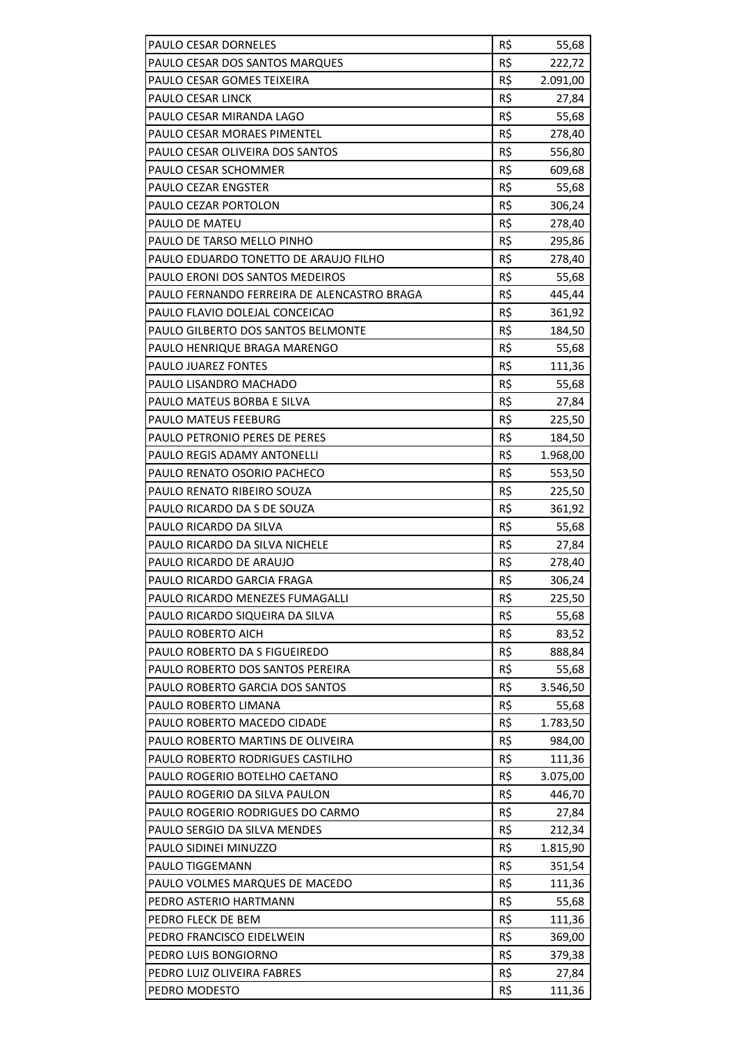| PAULO CESAR DORNELES                        | R\$ | 55,68    |
|---------------------------------------------|-----|----------|
| PAULO CESAR DOS SANTOS MARQUES              | R\$ | 222,72   |
| PAULO CESAR GOMES TEIXEIRA                  | R\$ | 2.091,00 |
| <b>PAULO CESAR LINCK</b>                    | R\$ | 27,84    |
| PAULO CESAR MIRANDA LAGO                    | R\$ | 55,68    |
| PAULO CESAR MORAES PIMENTEL                 | R\$ | 278,40   |
| PAULO CESAR OLIVEIRA DOS SANTOS             | R\$ | 556,80   |
| PAULO CESAR SCHOMMER                        | R\$ | 609,68   |
| PAULO CEZAR ENGSTER                         | R\$ | 55,68    |
| PAULO CEZAR PORTOLON                        | R\$ | 306,24   |
| PAULO DE MATEU                              | R\$ | 278,40   |
| PAULO DE TARSO MELLO PINHO                  | R\$ | 295,86   |
| PAULO EDUARDO TONETTO DE ARAUJO FILHO       | R\$ | 278,40   |
| PAULO ERONI DOS SANTOS MEDEIROS             | R\$ | 55,68    |
| PAULO FERNANDO FERREIRA DE ALENCASTRO BRAGA | R\$ | 445,44   |
| PAULO FLAVIO DOLEJAL CONCEICAO              | R\$ | 361,92   |
| PAULO GILBERTO DOS SANTOS BELMONTE          | R\$ | 184,50   |
| PAULO HENRIQUE BRAGA MARENGO                | R\$ | 55,68    |
| PAULO JUAREZ FONTES                         | R\$ | 111,36   |
| PAULO LISANDRO MACHADO                      | R\$ | 55,68    |
| PAULO MATEUS BORBA E SILVA                  | R\$ | 27,84    |
| PAULO MATEUS FEEBURG                        | R\$ | 225,50   |
| PAULO PETRONIO PERES DE PERES               | R\$ | 184,50   |
| PAULO REGIS ADAMY ANTONELLI                 | R\$ | 1.968,00 |
| PAULO RENATO OSORIO PACHECO                 | R\$ | 553,50   |
| PAULO RENATO RIBEIRO SOUZA                  | R\$ | 225,50   |
| PAULO RICARDO DA S DE SOUZA                 | R\$ | 361,92   |
| PAULO RICARDO DA SILVA                      | R\$ | 55,68    |
| PAULO RICARDO DA SILVA NICHELE              | R\$ | 27,84    |
| PAULO RICARDO DE ARAUJO                     | R\$ | 278,40   |
| PAULO RICARDO GARCIA FRAGA                  | R\$ | 306,24   |
| PAULO RICARDO MENEZES FUMAGALLI             | R\$ | 225,50   |
| PAULO RICARDO SIQUEIRA DA SILVA             | R\$ | 55,68    |
| PAULO ROBERTO AICH                          | R\$ | 83,52    |
| PAULO ROBERTO DA S FIGUEIREDO               | R\$ | 888,84   |
| PAULO ROBERTO DOS SANTOS PEREIRA            | R\$ | 55,68    |
| PAULO ROBERTO GARCIA DOS SANTOS             | R\$ | 3.546,50 |
| PAULO ROBERTO LIMANA                        | R\$ | 55,68    |
| PAULO ROBERTO MACEDO CIDADE                 | R\$ | 1.783,50 |
| PAULO ROBERTO MARTINS DE OLIVEIRA           | R\$ | 984,00   |
| PAULO ROBERTO RODRIGUES CASTILHO            | R\$ | 111,36   |
| PAULO ROGERIO BOTELHO CAETANO               | R\$ | 3.075,00 |
| PAULO ROGERIO DA SILVA PAULON               | R\$ | 446,70   |
| PAULO ROGERIO RODRIGUES DO CARMO            | R\$ | 27,84    |
| PAULO SERGIO DA SILVA MENDES                | R\$ | 212,34   |
| PAULO SIDINEI MINUZZO                       | R\$ | 1.815,90 |
| PAULO TIGGEMANN                             | R\$ | 351,54   |
| PAULO VOLMES MARQUES DE MACEDO              | R\$ | 111,36   |
| PEDRO ASTERIO HARTMANN                      | R\$ | 55,68    |
| PEDRO FLECK DE BEM                          | R\$ | 111,36   |
| PEDRO FRANCISCO EIDELWEIN                   | R\$ | 369,00   |
| PEDRO LUIS BONGIORNO                        | R\$ | 379,38   |
| PEDRO LUIZ OLIVEIRA FABRES                  | R\$ | 27,84    |
| PEDRO MODESTO                               | R\$ | 111,36   |
|                                             |     |          |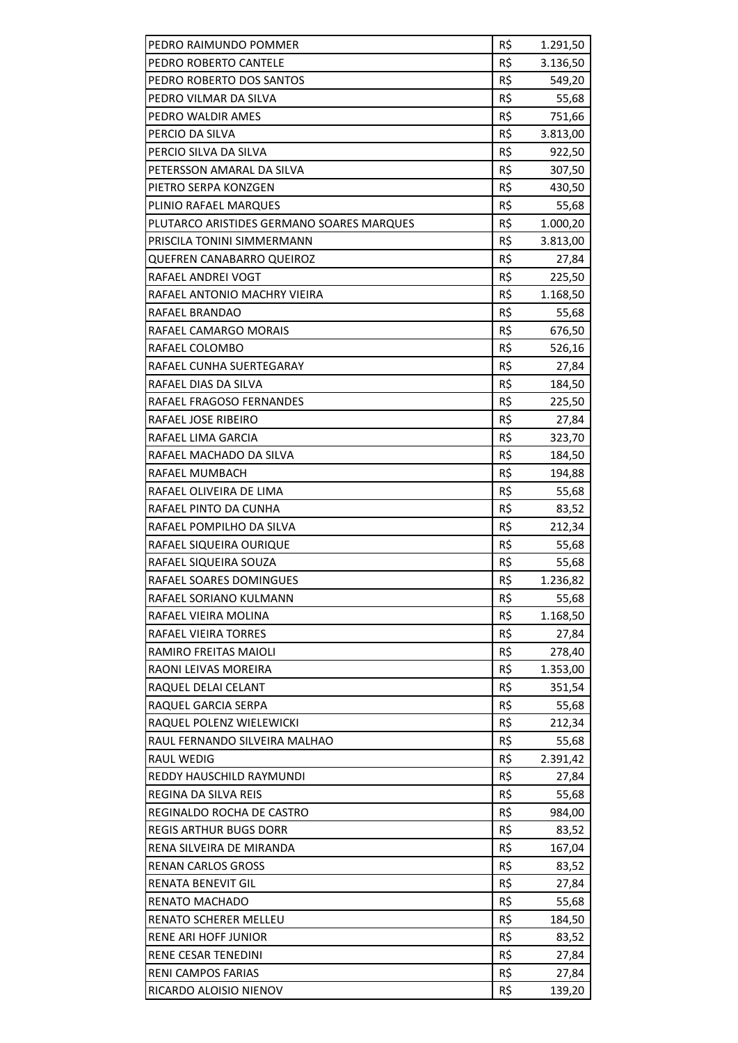| PEDRO RAIMUNDO POMMER                     | R\$ | 1.291,50 |
|-------------------------------------------|-----|----------|
| PEDRO ROBERTO CANTELE                     | R\$ | 3.136,50 |
| PEDRO ROBERTO DOS SANTOS                  | R\$ | 549,20   |
| PEDRO VILMAR DA SILVA                     | R\$ | 55,68    |
| PEDRO WALDIR AMES                         | R\$ | 751,66   |
| PERCIO DA SILVA                           | R\$ | 3.813,00 |
| PERCIO SILVA DA SILVA                     | R\$ | 922,50   |
| PETERSSON AMARAL DA SILVA                 | R\$ | 307,50   |
| PIETRO SERPA KONZGEN                      | R\$ | 430,50   |
| PLINIO RAFAEL MARQUES                     | R\$ | 55,68    |
| PLUTARCO ARISTIDES GERMANO SOARES MARQUES | R\$ | 1.000,20 |
| PRISCILA TONINI SIMMERMANN                | R\$ | 3.813,00 |
| <b>QUEFREN CANABARRO QUEIROZ</b>          | R\$ | 27,84    |
| RAFAEL ANDREI VOGT                        | R\$ | 225,50   |
| RAFAEL ANTONIO MACHRY VIEIRA              | R\$ | 1.168,50 |
| <b>RAFAEL BRANDAO</b>                     | R\$ | 55,68    |
| RAFAEL CAMARGO MORAIS                     | R\$ | 676,50   |
| RAFAEL COLOMBO                            | R\$ | 526,16   |
| RAFAEL CUNHA SUERTEGARAY                  | R\$ | 27,84    |
| RAFAEL DIAS DA SILVA                      | R\$ | 184,50   |
| RAFAEL FRAGOSO FERNANDES                  | R\$ | 225,50   |
| RAFAEL JOSE RIBEIRO                       | R\$ | 27,84    |
| RAFAEL LIMA GARCIA                        | R\$ | 323,70   |
| RAFAEL MACHADO DA SILVA                   | R\$ | 184,50   |
| RAFAEL MUMBACH                            | R\$ | 194,88   |
| RAFAEL OLIVEIRA DE LIMA                   | R\$ | 55,68    |
| RAFAEL PINTO DA CUNHA                     | R\$ | 83,52    |
| RAFAEL POMPILHO DA SILVA                  | R\$ | 212,34   |
| RAFAEL SIQUEIRA OURIQUE                   | R\$ | 55,68    |
| RAFAEL SIQUEIRA SOUZA                     | R\$ | 55,68    |
| RAFAEL SOARES DOMINGUES                   | R\$ | 1.236,82 |
| RAFAEL SORIANO KULMANN                    | R\$ | 55,68    |
| RAFAEL VIEIRA MOLINA                      | R\$ | 1.168,50 |
| <b>RAFAEL VIEIRA TORRES</b>               | R\$ | 27,84    |
| RAMIRO FREITAS MAIOLI                     | R\$ | 278,40   |
| RAONI LEIVAS MOREIRA                      | R\$ | 1.353,00 |
| RAQUEL DELAI CELANT                       | R\$ | 351,54   |
| RAQUEL GARCIA SERPA                       | R\$ | 55,68    |
| RAQUEL POLENZ WIELEWICKI                  | R\$ | 212,34   |
| RAUL FERNANDO SILVEIRA MALHAO             | R\$ | 55,68    |
| <b>RAUL WEDIG</b>                         | R\$ | 2.391,42 |
| REDDY HAUSCHILD RAYMUNDI                  | R\$ | 27,84    |
| REGINA DA SILVA REIS                      | R\$ | 55,68    |
| REGINALDO ROCHA DE CASTRO                 | R\$ | 984,00   |
| <b>REGIS ARTHUR BUGS DORR</b>             | R\$ | 83,52    |
| RENA SILVEIRA DE MIRANDA                  | R\$ | 167,04   |
| <b>RENAN CARLOS GROSS</b>                 | R\$ | 83,52    |
| <b>RENATA BENEVIT GIL</b>                 | R\$ | 27,84    |
| <b>RENATO MACHADO</b>                     | R\$ | 55,68    |
| RENATO SCHERER MELLEU                     | R\$ | 184,50   |
| RENE ARI HOFF JUNIOR                      | R\$ | 83,52    |
| RENE CESAR TENEDINI                       | R\$ | 27,84    |
| RENI CAMPOS FARIAS                        | R\$ | 27,84    |
| RICARDO ALOISIO NIENOV                    | R\$ | 139,20   |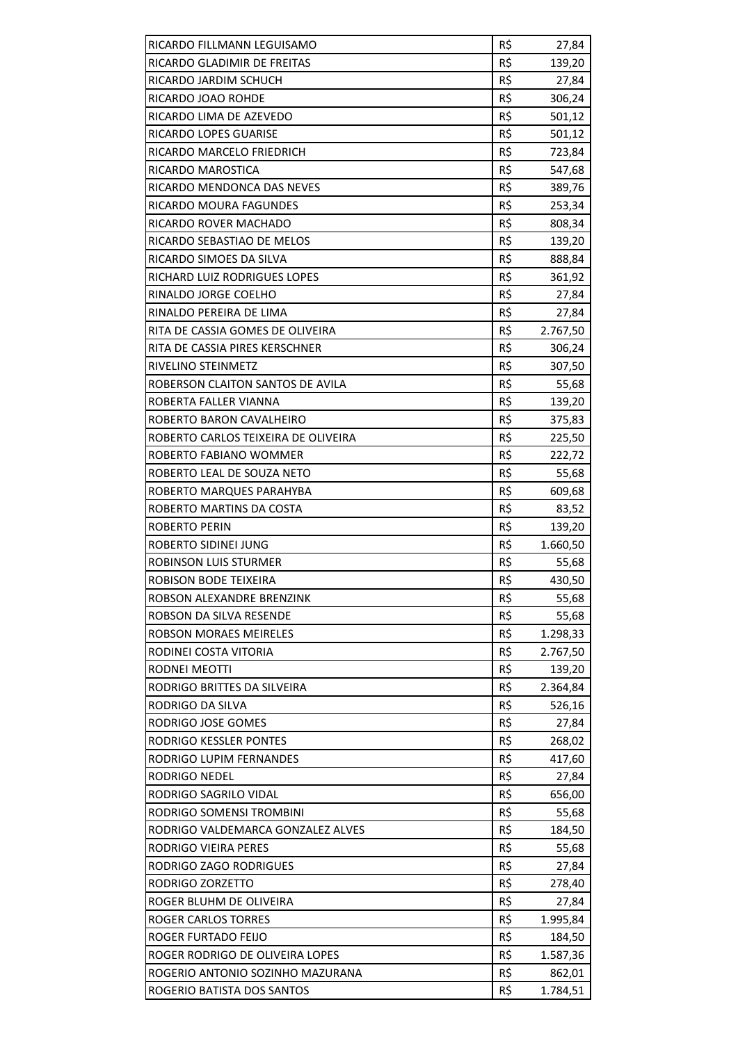| RICARDO FILLMANN LEGUISAMO          | R\$ | 27,84                |
|-------------------------------------|-----|----------------------|
| RICARDO GLADIMIR DE FREITAS         | R\$ | 139,20               |
| RICARDO JARDIM SCHUCH               | R\$ | 27,84                |
| RICARDO JOAO ROHDE                  | R\$ | 306,24               |
| RICARDO LIMA DE AZEVEDO             | R\$ | 501,12               |
| RICARDO LOPES GUARISE               | R\$ | 501,12               |
| RICARDO MARCELO FRIEDRICH           | R\$ | 723,84               |
| RICARDO MAROSTICA                   | R\$ | 547,68               |
| RICARDO MENDONCA DAS NEVES          | R\$ | 389,76               |
| <b>RICARDO MOURA FAGUNDES</b>       | R\$ | 253,34               |
| RICARDO ROVER MACHADO               | R\$ | 808,34               |
| RICARDO SEBASTIAO DE MELOS          | R\$ | 139,20               |
| RICARDO SIMOES DA SILVA             | R\$ | 888,84               |
| RICHARD LUIZ RODRIGUES LOPES        | R\$ | 361,92               |
| RINALDO JORGE COELHO                | R\$ | 27,84                |
| RINALDO PEREIRA DE LIMA             | R\$ | 27,84                |
| RITA DE CASSIA GOMES DE OLIVEIRA    | R\$ | 2.767,50             |
| RITA DE CASSIA PIRES KERSCHNER      | R\$ | 306,24               |
| RIVELINO STEINMETZ                  | R\$ | 307,50               |
| ROBERSON CLAITON SANTOS DE AVILA    | R\$ | 55,68                |
| ROBERTA FALLER VIANNA               | R\$ | 139,20               |
| ROBERTO BARON CAVALHEIRO            | R\$ | 375,83               |
| ROBERTO CARLOS TEIXEIRA DE OLIVEIRA | R\$ | 225,50               |
| ROBERTO FABIANO WOMMER              | R\$ | 222,72               |
| ROBERTO LEAL DE SOUZA NETO          | R\$ | 55,68                |
| ROBERTO MARQUES PARAHYBA            | R\$ | 609,68               |
| ROBERTO MARTINS DA COSTA            | R\$ |                      |
| ROBERTO PERIN                       | R\$ | 83,52<br>139,20      |
| ROBERTO SIDINEI JUNG                | R\$ |                      |
| <b>ROBINSON LUIS STURMER</b>        | R\$ | 1.660,50             |
| ROBISON BODE TEIXEIRA               | R\$ | 55,68<br>430,50      |
| ROBSON ALEXANDRE BRENZINK           | R\$ |                      |
| ROBSON DA SILVA RESENDE             | R\$ | 55,68<br>55,68       |
| ROBSON MORAES MEIRELES              | R\$ |                      |
| RODINEI COSTA VITORIA               | R\$ | 1.298,33<br>2.767,50 |
| <b>RODNEI MEOTTI</b>                | R\$ |                      |
| RODRIGO BRITTES DA SILVEIRA         |     | 139,20               |
|                                     | R\$ | 2.364,84             |
| RODRIGO DA SILVA                    | R\$ | 526,16               |
| RODRIGO JOSE GOMES                  | R\$ | 27,84                |
| RODRIGO KESSLER PONTES              | R\$ | 268,02               |
| RODRIGO LUPIM FERNANDES             | R\$ | 417,60               |
| RODRIGO NEDEL                       | R\$ | 27,84                |
| RODRIGO SAGRILO VIDAL               | R\$ | 656,00               |
| RODRIGO SOMENSI TROMBINI            | R\$ | 55,68                |
| RODRIGO VALDEMARCA GONZALEZ ALVES   | R\$ | 184,50               |
| RODRIGO VIEIRA PERES                | R\$ | 55,68                |
| RODRIGO ZAGO RODRIGUES              | R\$ | 27,84                |
| RODRIGO ZORZETTO                    | R\$ | 278,40               |
| ROGER BLUHM DE OLIVEIRA             | R\$ | 27,84                |
| ROGER CARLOS TORRES                 | R\$ | 1.995,84             |
| ROGER FURTADO FEIJO                 | R\$ | 184,50               |
| ROGER RODRIGO DE OLIVEIRA LOPES     | R\$ | 1.587,36             |
| ROGERIO ANTONIO SOZINHO MAZURANA    | R\$ | 862,01               |
| ROGERIO BATISTA DOS SANTOS          | R\$ | 1.784,51             |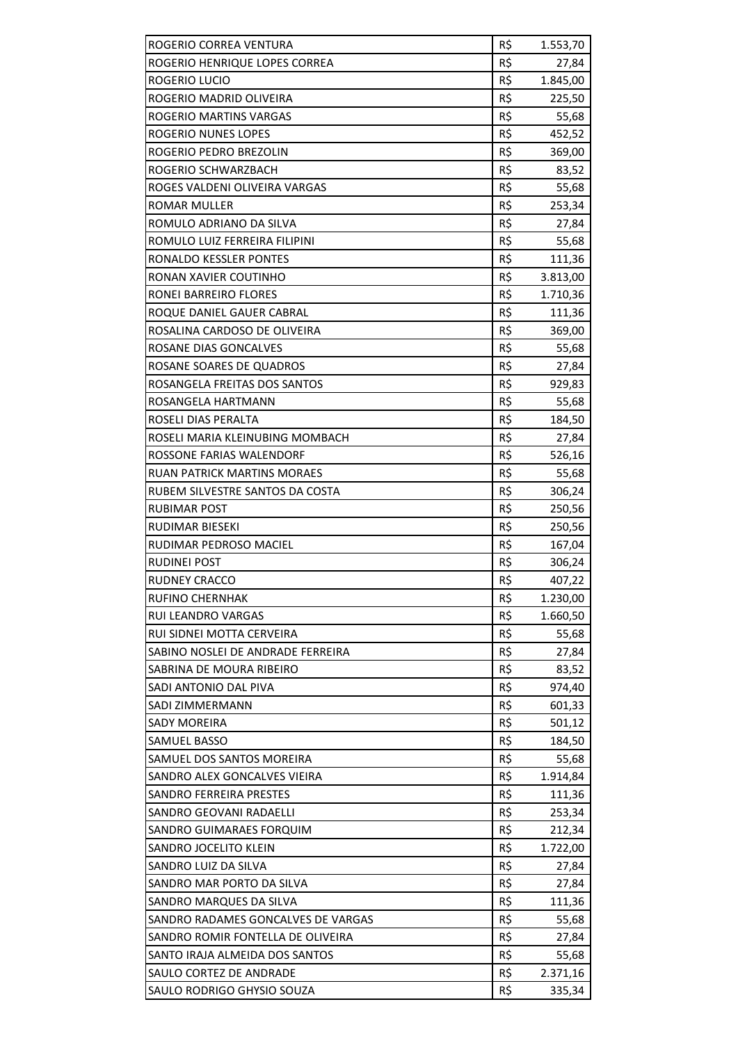| R\$<br>ROGERIO HENRIQUE LOPES CORREA<br>27,84<br>ROGERIO LUCIO<br>R\$<br>1.845,00<br>R\$<br>ROGERIO MADRID OLIVEIRA<br>225,50<br>R\$<br>ROGERIO MARTINS VARGAS<br>55,68<br>R\$<br>ROGERIO NUNES LOPES<br>452,52<br>R\$<br>ROGERIO PEDRO BREZOLIN<br>369,00<br>R\$<br>ROGERIO SCHWARZBACH<br>83,52<br>R\$<br>ROGES VALDENI OLIVEIRA VARGAS<br>55,68<br>R\$<br>ROMAR MULLER<br>253,34<br>R\$<br>ROMULO ADRIANO DA SILVA<br>27,84<br>R\$<br>ROMULO LUIZ FERREIRA FILIPINI<br>55,68<br><b>RONALDO KESSLER PONTES</b><br>R\$<br>111,36<br>R\$<br>RONAN XAVIER COUTINHO<br>3.813,00<br>R\$<br>RONEI BARREIRO FLORES<br>1.710,36<br>R\$<br>ROQUE DANIEL GAUER CABRAL<br>111,36<br>R\$<br>ROSALINA CARDOSO DE OLIVEIRA<br>369,00<br>ROSANE DIAS GONCALVES<br>R\$<br>55,68<br>R\$<br>ROSANE SOARES DE QUADROS<br>27,84<br>ROSANGELA FREITAS DOS SANTOS<br>R\$<br>929,83<br>R\$<br>ROSANGELA HARTMANN<br>55,68<br>R\$<br>ROSELI DIAS PERALTA<br>184,50<br>R\$<br>ROSELI MARIA KLEINUBING MOMBACH<br>27,84<br>R\$<br>ROSSONE FARIAS WALENDORF<br>526,16<br>R\$<br>RUAN PATRICK MARTINS MORAES<br>55,68<br>R\$<br>RUBEM SILVESTRE SANTOS DA COSTA<br>306,24<br>R\$<br><b>RUBIMAR POST</b><br>250,56<br>R\$<br>RUDIMAR BIESEKI<br>250,56<br>R\$<br>RUDIMAR PEDROSO MACIEL<br>167,04<br>R\$<br><b>RUDINEI POST</b><br>306,24<br>R\$<br>RUDNEY CRACCO<br>407,22<br><b>RUFINO CHERNHAK</b><br>R\$<br>1.230,00<br>RUI LEANDRO VARGAS<br>R\$<br>1.660,50<br>RUI SIDNEI MOTTA CERVEIRA<br>R\$<br>55,68<br>SABINO NOSLEI DE ANDRADE FERREIRA<br>R\$<br>27,84<br>R\$<br>SABRINA DE MOURA RIBEIRO<br>83,52<br>R\$<br>SADI ANTONIO DAL PIVA<br>974,40<br>R\$<br>SADI ZIMMERMANN<br>601,33<br>R\$<br><b>SADY MOREIRA</b><br>501,12<br>R\$<br>SAMUEL BASSO<br>184,50<br>R\$<br>SAMUEL DOS SANTOS MOREIRA<br>55,68<br>R\$<br>SANDRO ALEX GONCALVES VIEIRA<br>1.914,84<br>SANDRO FERREIRA PRESTES<br>R\$<br>111,36<br>R\$<br>SANDRO GEOVANI RADAELLI<br>253,34<br>R\$<br>SANDRO GUIMARAES FORQUIM<br>212,34<br>R\$<br>SANDRO JOCELITO KLEIN<br>1.722,00<br>R\$<br>SANDRO LUIZ DA SILVA<br>27,84<br>SANDRO MAR PORTO DA SILVA<br>R\$<br>27,84<br>R\$<br>SANDRO MARQUES DA SILVA<br>111,36<br>SANDRO RADAMES GONCALVES DE VARGAS<br>R\$<br>55,68<br>R\$<br>SANDRO ROMIR FONTELLA DE OLIVEIRA<br>27,84<br>R\$<br>SANTO IRAJA ALMEIDA DOS SANTOS<br>55,68<br>SAULO CORTEZ DE ANDRADE<br>R\$<br>2.371,16<br>R\$<br>SAULO RODRIGO GHYSIO SOUZA<br>335,34 | ROGERIO CORREA VENTURA | R\$ | 1.553,70 |
|-------------------------------------------------------------------------------------------------------------------------------------------------------------------------------------------------------------------------------------------------------------------------------------------------------------------------------------------------------------------------------------------------------------------------------------------------------------------------------------------------------------------------------------------------------------------------------------------------------------------------------------------------------------------------------------------------------------------------------------------------------------------------------------------------------------------------------------------------------------------------------------------------------------------------------------------------------------------------------------------------------------------------------------------------------------------------------------------------------------------------------------------------------------------------------------------------------------------------------------------------------------------------------------------------------------------------------------------------------------------------------------------------------------------------------------------------------------------------------------------------------------------------------------------------------------------------------------------------------------------------------------------------------------------------------------------------------------------------------------------------------------------------------------------------------------------------------------------------------------------------------------------------------------------------------------------------------------------------------------------------------------------------------------------------------------------------------------------------------------------------------------------------------------------------------------------------------------------------------------------------------------------------------------------------------------------------------------------------------------------------------------------------------------------------|------------------------|-----|----------|
|                                                                                                                                                                                                                                                                                                                                                                                                                                                                                                                                                                                                                                                                                                                                                                                                                                                                                                                                                                                                                                                                                                                                                                                                                                                                                                                                                                                                                                                                                                                                                                                                                                                                                                                                                                                                                                                                                                                                                                                                                                                                                                                                                                                                                                                                                                                                                                                                                         |                        |     |          |
|                                                                                                                                                                                                                                                                                                                                                                                                                                                                                                                                                                                                                                                                                                                                                                                                                                                                                                                                                                                                                                                                                                                                                                                                                                                                                                                                                                                                                                                                                                                                                                                                                                                                                                                                                                                                                                                                                                                                                                                                                                                                                                                                                                                                                                                                                                                                                                                                                         |                        |     |          |
|                                                                                                                                                                                                                                                                                                                                                                                                                                                                                                                                                                                                                                                                                                                                                                                                                                                                                                                                                                                                                                                                                                                                                                                                                                                                                                                                                                                                                                                                                                                                                                                                                                                                                                                                                                                                                                                                                                                                                                                                                                                                                                                                                                                                                                                                                                                                                                                                                         |                        |     |          |
|                                                                                                                                                                                                                                                                                                                                                                                                                                                                                                                                                                                                                                                                                                                                                                                                                                                                                                                                                                                                                                                                                                                                                                                                                                                                                                                                                                                                                                                                                                                                                                                                                                                                                                                                                                                                                                                                                                                                                                                                                                                                                                                                                                                                                                                                                                                                                                                                                         |                        |     |          |
|                                                                                                                                                                                                                                                                                                                                                                                                                                                                                                                                                                                                                                                                                                                                                                                                                                                                                                                                                                                                                                                                                                                                                                                                                                                                                                                                                                                                                                                                                                                                                                                                                                                                                                                                                                                                                                                                                                                                                                                                                                                                                                                                                                                                                                                                                                                                                                                                                         |                        |     |          |
|                                                                                                                                                                                                                                                                                                                                                                                                                                                                                                                                                                                                                                                                                                                                                                                                                                                                                                                                                                                                                                                                                                                                                                                                                                                                                                                                                                                                                                                                                                                                                                                                                                                                                                                                                                                                                                                                                                                                                                                                                                                                                                                                                                                                                                                                                                                                                                                                                         |                        |     |          |
|                                                                                                                                                                                                                                                                                                                                                                                                                                                                                                                                                                                                                                                                                                                                                                                                                                                                                                                                                                                                                                                                                                                                                                                                                                                                                                                                                                                                                                                                                                                                                                                                                                                                                                                                                                                                                                                                                                                                                                                                                                                                                                                                                                                                                                                                                                                                                                                                                         |                        |     |          |
|                                                                                                                                                                                                                                                                                                                                                                                                                                                                                                                                                                                                                                                                                                                                                                                                                                                                                                                                                                                                                                                                                                                                                                                                                                                                                                                                                                                                                                                                                                                                                                                                                                                                                                                                                                                                                                                                                                                                                                                                                                                                                                                                                                                                                                                                                                                                                                                                                         |                        |     |          |
|                                                                                                                                                                                                                                                                                                                                                                                                                                                                                                                                                                                                                                                                                                                                                                                                                                                                                                                                                                                                                                                                                                                                                                                                                                                                                                                                                                                                                                                                                                                                                                                                                                                                                                                                                                                                                                                                                                                                                                                                                                                                                                                                                                                                                                                                                                                                                                                                                         |                        |     |          |
|                                                                                                                                                                                                                                                                                                                                                                                                                                                                                                                                                                                                                                                                                                                                                                                                                                                                                                                                                                                                                                                                                                                                                                                                                                                                                                                                                                                                                                                                                                                                                                                                                                                                                                                                                                                                                                                                                                                                                                                                                                                                                                                                                                                                                                                                                                                                                                                                                         |                        |     |          |
|                                                                                                                                                                                                                                                                                                                                                                                                                                                                                                                                                                                                                                                                                                                                                                                                                                                                                                                                                                                                                                                                                                                                                                                                                                                                                                                                                                                                                                                                                                                                                                                                                                                                                                                                                                                                                                                                                                                                                                                                                                                                                                                                                                                                                                                                                                                                                                                                                         |                        |     |          |
|                                                                                                                                                                                                                                                                                                                                                                                                                                                                                                                                                                                                                                                                                                                                                                                                                                                                                                                                                                                                                                                                                                                                                                                                                                                                                                                                                                                                                                                                                                                                                                                                                                                                                                                                                                                                                                                                                                                                                                                                                                                                                                                                                                                                                                                                                                                                                                                                                         |                        |     |          |
|                                                                                                                                                                                                                                                                                                                                                                                                                                                                                                                                                                                                                                                                                                                                                                                                                                                                                                                                                                                                                                                                                                                                                                                                                                                                                                                                                                                                                                                                                                                                                                                                                                                                                                                                                                                                                                                                                                                                                                                                                                                                                                                                                                                                                                                                                                                                                                                                                         |                        |     |          |
|                                                                                                                                                                                                                                                                                                                                                                                                                                                                                                                                                                                                                                                                                                                                                                                                                                                                                                                                                                                                                                                                                                                                                                                                                                                                                                                                                                                                                                                                                                                                                                                                                                                                                                                                                                                                                                                                                                                                                                                                                                                                                                                                                                                                                                                                                                                                                                                                                         |                        |     |          |
|                                                                                                                                                                                                                                                                                                                                                                                                                                                                                                                                                                                                                                                                                                                                                                                                                                                                                                                                                                                                                                                                                                                                                                                                                                                                                                                                                                                                                                                                                                                                                                                                                                                                                                                                                                                                                                                                                                                                                                                                                                                                                                                                                                                                                                                                                                                                                                                                                         |                        |     |          |
|                                                                                                                                                                                                                                                                                                                                                                                                                                                                                                                                                                                                                                                                                                                                                                                                                                                                                                                                                                                                                                                                                                                                                                                                                                                                                                                                                                                                                                                                                                                                                                                                                                                                                                                                                                                                                                                                                                                                                                                                                                                                                                                                                                                                                                                                                                                                                                                                                         |                        |     |          |
|                                                                                                                                                                                                                                                                                                                                                                                                                                                                                                                                                                                                                                                                                                                                                                                                                                                                                                                                                                                                                                                                                                                                                                                                                                                                                                                                                                                                                                                                                                                                                                                                                                                                                                                                                                                                                                                                                                                                                                                                                                                                                                                                                                                                                                                                                                                                                                                                                         |                        |     |          |
|                                                                                                                                                                                                                                                                                                                                                                                                                                                                                                                                                                                                                                                                                                                                                                                                                                                                                                                                                                                                                                                                                                                                                                                                                                                                                                                                                                                                                                                                                                                                                                                                                                                                                                                                                                                                                                                                                                                                                                                                                                                                                                                                                                                                                                                                                                                                                                                                                         |                        |     |          |
|                                                                                                                                                                                                                                                                                                                                                                                                                                                                                                                                                                                                                                                                                                                                                                                                                                                                                                                                                                                                                                                                                                                                                                                                                                                                                                                                                                                                                                                                                                                                                                                                                                                                                                                                                                                                                                                                                                                                                                                                                                                                                                                                                                                                                                                                                                                                                                                                                         |                        |     |          |
|                                                                                                                                                                                                                                                                                                                                                                                                                                                                                                                                                                                                                                                                                                                                                                                                                                                                                                                                                                                                                                                                                                                                                                                                                                                                                                                                                                                                                                                                                                                                                                                                                                                                                                                                                                                                                                                                                                                                                                                                                                                                                                                                                                                                                                                                                                                                                                                                                         |                        |     |          |
|                                                                                                                                                                                                                                                                                                                                                                                                                                                                                                                                                                                                                                                                                                                                                                                                                                                                                                                                                                                                                                                                                                                                                                                                                                                                                                                                                                                                                                                                                                                                                                                                                                                                                                                                                                                                                                                                                                                                                                                                                                                                                                                                                                                                                                                                                                                                                                                                                         |                        |     |          |
|                                                                                                                                                                                                                                                                                                                                                                                                                                                                                                                                                                                                                                                                                                                                                                                                                                                                                                                                                                                                                                                                                                                                                                                                                                                                                                                                                                                                                                                                                                                                                                                                                                                                                                                                                                                                                                                                                                                                                                                                                                                                                                                                                                                                                                                                                                                                                                                                                         |                        |     |          |
|                                                                                                                                                                                                                                                                                                                                                                                                                                                                                                                                                                                                                                                                                                                                                                                                                                                                                                                                                                                                                                                                                                                                                                                                                                                                                                                                                                                                                                                                                                                                                                                                                                                                                                                                                                                                                                                                                                                                                                                                                                                                                                                                                                                                                                                                                                                                                                                                                         |                        |     |          |
|                                                                                                                                                                                                                                                                                                                                                                                                                                                                                                                                                                                                                                                                                                                                                                                                                                                                                                                                                                                                                                                                                                                                                                                                                                                                                                                                                                                                                                                                                                                                                                                                                                                                                                                                                                                                                                                                                                                                                                                                                                                                                                                                                                                                                                                                                                                                                                                                                         |                        |     |          |
|                                                                                                                                                                                                                                                                                                                                                                                                                                                                                                                                                                                                                                                                                                                                                                                                                                                                                                                                                                                                                                                                                                                                                                                                                                                                                                                                                                                                                                                                                                                                                                                                                                                                                                                                                                                                                                                                                                                                                                                                                                                                                                                                                                                                                                                                                                                                                                                                                         |                        |     |          |
|                                                                                                                                                                                                                                                                                                                                                                                                                                                                                                                                                                                                                                                                                                                                                                                                                                                                                                                                                                                                                                                                                                                                                                                                                                                                                                                                                                                                                                                                                                                                                                                                                                                                                                                                                                                                                                                                                                                                                                                                                                                                                                                                                                                                                                                                                                                                                                                                                         |                        |     |          |
|                                                                                                                                                                                                                                                                                                                                                                                                                                                                                                                                                                                                                                                                                                                                                                                                                                                                                                                                                                                                                                                                                                                                                                                                                                                                                                                                                                                                                                                                                                                                                                                                                                                                                                                                                                                                                                                                                                                                                                                                                                                                                                                                                                                                                                                                                                                                                                                                                         |                        |     |          |
|                                                                                                                                                                                                                                                                                                                                                                                                                                                                                                                                                                                                                                                                                                                                                                                                                                                                                                                                                                                                                                                                                                                                                                                                                                                                                                                                                                                                                                                                                                                                                                                                                                                                                                                                                                                                                                                                                                                                                                                                                                                                                                                                                                                                                                                                                                                                                                                                                         |                        |     |          |
|                                                                                                                                                                                                                                                                                                                                                                                                                                                                                                                                                                                                                                                                                                                                                                                                                                                                                                                                                                                                                                                                                                                                                                                                                                                                                                                                                                                                                                                                                                                                                                                                                                                                                                                                                                                                                                                                                                                                                                                                                                                                                                                                                                                                                                                                                                                                                                                                                         |                        |     |          |
|                                                                                                                                                                                                                                                                                                                                                                                                                                                                                                                                                                                                                                                                                                                                                                                                                                                                                                                                                                                                                                                                                                                                                                                                                                                                                                                                                                                                                                                                                                                                                                                                                                                                                                                                                                                                                                                                                                                                                                                                                                                                                                                                                                                                                                                                                                                                                                                                                         |                        |     |          |
|                                                                                                                                                                                                                                                                                                                                                                                                                                                                                                                                                                                                                                                                                                                                                                                                                                                                                                                                                                                                                                                                                                                                                                                                                                                                                                                                                                                                                                                                                                                                                                                                                                                                                                                                                                                                                                                                                                                                                                                                                                                                                                                                                                                                                                                                                                                                                                                                                         |                        |     |          |
|                                                                                                                                                                                                                                                                                                                                                                                                                                                                                                                                                                                                                                                                                                                                                                                                                                                                                                                                                                                                                                                                                                                                                                                                                                                                                                                                                                                                                                                                                                                                                                                                                                                                                                                                                                                                                                                                                                                                                                                                                                                                                                                                                                                                                                                                                                                                                                                                                         |                        |     |          |
|                                                                                                                                                                                                                                                                                                                                                                                                                                                                                                                                                                                                                                                                                                                                                                                                                                                                                                                                                                                                                                                                                                                                                                                                                                                                                                                                                                                                                                                                                                                                                                                                                                                                                                                                                                                                                                                                                                                                                                                                                                                                                                                                                                                                                                                                                                                                                                                                                         |                        |     |          |
|                                                                                                                                                                                                                                                                                                                                                                                                                                                                                                                                                                                                                                                                                                                                                                                                                                                                                                                                                                                                                                                                                                                                                                                                                                                                                                                                                                                                                                                                                                                                                                                                                                                                                                                                                                                                                                                                                                                                                                                                                                                                                                                                                                                                                                                                                                                                                                                                                         |                        |     |          |
|                                                                                                                                                                                                                                                                                                                                                                                                                                                                                                                                                                                                                                                                                                                                                                                                                                                                                                                                                                                                                                                                                                                                                                                                                                                                                                                                                                                                                                                                                                                                                                                                                                                                                                                                                                                                                                                                                                                                                                                                                                                                                                                                                                                                                                                                                                                                                                                                                         |                        |     |          |
|                                                                                                                                                                                                                                                                                                                                                                                                                                                                                                                                                                                                                                                                                                                                                                                                                                                                                                                                                                                                                                                                                                                                                                                                                                                                                                                                                                                                                                                                                                                                                                                                                                                                                                                                                                                                                                                                                                                                                                                                                                                                                                                                                                                                                                                                                                                                                                                                                         |                        |     |          |
|                                                                                                                                                                                                                                                                                                                                                                                                                                                                                                                                                                                                                                                                                                                                                                                                                                                                                                                                                                                                                                                                                                                                                                                                                                                                                                                                                                                                                                                                                                                                                                                                                                                                                                                                                                                                                                                                                                                                                                                                                                                                                                                                                                                                                                                                                                                                                                                                                         |                        |     |          |
|                                                                                                                                                                                                                                                                                                                                                                                                                                                                                                                                                                                                                                                                                                                                                                                                                                                                                                                                                                                                                                                                                                                                                                                                                                                                                                                                                                                                                                                                                                                                                                                                                                                                                                                                                                                                                                                                                                                                                                                                                                                                                                                                                                                                                                                                                                                                                                                                                         |                        |     |          |
|                                                                                                                                                                                                                                                                                                                                                                                                                                                                                                                                                                                                                                                                                                                                                                                                                                                                                                                                                                                                                                                                                                                                                                                                                                                                                                                                                                                                                                                                                                                                                                                                                                                                                                                                                                                                                                                                                                                                                                                                                                                                                                                                                                                                                                                                                                                                                                                                                         |                        |     |          |
|                                                                                                                                                                                                                                                                                                                                                                                                                                                                                                                                                                                                                                                                                                                                                                                                                                                                                                                                                                                                                                                                                                                                                                                                                                                                                                                                                                                                                                                                                                                                                                                                                                                                                                                                                                                                                                                                                                                                                                                                                                                                                                                                                                                                                                                                                                                                                                                                                         |                        |     |          |
|                                                                                                                                                                                                                                                                                                                                                                                                                                                                                                                                                                                                                                                                                                                                                                                                                                                                                                                                                                                                                                                                                                                                                                                                                                                                                                                                                                                                                                                                                                                                                                                                                                                                                                                                                                                                                                                                                                                                                                                                                                                                                                                                                                                                                                                                                                                                                                                                                         |                        |     |          |
|                                                                                                                                                                                                                                                                                                                                                                                                                                                                                                                                                                                                                                                                                                                                                                                                                                                                                                                                                                                                                                                                                                                                                                                                                                                                                                                                                                                                                                                                                                                                                                                                                                                                                                                                                                                                                                                                                                                                                                                                                                                                                                                                                                                                                                                                                                                                                                                                                         |                        |     |          |
|                                                                                                                                                                                                                                                                                                                                                                                                                                                                                                                                                                                                                                                                                                                                                                                                                                                                                                                                                                                                                                                                                                                                                                                                                                                                                                                                                                                                                                                                                                                                                                                                                                                                                                                                                                                                                                                                                                                                                                                                                                                                                                                                                                                                                                                                                                                                                                                                                         |                        |     |          |
|                                                                                                                                                                                                                                                                                                                                                                                                                                                                                                                                                                                                                                                                                                                                                                                                                                                                                                                                                                                                                                                                                                                                                                                                                                                                                                                                                                                                                                                                                                                                                                                                                                                                                                                                                                                                                                                                                                                                                                                                                                                                                                                                                                                                                                                                                                                                                                                                                         |                        |     |          |
|                                                                                                                                                                                                                                                                                                                                                                                                                                                                                                                                                                                                                                                                                                                                                                                                                                                                                                                                                                                                                                                                                                                                                                                                                                                                                                                                                                                                                                                                                                                                                                                                                                                                                                                                                                                                                                                                                                                                                                                                                                                                                                                                                                                                                                                                                                                                                                                                                         |                        |     |          |
|                                                                                                                                                                                                                                                                                                                                                                                                                                                                                                                                                                                                                                                                                                                                                                                                                                                                                                                                                                                                                                                                                                                                                                                                                                                                                                                                                                                                                                                                                                                                                                                                                                                                                                                                                                                                                                                                                                                                                                                                                                                                                                                                                                                                                                                                                                                                                                                                                         |                        |     |          |
|                                                                                                                                                                                                                                                                                                                                                                                                                                                                                                                                                                                                                                                                                                                                                                                                                                                                                                                                                                                                                                                                                                                                                                                                                                                                                                                                                                                                                                                                                                                                                                                                                                                                                                                                                                                                                                                                                                                                                                                                                                                                                                                                                                                                                                                                                                                                                                                                                         |                        |     |          |
|                                                                                                                                                                                                                                                                                                                                                                                                                                                                                                                                                                                                                                                                                                                                                                                                                                                                                                                                                                                                                                                                                                                                                                                                                                                                                                                                                                                                                                                                                                                                                                                                                                                                                                                                                                                                                                                                                                                                                                                                                                                                                                                                                                                                                                                                                                                                                                                                                         |                        |     |          |
|                                                                                                                                                                                                                                                                                                                                                                                                                                                                                                                                                                                                                                                                                                                                                                                                                                                                                                                                                                                                                                                                                                                                                                                                                                                                                                                                                                                                                                                                                                                                                                                                                                                                                                                                                                                                                                                                                                                                                                                                                                                                                                                                                                                                                                                                                                                                                                                                                         |                        |     |          |
|                                                                                                                                                                                                                                                                                                                                                                                                                                                                                                                                                                                                                                                                                                                                                                                                                                                                                                                                                                                                                                                                                                                                                                                                                                                                                                                                                                                                                                                                                                                                                                                                                                                                                                                                                                                                                                                                                                                                                                                                                                                                                                                                                                                                                                                                                                                                                                                                                         |                        |     |          |
|                                                                                                                                                                                                                                                                                                                                                                                                                                                                                                                                                                                                                                                                                                                                                                                                                                                                                                                                                                                                                                                                                                                                                                                                                                                                                                                                                                                                                                                                                                                                                                                                                                                                                                                                                                                                                                                                                                                                                                                                                                                                                                                                                                                                                                                                                                                                                                                                                         |                        |     |          |
|                                                                                                                                                                                                                                                                                                                                                                                                                                                                                                                                                                                                                                                                                                                                                                                                                                                                                                                                                                                                                                                                                                                                                                                                                                                                                                                                                                                                                                                                                                                                                                                                                                                                                                                                                                                                                                                                                                                                                                                                                                                                                                                                                                                                                                                                                                                                                                                                                         |                        |     |          |
|                                                                                                                                                                                                                                                                                                                                                                                                                                                                                                                                                                                                                                                                                                                                                                                                                                                                                                                                                                                                                                                                                                                                                                                                                                                                                                                                                                                                                                                                                                                                                                                                                                                                                                                                                                                                                                                                                                                                                                                                                                                                                                                                                                                                                                                                                                                                                                                                                         |                        |     |          |
|                                                                                                                                                                                                                                                                                                                                                                                                                                                                                                                                                                                                                                                                                                                                                                                                                                                                                                                                                                                                                                                                                                                                                                                                                                                                                                                                                                                                                                                                                                                                                                                                                                                                                                                                                                                                                                                                                                                                                                                                                                                                                                                                                                                                                                                                                                                                                                                                                         |                        |     |          |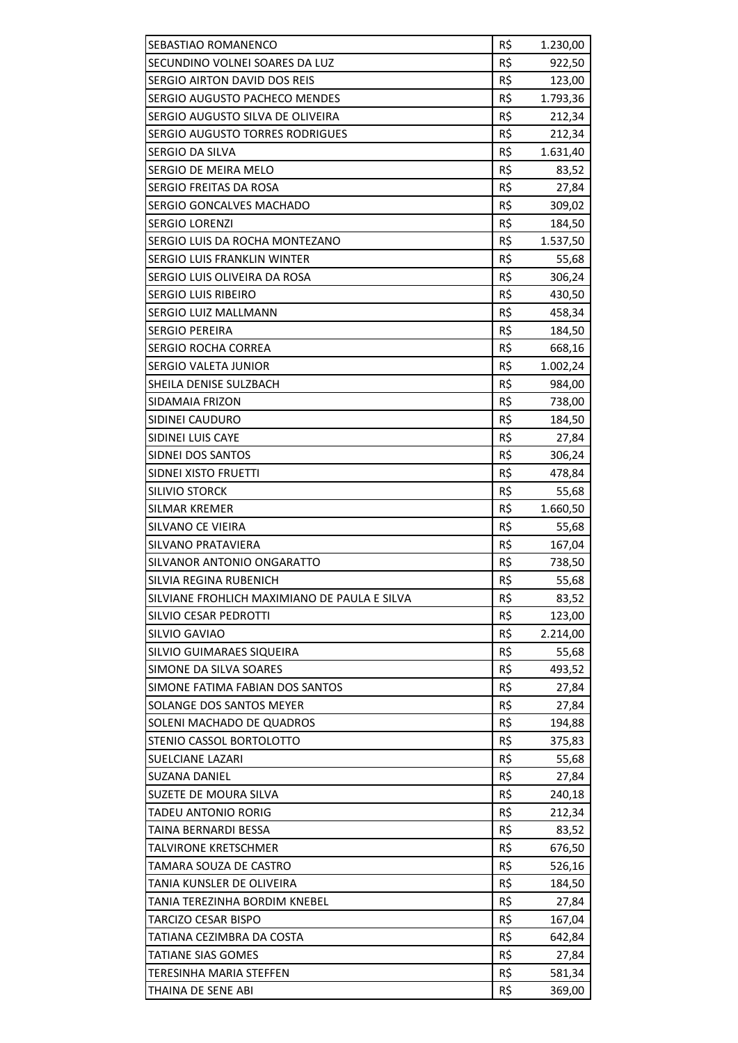| SEBASTIAO ROMANENCO                          | R\$ | 1.230,00 |
|----------------------------------------------|-----|----------|
| SECUNDINO VOLNEI SOARES DA LUZ               | R\$ | 922,50   |
| SERGIO AIRTON DAVID DOS REIS                 | R\$ | 123,00   |
| SERGIO AUGUSTO PACHECO MENDES                | R\$ | 1.793,36 |
| SERGIO AUGUSTO SILVA DE OLIVEIRA             | R\$ | 212,34   |
| SERGIO AUGUSTO TORRES RODRIGUES              | R\$ | 212,34   |
| SERGIO DA SILVA                              | R\$ | 1.631,40 |
| SERGIO DE MEIRA MELO                         | R\$ | 83,52    |
| SERGIO FREITAS DA ROSA                       | R\$ | 27,84    |
| SERGIO GONCALVES MACHADO                     | R\$ | 309,02   |
| <b>SERGIO LORENZI</b>                        | R\$ | 184,50   |
| SERGIO LUIS DA ROCHA MONTEZANO               | R\$ | 1.537,50 |
| SERGIO LUIS FRANKLIN WINTER                  | R\$ | 55,68    |
| SERGIO LUIS OLIVEIRA DA ROSA                 | R\$ | 306,24   |
| <b>SERGIO LUIS RIBEIRO</b>                   | R\$ | 430,50   |
| SERGIO LUIZ MALLMANN                         | R\$ | 458,34   |
| <b>SERGIO PEREIRA</b>                        | R\$ | 184,50   |
| <b>SERGIO ROCHA CORREA</b>                   | R\$ | 668,16   |
| SERGIO VALETA JUNIOR                         | R\$ | 1.002,24 |
| SHEILA DENISE SULZBACH                       | R\$ | 984,00   |
| SIDAMAIA FRIZON                              | R\$ | 738,00   |
| SIDINEI CAUDURO                              | R\$ | 184,50   |
| SIDINEI LUIS CAYE                            | R\$ | 27,84    |
| SIDNEI DOS SANTOS                            | R\$ | 306,24   |
| SIDNEI XISTO FRUETTI                         | R\$ | 478,84   |
| SILIVIO STORCK                               | R\$ | 55,68    |
| <b>SILMAR KREMER</b>                         | R\$ | 1.660,50 |
| SILVANO CE VIEIRA                            | R\$ | 55,68    |
| SILVANO PRATAVIERA                           | R\$ | 167,04   |
| SILVANOR ANTONIO ONGARATTO                   | R\$ | 738,50   |
| SILVIA REGINA RUBENICH                       | R\$ | 55,68    |
| SILVIANE FROHLICH MAXIMIANO DE PAULA E SILVA | R\$ | 83,52    |
| SILVIO CESAR PEDROTTI                        | R\$ | 123,00   |
| SILVIO GAVIAO                                | R\$ | 2.214,00 |
| SILVIO GUIMARAES SIQUEIRA                    | R\$ | 55,68    |
| SIMONE DA SILVA SOARES                       | R\$ | 493,52   |
| SIMONE FATIMA FABIAN DOS SANTOS              | R\$ | 27,84    |
| SOLANGE DOS SANTOS MEYER                     | R\$ | 27,84    |
| SOLENI MACHADO DE QUADROS                    | R\$ | 194,88   |
| STENIO CASSOL BORTOLOTTO                     | R\$ | 375,83   |
| <b>SUELCIANE LAZARI</b>                      | R\$ | 55,68    |
| SUZANA DANIEL                                | R\$ | 27,84    |
| SUZETE DE MOURA SILVA                        | R\$ | 240,18   |
| TADEU ANTONIO RORIG                          | R\$ | 212,34   |
| TAINA BERNARDI BESSA                         | R\$ | 83,52    |
| TALVIRONE KRETSCHMER                         | R\$ | 676,50   |
| TAMARA SOUZA DE CASTRO                       | R\$ | 526,16   |
| TANIA KUNSLER DE OLIVEIRA                    | R\$ | 184,50   |
| TANIA TEREZINHA BORDIM KNEBEL                | R\$ | 27,84    |
| TARCIZO CESAR BISPO                          | R\$ | 167,04   |
| TATIANA CEZIMBRA DA COSTA                    | R\$ | 642,84   |
| TATIANE SIAS GOMES                           | R\$ | 27,84    |
| TERESINHA MARIA STEFFEN                      | R\$ | 581,34   |
| THAINA DE SENE ABI                           | R\$ | 369,00   |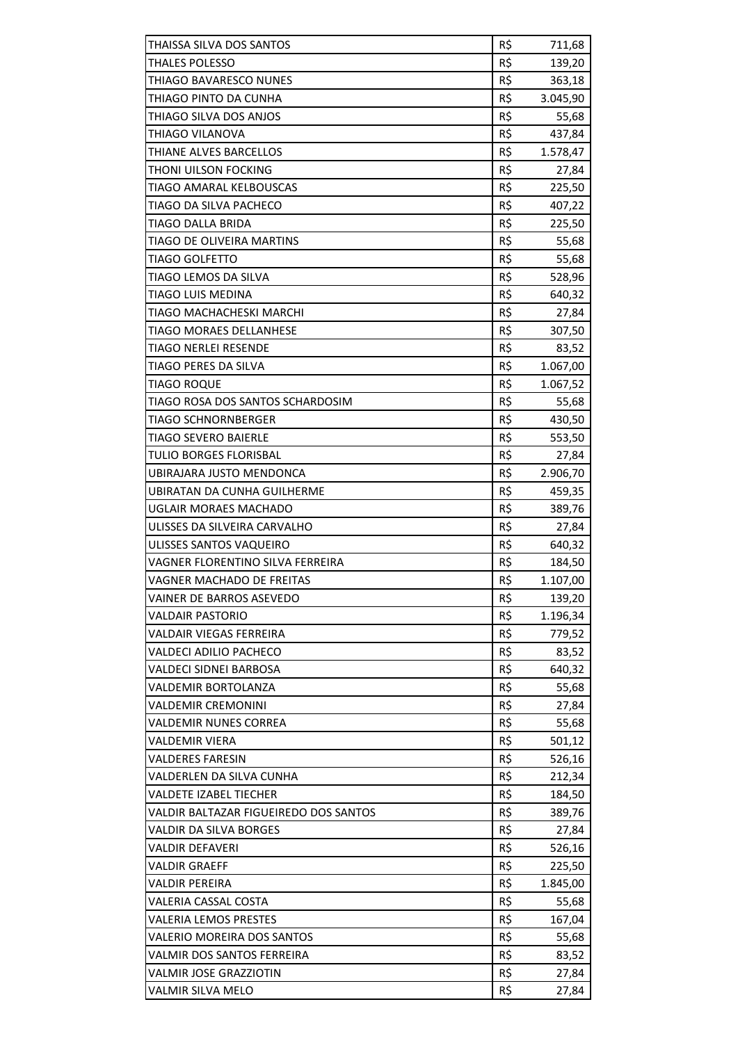| THAISSA SILVA DOS SANTOS                     | R\$ | 711,68   |
|----------------------------------------------|-----|----------|
| <b>THALES POLESSO</b>                        | R\$ | 139,20   |
| THIAGO BAVARESCO NUNES                       | R\$ | 363,18   |
| THIAGO PINTO DA CUNHA                        | R\$ | 3.045,90 |
| THIAGO SILVA DOS ANJOS                       | R\$ | 55,68    |
| THIAGO VILANOVA                              | R\$ | 437,84   |
| THIANE ALVES BARCELLOS                       | R\$ | 1.578,47 |
| THONI UILSON FOCKING                         | R\$ | 27,84    |
| TIAGO AMARAL KELBOUSCAS                      | R\$ | 225,50   |
| TIAGO DA SILVA PACHECO                       | R\$ | 407,22   |
| <b>TIAGO DALLA BRIDA</b>                     | R\$ | 225,50   |
| TIAGO DE OLIVEIRA MARTINS                    | R\$ | 55,68    |
| <b>TIAGO GOLFETTO</b>                        | R\$ | 55,68    |
| TIAGO LEMOS DA SILVA                         | R\$ | 528,96   |
| TIAGO LUIS MEDINA                            | R\$ | 640,32   |
| TIAGO MACHACHESKI MARCHI                     | R\$ | 27,84    |
| <b>TIAGO MORAES DELLANHESE</b>               | R\$ | 307,50   |
| <b>TIAGO NERLEI RESENDE</b>                  | R\$ | 83,52    |
| TIAGO PERES DA SILVA                         | R\$ | 1.067,00 |
| <b>TIAGO ROQUE</b>                           | R\$ | 1.067,52 |
| TIAGO ROSA DOS SANTOS SCHARDOSIM             | R\$ | 55,68    |
| <b>TIAGO SCHNORNBERGER</b>                   | R\$ | 430,50   |
| <b>TIAGO SEVERO BAIERLE</b>                  | R\$ | 553,50   |
| TULIO BORGES FLORISBAL                       | R\$ | 27,84    |
| UBIRAJARA JUSTO MENDONCA                     | R\$ | 2.906,70 |
| UBIRATAN DA CUNHA GUILHERME                  | R\$ | 459,35   |
| UGLAIR MORAES MACHADO                        | R\$ | 389,76   |
| ULISSES DA SILVEIRA CARVALHO                 | R\$ | 27,84    |
| ULISSES SANTOS VAQUEIRO                      | R\$ | 640,32   |
| VAGNER FLORENTINO SILVA FERREIRA             | R\$ | 184,50   |
| <b>VAGNER MACHADO DE FREITAS</b>             | R\$ | 1.107,00 |
| VAINER DE BARROS ASEVEDO                     | R\$ | 139,20   |
| <b>VALDAIR PASTORIO</b>                      | R\$ | 1.196,34 |
| <b>VALDAIR VIEGAS FERREIRA</b>               | R\$ | 779,52   |
| VALDECI ADILIO PACHECO                       | R\$ | 83,52    |
| <b>VALDECI SIDNEI BARBOSA</b>                | R\$ | 640,32   |
| <b>VALDEMIR BORTOLANZA</b>                   | R\$ | 55,68    |
| <b>VALDEMIR CREMONINI</b>                    | R\$ | 27,84    |
| <b>VALDEMIR NUNES CORREA</b>                 | R\$ | 55,68    |
| <b>VALDEMIR VIERA</b>                        | R\$ | 501,12   |
| <b>VALDERES FARESIN</b>                      | R\$ | 526,16   |
| VALDERLEN DA SILVA CUNHA                     | R\$ | 212,34   |
| <b>VALDETE IZABEL TIECHER</b>                | R\$ | 184,50   |
| <b>VALDIR BALTAZAR FIGUEIREDO DOS SANTOS</b> | R\$ | 389,76   |
| <b>VALDIR DA SILVA BORGES</b>                | R\$ | 27,84    |
| <b>VALDIR DEFAVERI</b>                       | R\$ | 526,16   |
| <b>VALDIR GRAEFF</b>                         | R\$ | 225,50   |
| <b>VALDIR PEREIRA</b>                        | R\$ | 1.845,00 |
| VALERIA CASSAL COSTA                         | R\$ | 55,68    |
| <b>VALERIA LEMOS PRESTES</b>                 | R\$ | 167,04   |
| <b>VALERIO MOREIRA DOS SANTOS</b>            | R\$ | 55,68    |
| VALMIR DOS SANTOS FERREIRA                   | R\$ | 83,52    |
| <b>VALMIR JOSE GRAZZIOTIN</b>                | R\$ | 27,84    |
| VALMIR SILVA MELO                            | R\$ | 27,84    |
|                                              |     |          |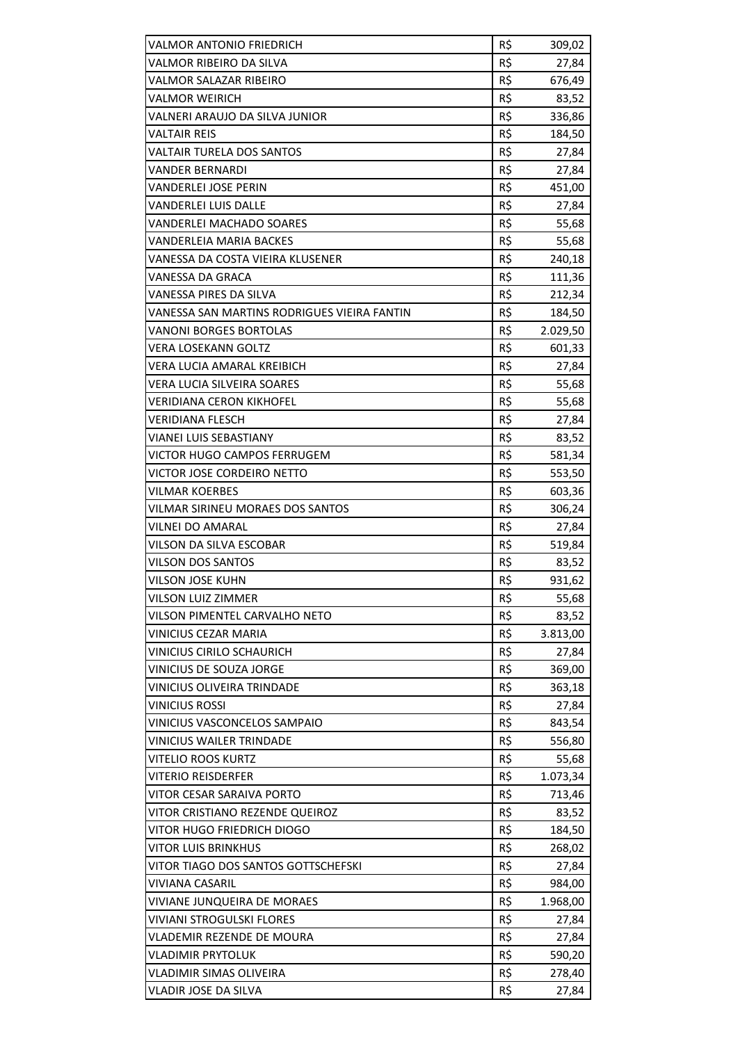| <b>VALMOR ANTONIO FRIEDRICH</b>             | R\$ | 309,02   |
|---------------------------------------------|-----|----------|
| VALMOR RIBEIRO DA SILVA                     | R\$ | 27,84    |
| VALMOR SALAZAR RIBEIRO                      | R\$ | 676,49   |
| VALMOR WEIRICH                              | R\$ | 83,52    |
| VALNERI ARAUJO DA SILVA JUNIOR              | R\$ | 336,86   |
| <b>VALTAIR REIS</b>                         | R\$ | 184,50   |
| <b>VALTAIR TURELA DOS SANTOS</b>            | R\$ | 27,84    |
| VANDER BERNARDI                             | R\$ | 27,84    |
| <b>VANDERLEI JOSE PERIN</b>                 | R\$ | 451,00   |
| <b>VANDERLEI LUIS DALLE</b>                 | R\$ | 27,84    |
| VANDERLEI MACHADO SOARES                    | R\$ | 55,68    |
| <b>VANDERLEIA MARIA BACKES</b>              | R\$ | 55,68    |
| VANESSA DA COSTA VIEIRA KLUSENER            | R\$ | 240,18   |
| VANESSA DA GRACA                            | R\$ | 111,36   |
| VANESSA PIRES DA SILVA                      | R\$ | 212,34   |
| VANESSA SAN MARTINS RODRIGUES VIEIRA FANTIN | R\$ | 184,50   |
| <b>VANONI BORGES BORTOLAS</b>               | R\$ | 2.029,50 |
| <b>VERA LOSEKANN GOLTZ</b>                  | R\$ | 601,33   |
| <b>VERA LUCIA AMARAL KREIBICH</b>           | R\$ | 27,84    |
| <b>VERA LUCIA SILVEIRA SOARES</b>           | R\$ | 55,68    |
| <b>VERIDIANA CERON KIKHOFEL</b>             | R\$ | 55,68    |
| <b>VERIDIANA FLESCH</b>                     | R\$ | 27,84    |
| VIANEI LUIS SEBASTIANY                      | R\$ | 83,52    |
| VICTOR HUGO CAMPOS FERRUGEM                 | R\$ | 581,34   |
| VICTOR JOSE CORDEIRO NETTO                  | R\$ | 553,50   |
| <b>VILMAR KOERBES</b>                       | R\$ | 603,36   |
| VILMAR SIRINEU MORAES DOS SANTOS            | R\$ | 306,24   |
| <b>VILNEI DO AMARAL</b>                     | R\$ | 27,84    |
| VILSON DA SILVA ESCOBAR                     | R\$ | 519,84   |
| <b>VILSON DOS SANTOS</b>                    |     |          |
|                                             | R\$ | 83,52    |
| <b>VILSON JOSE KUHN</b>                     | R\$ | 931,62   |
| VILSON LUIZ ZIMMER                          | R\$ | 55,68    |
| VILSON PIMENTEL CARVALHO NETO               | R\$ | 83,52    |
| VINICIUS CEZAR MARIA                        | R\$ | 3.813,00 |
| <b>VINICIUS CIRILO SCHAURICH</b>            | R\$ | 27,84    |
| VINICIUS DE SOUZA JORGE                     | R\$ | 369,00   |
| <b>VINICIUS OLIVEIRA TRINDADE</b>           | R\$ | 363,18   |
| <b>VINICIUS ROSSI</b>                       | R\$ | 27,84    |
| VINICIUS VASCONCELOS SAMPAIO                | R\$ | 843,54   |
| <b>VINICIUS WAILER TRINDADE</b>             | R\$ | 556,80   |
| <b>VITELIO ROOS KURTZ</b>                   | R\$ | 55,68    |
| VITERIO REISDERFER                          | R\$ | 1.073,34 |
| VITOR CESAR SARAIVA PORTO                   | R\$ | 713,46   |
| VITOR CRISTIANO REZENDE QUEIROZ             | R\$ | 83,52    |
| VITOR HUGO FRIEDRICH DIOGO                  | R\$ | 184,50   |
| <b>VITOR LUIS BRINKHUS</b>                  | R\$ | 268,02   |
| VITOR TIAGO DOS SANTOS GOTTSCHEFSKI         | R\$ | 27,84    |
| <b>VIVIANA CASARIL</b>                      | R\$ | 984,00   |
| VIVIANE JUNQUEIRA DE MORAES                 | R\$ | 1.968,00 |
| <b>VIVIANI STROGULSKI FLORES</b>            | R\$ | 27,84    |
| VLADEMIR REZENDE DE MOURA                   | R\$ | 27,84    |
| <b>VLADIMIR PRYTOLUK</b>                    | R\$ | 590,20   |
| <b>VLADIMIR SIMAS OLIVEIRA</b>              | R\$ | 278,40   |